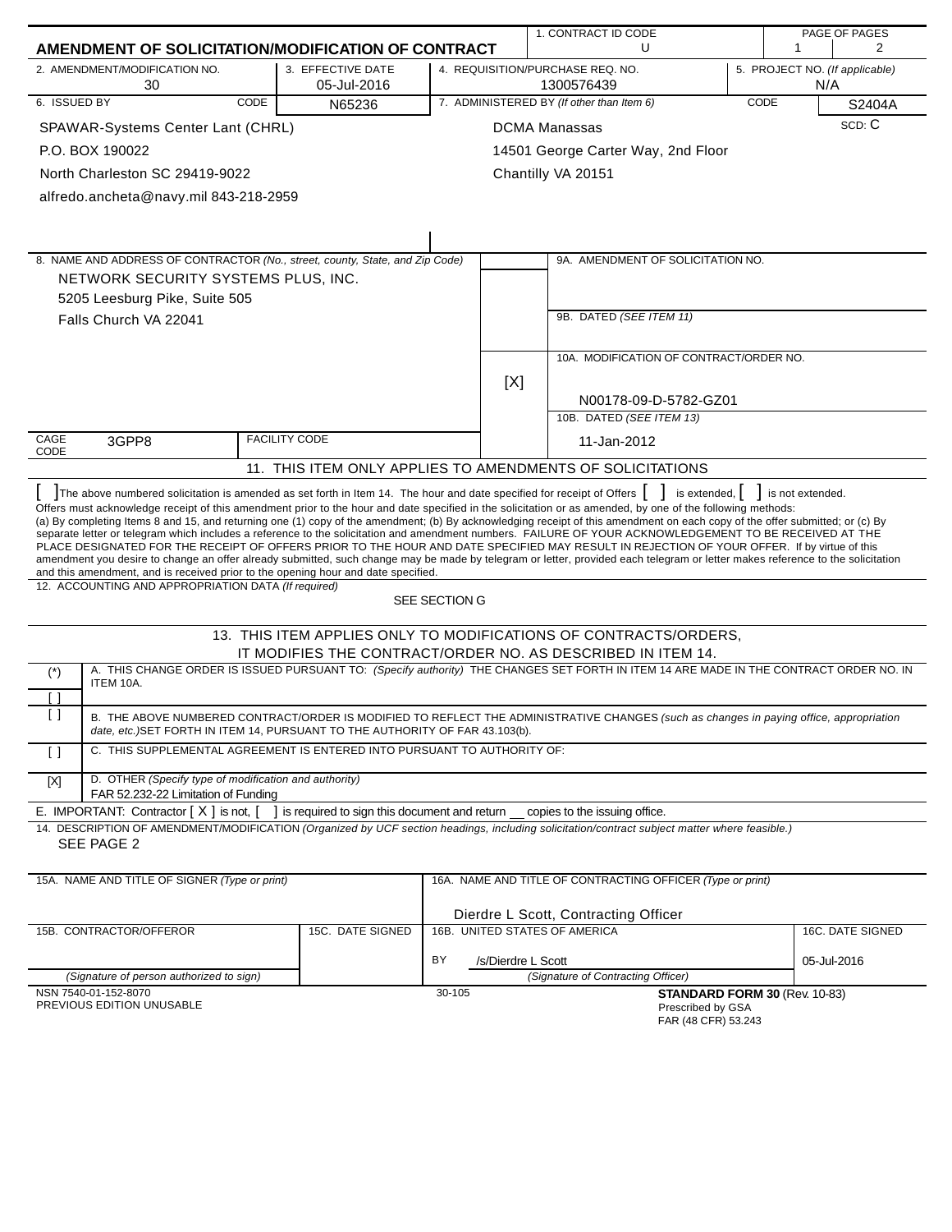|              |                                                                                                                                          |                                                                                 |               |                    | 1. CONTRACT ID CODE                                                                                                                                                                                                                                                                                    |             |                  | PAGE OF PAGES                  |
|--------------|------------------------------------------------------------------------------------------------------------------------------------------|---------------------------------------------------------------------------------|---------------|--------------------|--------------------------------------------------------------------------------------------------------------------------------------------------------------------------------------------------------------------------------------------------------------------------------------------------------|-------------|------------------|--------------------------------|
|              | AMENDMENT OF SOLICITATION/MODIFICATION OF CONTRACT                                                                                       |                                                                                 |               |                    | U                                                                                                                                                                                                                                                                                                      |             | 1                | 2                              |
|              | 2. AMENDMENT/MODIFICATION NO.<br>30                                                                                                      | 3. EFFECTIVE DATE<br>05-Jul-2016                                                |               |                    | 4. REQUISITION/PURCHASE REQ. NO.<br>1300576439                                                                                                                                                                                                                                                         |             | N/A              | 5. PROJECT NO. (If applicable) |
| 6. ISSUED BY | CODE                                                                                                                                     | N65236                                                                          |               |                    | 7. ADMINISTERED BY (If other than Item 6)                                                                                                                                                                                                                                                              | <b>CODE</b> |                  | S2404A                         |
|              | SPAWAR-Systems Center Lant (CHRL)                                                                                                        |                                                                                 |               |                    | <b>DCMA Manassas</b>                                                                                                                                                                                                                                                                                   |             |                  | SCD: C                         |
|              | P.O. BOX 190022                                                                                                                          |                                                                                 |               |                    | 14501 George Carter Way, 2nd Floor                                                                                                                                                                                                                                                                     |             |                  |                                |
|              | North Charleston SC 29419-9022                                                                                                           |                                                                                 |               |                    | Chantilly VA 20151                                                                                                                                                                                                                                                                                     |             |                  |                                |
|              | alfredo.ancheta@navy.mil 843-218-2959                                                                                                    |                                                                                 |               |                    |                                                                                                                                                                                                                                                                                                        |             |                  |                                |
|              |                                                                                                                                          |                                                                                 |               |                    |                                                                                                                                                                                                                                                                                                        |             |                  |                                |
|              |                                                                                                                                          |                                                                                 |               |                    |                                                                                                                                                                                                                                                                                                        |             |                  |                                |
|              | 8. NAME AND ADDRESS OF CONTRACTOR (No., street, county, State, and Zip Code)                                                             |                                                                                 |               |                    | 9A. AMENDMENT OF SOLICITATION NO.                                                                                                                                                                                                                                                                      |             |                  |                                |
|              | NETWORK SECURITY SYSTEMS PLUS, INC.                                                                                                      |                                                                                 |               |                    |                                                                                                                                                                                                                                                                                                        |             |                  |                                |
|              | 5205 Leesburg Pike, Suite 505                                                                                                            |                                                                                 |               |                    |                                                                                                                                                                                                                                                                                                        |             |                  |                                |
|              | Falls Church VA 22041                                                                                                                    |                                                                                 |               |                    | 9B. DATED (SEE ITEM 11)                                                                                                                                                                                                                                                                                |             |                  |                                |
|              |                                                                                                                                          |                                                                                 |               |                    |                                                                                                                                                                                                                                                                                                        |             |                  |                                |
|              |                                                                                                                                          |                                                                                 |               |                    | 10A. MODIFICATION OF CONTRACT/ORDER NO.                                                                                                                                                                                                                                                                |             |                  |                                |
|              |                                                                                                                                          |                                                                                 |               | [X]                |                                                                                                                                                                                                                                                                                                        |             |                  |                                |
|              |                                                                                                                                          |                                                                                 |               |                    | N00178-09-D-5782-GZ01                                                                                                                                                                                                                                                                                  |             |                  |                                |
|              |                                                                                                                                          |                                                                                 |               |                    | 10B. DATED (SEE ITEM 13)                                                                                                                                                                                                                                                                               |             |                  |                                |
| CAGE<br>CODE | 3GPP8                                                                                                                                    | <b>FACILITY CODE</b>                                                            |               |                    | 11-Jan-2012                                                                                                                                                                                                                                                                                            |             |                  |                                |
|              |                                                                                                                                          |                                                                                 |               |                    | 11. THIS ITEM ONLY APPLIES TO AMENDMENTS OF SOLICITATIONS                                                                                                                                                                                                                                              |             |                  |                                |
|              | The above numbered solicitation is amended as set forth in Item 14. The hour and date specified for receipt of Offers                    |                                                                                 |               |                    | is extended,                                                                                                                                                                                                                                                                                           |             | is not extended. |                                |
|              |                                                                                                                                          |                                                                                 |               |                    | Offers must acknowledge receipt of this amendment prior to the hour and date specified in the solicitation or as amended, by one of the following methods:                                                                                                                                             |             |                  |                                |
|              |                                                                                                                                          |                                                                                 |               |                    | (a) By completing Items 8 and 15, and returning one (1) copy of the amendment; (b) By acknowledging receipt of this amendment on each copy of the offer submitted; or (c) By                                                                                                                           |             |                  |                                |
|              |                                                                                                                                          |                                                                                 |               |                    | separate letter or telegram which includes a reference to the solicitation and amendment numbers. FAILURE OF YOUR ACKNOWLEDGEMENT TO BE RECEIVED AT THE<br>PLACE DESIGNATED FOR THE RECEIPT OF OFFERS PRIOR TO THE HOUR AND DATE SPECIFIED MAY RESULT IN REJECTION OF YOUR OFFER. If by virtue of this |             |                  |                                |
|              |                                                                                                                                          |                                                                                 |               |                    | amendment you desire to change an offer already submitted, such change may be made by telegram or letter, provided each telegram or letter makes reference to the solicitation                                                                                                                         |             |                  |                                |
|              | and this amendment, and is received prior to the opening hour and date specified.<br>12. ACCOUNTING AND APPROPRIATION DATA (If required) |                                                                                 |               |                    |                                                                                                                                                                                                                                                                                                        |             |                  |                                |
|              |                                                                                                                                          |                                                                                 | SEE SECTION G |                    |                                                                                                                                                                                                                                                                                                        |             |                  |                                |
|              |                                                                                                                                          |                                                                                 |               |                    | 13. THIS ITEM APPLIES ONLY TO MODIFICATIONS OF CONTRACTS/ORDERS,                                                                                                                                                                                                                                       |             |                  |                                |
|              |                                                                                                                                          |                                                                                 |               |                    | IT MODIFIES THE CONTRACT/ORDER NO. AS DESCRIBED IN ITEM 14.                                                                                                                                                                                                                                            |             |                  |                                |
| $(*)$        |                                                                                                                                          |                                                                                 |               |                    | A. THIS CHANGE ORDER IS ISSUED PURSUANT TO: (Specify authority) THE CHANGES SET FORTH IN ITEM 14 ARE MADE IN THE CONTRACT ORDER NO. IN                                                                                                                                                                 |             |                  |                                |
| [ ]          | ITEM 10A.                                                                                                                                |                                                                                 |               |                    |                                                                                                                                                                                                                                                                                                        |             |                  |                                |
| $\Box$       |                                                                                                                                          |                                                                                 |               |                    | B. THE ABOVE NUMBERED CONTRACT/ORDER IS MODIFIED TO REFLECT THE ADMINISTRATIVE CHANGES (such as changes in paying office, appropriation                                                                                                                                                                |             |                  |                                |
|              | date, etc.) SET FORTH IN ITEM 14, PURSUANT TO THE AUTHORITY OF FAR 43.103(b).                                                            |                                                                                 |               |                    |                                                                                                                                                                                                                                                                                                        |             |                  |                                |
| $\Box$       | C. THIS SUPPLEMENTAL AGREEMENT IS ENTERED INTO PURSUANT TO AUTHORITY OF:                                                                 |                                                                                 |               |                    |                                                                                                                                                                                                                                                                                                        |             |                  |                                |
| $[{\sf X}]$  | D. OTHER (Specify type of modification and authority)                                                                                    |                                                                                 |               |                    |                                                                                                                                                                                                                                                                                                        |             |                  |                                |
|              | FAR 52.232-22 Limitation of Funding<br>E. IMPORTANT: Contractor $[X]$ is not, $[$                                                        | ] is required to sign this document and return __ copies to the issuing office. |               |                    |                                                                                                                                                                                                                                                                                                        |             |                  |                                |
|              |                                                                                                                                          |                                                                                 |               |                    | 14. DESCRIPTION OF AMENDMENT/MODIFICATION (Organized by UCF section headings, including solicitation/contract subject matter where feasible.)                                                                                                                                                          |             |                  |                                |
|              | SEE PAGE 2                                                                                                                               |                                                                                 |               |                    |                                                                                                                                                                                                                                                                                                        |             |                  |                                |
|              |                                                                                                                                          |                                                                                 |               |                    |                                                                                                                                                                                                                                                                                                        |             |                  |                                |
|              | 15A. NAME AND TITLE OF SIGNER (Type or print)                                                                                            |                                                                                 |               |                    | 16A. NAME AND TITLE OF CONTRACTING OFFICER (Type or print)                                                                                                                                                                                                                                             |             |                  |                                |
|              |                                                                                                                                          |                                                                                 |               |                    | Dierdre L Scott, Contracting Officer                                                                                                                                                                                                                                                                   |             |                  |                                |
|              | 15B. CONTRACTOR/OFFEROR                                                                                                                  | 15C. DATE SIGNED                                                                |               |                    | 16B. UNITED STATES OF AMERICA                                                                                                                                                                                                                                                                          |             |                  | 16C. DATE SIGNED               |
|              |                                                                                                                                          |                                                                                 |               |                    |                                                                                                                                                                                                                                                                                                        |             |                  |                                |
|              | (Signature of person authorized to sign)                                                                                                 |                                                                                 | BY            | /s/Dierdre L Scott | (Signature of Contracting Officer)                                                                                                                                                                                                                                                                     |             |                  | 05-Jul-2016                    |
|              | NSN 7540-01-152-8070                                                                                                                     |                                                                                 | 30-105        |                    | STANDARD FORM 30 (Rev. 10-83)                                                                                                                                                                                                                                                                          |             |                  |                                |
|              | PREVIOUS EDITION UNUSABLE                                                                                                                |                                                                                 |               |                    | Prescribed by GSA                                                                                                                                                                                                                                                                                      |             |                  |                                |
|              |                                                                                                                                          |                                                                                 |               |                    | FAR (48 CFR) 53.243                                                                                                                                                                                                                                                                                    |             |                  |                                |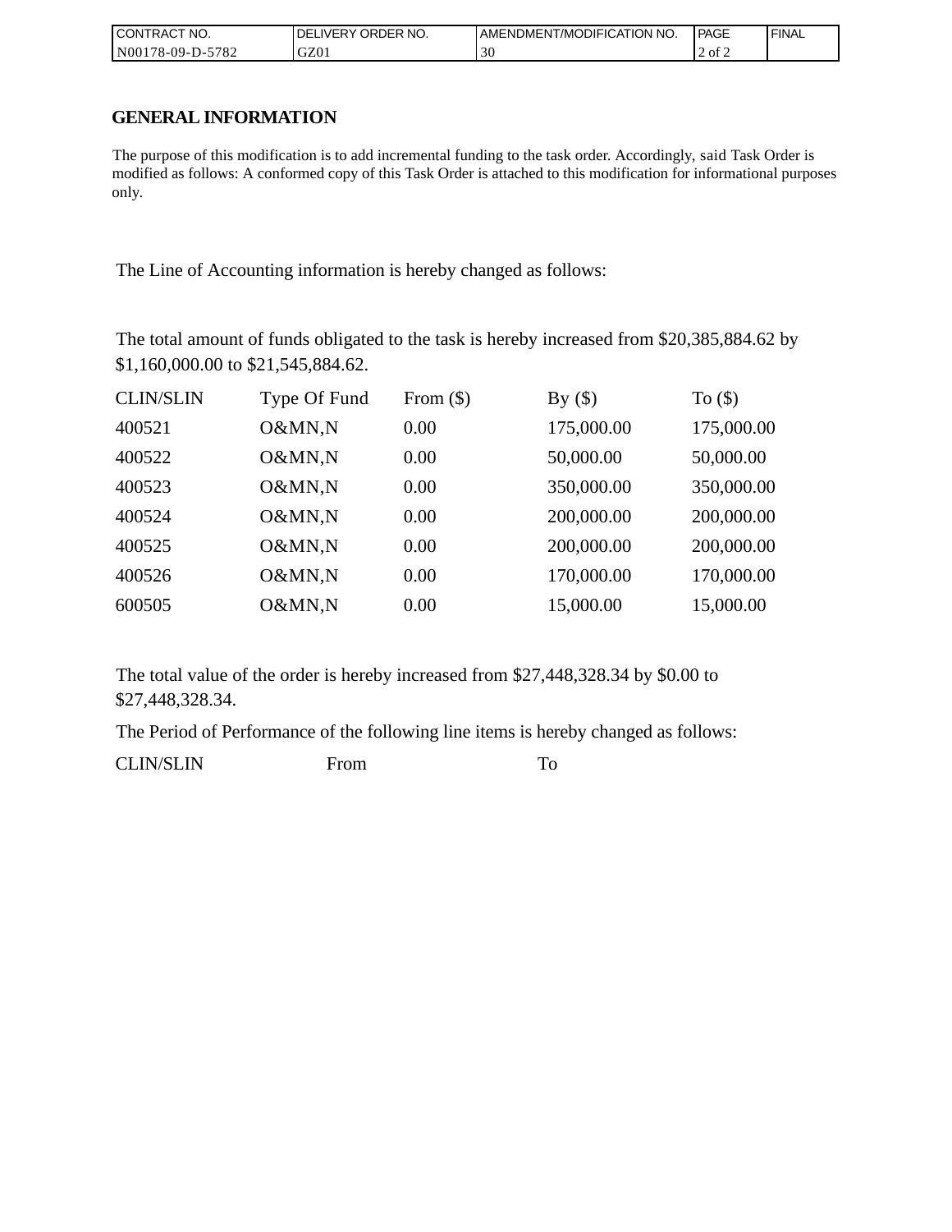| CONTRACT<br>CT NO.          | NO.<br>' ORDER<br><b>DELIVERY</b> | AMENDMENT/MODIFICATION NO. | <b>PAGE</b> | <b>FINAL</b> |
|-----------------------------|-----------------------------------|----------------------------|-------------|--------------|
| 5782<br>N001<br>$78-09-D$ - | GZ01                              | 30                         | 2 of 2      |              |

## **GENERAL INFORMATION**

The purpose of this modification is to add incremental funding to the task order. Accordingly, said Task Order is modified as follows: A conformed copy of this Task Order is attached to this modification for informational purposes only.

The Line of Accounting information is hereby changed as follows:

The total amount of funds obligated to the task is hereby increased from \$20,385,884.62 by \$1,160,000.00 to \$21,545,884.62.

| <b>CLIN/SLIN</b> | Type Of Fund | From $(\$)$ | By $(\$)$  | To $($ math) |
|------------------|--------------|-------------|------------|--------------|
| 400521           | O&MN,N       | 0.00        | 175,000.00 | 175,000.00   |
| 400522           | O&MN,N       | 0.00        | 50,000.00  | 50,000.00    |
| 400523           | O&MN,N       | 0.00        | 350,000.00 | 350,000.00   |
| 400524           | O&MN,N       | 0.00        | 200,000.00 | 200,000.00   |
| 400525           | O&MN,N       | 0.00        | 200,000.00 | 200,000.00   |
| 400526           | O&MN,N       | 0.00        | 170,000.00 | 170,000.00   |
| 600505           | O&MN,N       | 0.00        | 15,000.00  | 15,000.00    |

The total value of the order is hereby increased from \$27,448,328.34 by \$0.00 to \$27,448,328.34.

The Period of Performance of the following line items is hereby changed as follows:

CLIN/SLIN From To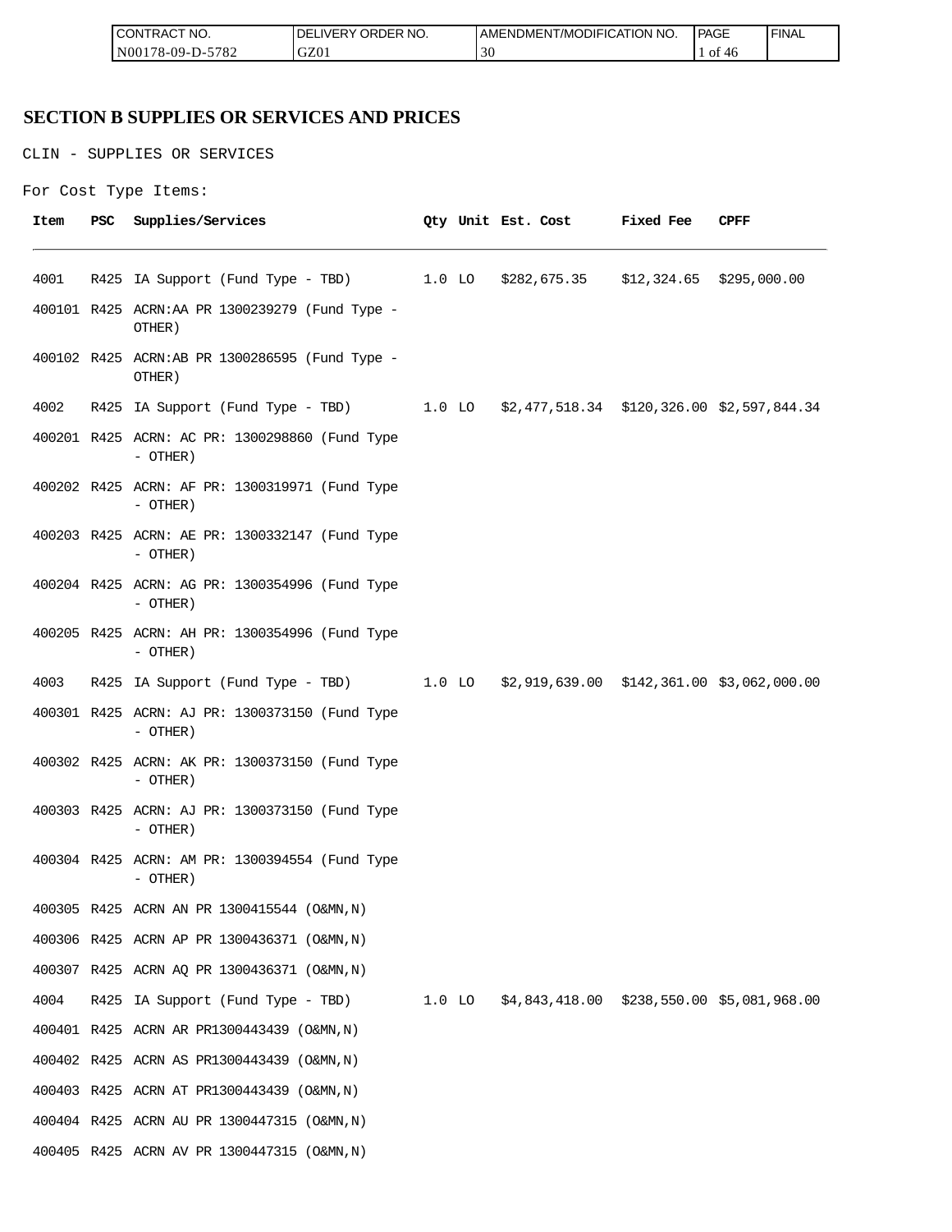| <b>ICON</b><br>°CT NO.<br>∵I RAC | ORI<br>n-n<br>R NO.<br>≀DE!<br>⊣د، | ICATION NO.<br><b>JDIFI(</b><br>AME<br>NDMEN.<br>l /MC | PAGE<br>___            | <b>FINAL</b> |
|----------------------------------|------------------------------------|--------------------------------------------------------|------------------------|--------------|
| 5700<br>N00<br>/8-09-D-<br>ے ہ≀  | GZ0                                | $\sim$<br>3U                                           | ΟĪ<br>$\Delta t$<br>70 |              |

## **SECTION B SUPPLIES OR SERVICES AND PRICES**

CLIN - SUPPLIES OR SERVICES

```
For Cost Type Items:
```

| Item | PSC | Supplies/Services                                                                   |  | Qty Unit Est. Cost | <b>Fixed Fee</b> | CPFF |
|------|-----|-------------------------------------------------------------------------------------|--|--------------------|------------------|------|
| 4001 |     | R425 IA Support (Fund Type - TBD) 1.0 LO \$282,675.35 \$12,324.65 \$295,000.00      |  |                    |                  |      |
|      |     | 400101 R425 ACRN:AA PR 1300239279 (Fund Type -<br>OTHER)                            |  |                    |                  |      |
|      |     | 400102 R425 ACRN:AB PR 1300286595 (Fund Type -<br>OTHER)                            |  |                    |                  |      |
| 4002 |     | R425 IA Support (Fund Type - TBD) 1.0 LO \$2,477,518.34 \$120,326.00 \$2,597,844.34 |  |                    |                  |      |
|      |     | 400201 R425 ACRN: AC PR: 1300298860 (Fund Type<br>- OTHER)                          |  |                    |                  |      |
|      |     | 400202 R425 ACRN: AF PR: 1300319971 (Fund Type<br>- OTHER)                          |  |                    |                  |      |
|      |     | 400203 R425 ACRN: AE PR: 1300332147 (Fund Type<br>$-$ OTHER)                        |  |                    |                  |      |
|      |     | 400204 R425 ACRN: AG PR: 1300354996 (Fund Type<br>- OTHER)                          |  |                    |                  |      |
|      |     | 400205 R425 ACRN: AH PR: 1300354996 (Fund Type<br>$-$ OTHER)                        |  |                    |                  |      |
| 4003 |     | R425 IA Support (Fund Type - TBD) 1.0 LO \$2,919,639.00 \$142,361.00 \$3,062,000.00 |  |                    |                  |      |
|      |     | 400301 R425 ACRN: AJ PR: 1300373150 (Fund Type<br>$-$ OTHER)                        |  |                    |                  |      |
|      |     | 400302 R425 ACRN: AK PR: 1300373150 (Fund Type<br>- OTHER)                          |  |                    |                  |      |
|      |     | 400303 R425 ACRN: AJ PR: 1300373150 (Fund Type<br>- OTHER)                          |  |                    |                  |      |
|      |     | 400304 R425 ACRN: AM PR: 1300394554 (Fund Type<br>- OTHER)                          |  |                    |                  |      |
|      |     | 400305 R425 ACRN AN PR 1300415544 (O&MN, N)                                         |  |                    |                  |      |
|      |     | 400306 R425 ACRN AP PR 1300436371 (O&MN, N)                                         |  |                    |                  |      |
|      |     | 400307 R425 ACRN AQ PR 1300436371 (O&MN, N)                                         |  |                    |                  |      |
| 4004 |     | R425 IA Support (Fund Type - TBD) 1.0 LO \$4,843,418.00 \$238,550.00 \$5,081,968.00 |  |                    |                  |      |
|      |     | 400401 R425 ACRN AR PR1300443439 (O&MN, N)                                          |  |                    |                  |      |
|      |     | 400402 R425 ACRN AS PR1300443439 (O&MN, N)                                          |  |                    |                  |      |
|      |     | 400403 R425 ACRN AT PR1300443439 (O&MN, N)                                          |  |                    |                  |      |
|      |     | 400404 R425 ACRN AU PR 1300447315 (O&MN, N)                                         |  |                    |                  |      |
|      |     | 400405 R425 ACRN AV PR 1300447315 (O&MN, N)                                         |  |                    |                  |      |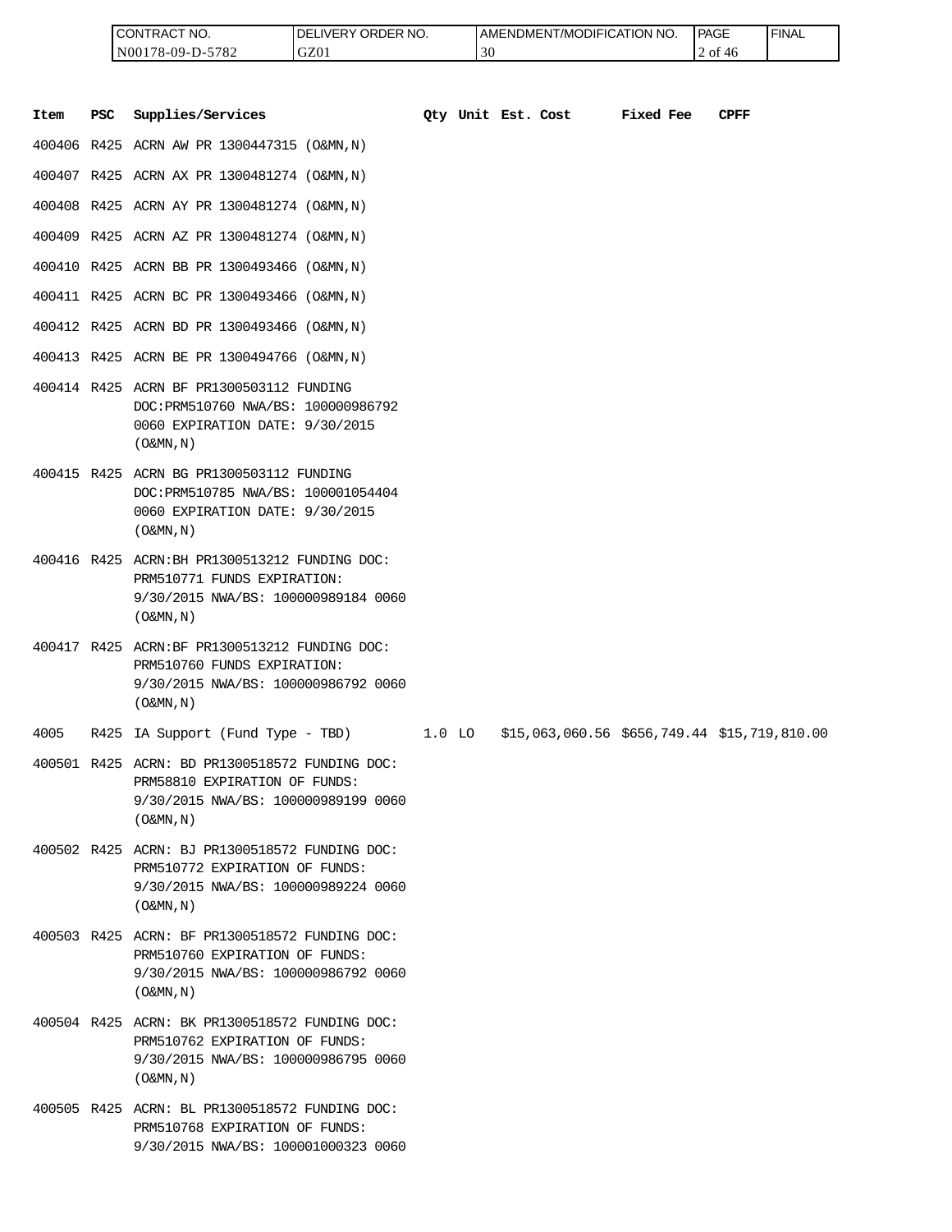| <b>ICONTRACT NO.</b> | <b>IDELIVERY ORDER NO.</b> | <b>I AMENDMENT/MODIFICATION NO.</b> | PAGE       | ' FINAL |
|----------------------|----------------------------|-------------------------------------|------------|---------|
| N00178-09-D-5782     | GZ01                       | 30                                  | 2 of<br>46 |         |

|      |            | CONTRACT NO.<br>N00178-09-D-5782                                                                                                                      | DELIVERY ORDER NO.<br>GZ01 |          | 30                 | AMENDMENT/MODIFICATION NO.                   |           | PAGE<br>2 of 46 | <b>FINAL</b> |
|------|------------|-------------------------------------------------------------------------------------------------------------------------------------------------------|----------------------------|----------|--------------------|----------------------------------------------|-----------|-----------------|--------------|
| Item | <b>PSC</b> | Supplies/Services                                                                                                                                     |                            |          | Oty Unit Est. Cost |                                              | Fixed Fee | <b>CPFF</b>     |              |
|      |            | 400406 R425 ACRN AW PR 1300447315 (O&MN, N)                                                                                                           |                            |          |                    |                                              |           |                 |              |
|      |            | 400407 R425 ACRN AX PR 1300481274 (O&MN, N)                                                                                                           |                            |          |                    |                                              |           |                 |              |
|      |            | 400408 R425 ACRN AY PR 1300481274 (O&MN, N)                                                                                                           |                            |          |                    |                                              |           |                 |              |
|      |            | 400409 R425 ACRN AZ PR 1300481274 (O&MN, N)                                                                                                           |                            |          |                    |                                              |           |                 |              |
|      |            | 400410 R425 ACRN BB PR 1300493466 (O&MN, N)                                                                                                           |                            |          |                    |                                              |           |                 |              |
|      |            | 400411 R425 ACRN BC PR 1300493466 (O&MN, N)                                                                                                           |                            |          |                    |                                              |           |                 |              |
|      |            | 400412 R425 ACRN BD PR 1300493466 (O&MN, N)                                                                                                           |                            |          |                    |                                              |           |                 |              |
|      |            | 400413 R425 ACRN BE PR 1300494766 (O&MN, N)                                                                                                           |                            |          |                    |                                              |           |                 |              |
|      |            | 400414 R425 ACRN BF PR1300503112 FUNDING<br>DOC: PRM510760 NWA/BS: 100000986792<br>0060 EXPIRATION DATE: 9/30/2015<br>$($ O&MN, $N$ $)$               |                            |          |                    |                                              |           |                 |              |
|      |            | 400415 R425 ACRN BG PR1300503112 FUNDING<br>DOC: PRM510785 NWA/BS: 100001054404<br>0060 EXPIRATION DATE: 9/30/2015<br>$($ O&MN, $N$ $)$               |                            |          |                    |                                              |           |                 |              |
|      |            | 400416 R425 ACRN: BH PR1300513212 FUNDING DOC:<br>PRM510771 FUNDS EXPIRATION:<br>9/30/2015 NWA/BS: 100000989184 0060<br>$($ O&MN, $N$ $)$             |                            |          |                    |                                              |           |                 |              |
|      |            | 400417 R425 ACRN:BF PR1300513212 FUNDING DOC:<br>PRM510760 FUNDS EXPIRATION:<br>9/30/2015 NWA/BS: 100000986792 0060<br>$($ O&MN, N)                   |                            |          |                    |                                              |           |                 |              |
| 4005 |            | R425 IA Support (Fund Type - TBD)                                                                                                                     |                            | $1.0$ LO |                    | \$15,063,060.56 \$656,749.44 \$15,719,810.00 |           |                 |              |
|      |            | 400501 R425 ACRN: BD PR1300518572 FUNDING DOC:<br>PRM58810 EXPIRATION OF FUNDS:<br>9/30/2015 NWA/BS: 100000989199 0060<br>$(0\&MN,N)$                 |                            |          |                    |                                              |           |                 |              |
|      |            | 400502 R425 ACRN: BJ PR1300518572 FUNDING DOC:<br>PRM510772 EXPIRATION OF FUNDS:<br>9/30/2015 NWA/BS: 100000989224 0060<br>$($ O&MN, $\overline{N}$ ) |                            |          |                    |                                              |           |                 |              |
|      |            | 400503 R425 ACRN: BF PR1300518572 FUNDING DOC:<br>PRM510760 EXPIRATION OF FUNDS:<br>9/30/2015 NWA/BS: 100000986792 0060<br>$($ O&MN, N)               |                            |          |                    |                                              |           |                 |              |
|      |            | 400504 R425 ACRN: BK PR1300518572 FUNDING DOC:<br>PRM510762 EXPIRATION OF FUNDS:<br>9/30/2015 NWA/BS: 100000986795 0060<br>$($ O&MN, $\overline{N}$ ) |                            |          |                    |                                              |           |                 |              |
|      |            | 400505 R425 ACRN: BL PR1300518572 FUNDING DOC:<br>PRM510768 EXPIRATION OF FUNDS:<br>9/30/2015 NWA/BS: 100001000323 0060                               |                            |          |                    |                                              |           |                 |              |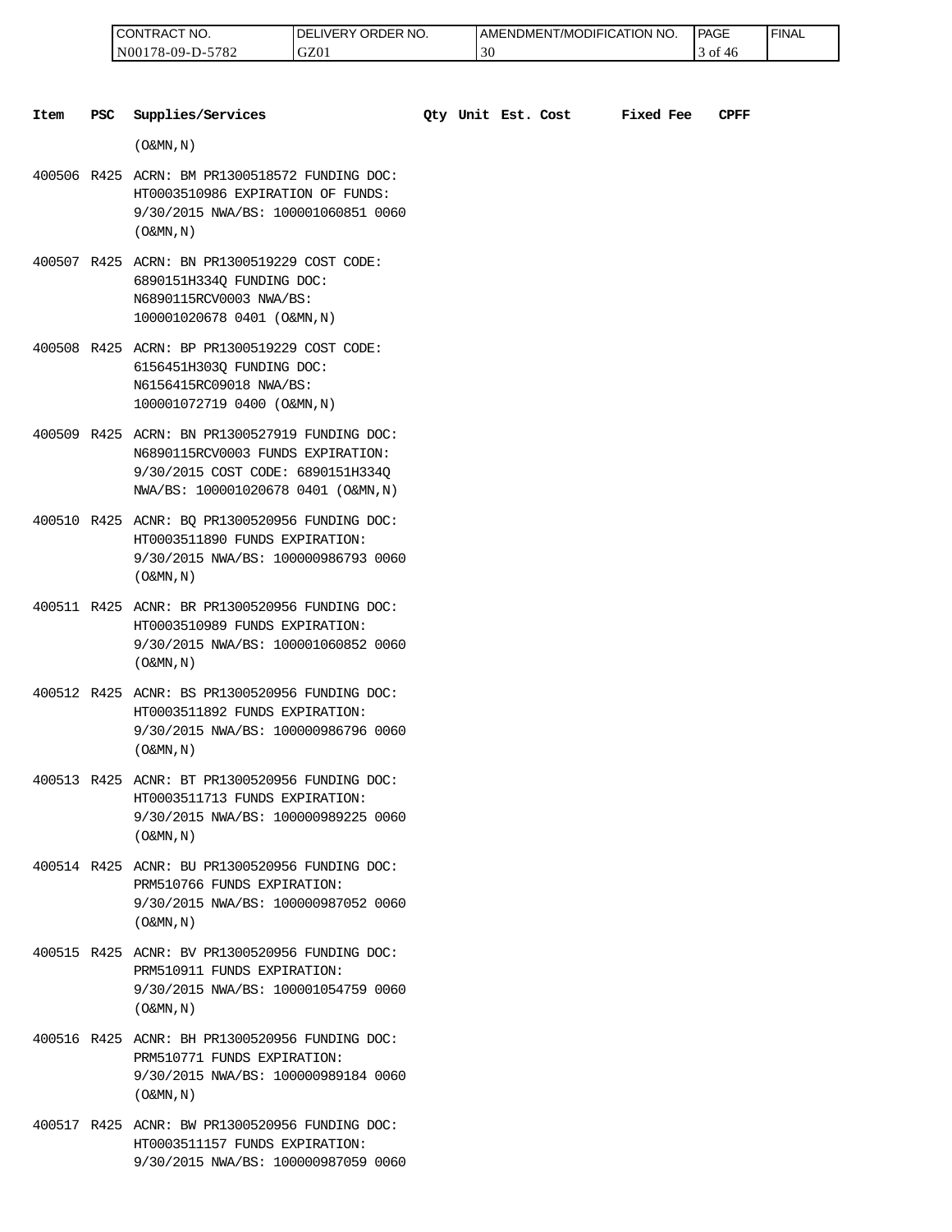| 'NO.<br>CONTRAC <sub>1</sub> | ' ORDER NO.<br>_IVERY '<br>DEI | I AMENDMENT/MODIFICATION<br>NO. | <b>PAGE</b> | ' FINAL |
|------------------------------|--------------------------------|---------------------------------|-------------|---------|
| N00178-09-D-5782             | GZ01                           | $\sim$                          | ∶ot<br>40   |         |

| Item | <b>PSC</b> | Supplies/Services                                                                                                                                               |  | Qty Unit Est. Cost | <b>Fixed Fee</b> | CPFF |
|------|------------|-----------------------------------------------------------------------------------------------------------------------------------------------------------------|--|--------------------|------------------|------|
|      |            | $($ O&MN, N)                                                                                                                                                    |  |                    |                  |      |
|      |            | 400506 R425 ACRN: BM PR1300518572 FUNDING DOC:<br>HT0003510986 EXPIRATION OF FUNDS:<br>9/30/2015 NWA/BS: 100001060851 0060<br>$($ O&MN, $\overline{N}$ )        |  |                    |                  |      |
|      |            | 400507 R425 ACRN: BN PR1300519229 COST CODE:<br>6890151H3340 FUNDING DOC:<br>N6890115RCV0003 NWA/BS:<br>100001020678 0401 (O&MN, N)                             |  |                    |                  |      |
|      |            | 400508 R425 ACRN: BP PR1300519229 COST CODE:<br>6156451H303Q FUNDING DOC:<br>N6156415RC09018 NWA/BS:<br>100001072719 0400 (O&MN, N)                             |  |                    |                  |      |
|      |            | 400509 R425 ACRN: BN PR1300527919 FUNDING DOC:<br>N6890115RCV0003 FUNDS EXPIRATION:<br>9/30/2015 COST CODE: 6890151H334Q<br>NWA/BS: 100001020678 0401 (O&MN, N) |  |                    |                  |      |
|      |            | 400510 R425 ACNR: BQ PR1300520956 FUNDING DOC:<br>HT0003511890 FUNDS EXPIRATION:<br>9/30/2015 NWA/BS: 100000986793 0060<br>$($ O&MN, $N$ $)$                    |  |                    |                  |      |
|      |            | 400511 R425 ACNR: BR PR1300520956 FUNDING DOC:<br>HT0003510989 FUNDS EXPIRATION:<br>9/30/2015 NWA/BS: 100001060852 0060<br>$($ O&MN, N)                         |  |                    |                  |      |
|      |            | 400512 R425 ACNR: BS PR1300520956 FUNDING DOC:<br>HT0003511892 FUNDS EXPIRATION:<br>9/30/2015 NWA/BS: 100000986796 0060<br>$($ O&MN, N)                         |  |                    |                  |      |
|      |            | 400513 R425 ACNR: BT PR1300520956 FUNDING DOC:<br>HT0003511713 FUNDS EXPIRATION:<br>9/30/2015 NWA/BS: 100000989225 0060<br>$($ O&MN, N)                         |  |                    |                  |      |
|      |            | 400514 R425 ACNR: BU PR1300520956 FUNDING DOC:<br>PRM510766 FUNDS EXPIRATION:<br>9/30/2015 NWA/BS: 100000987052 0060<br>$($ O&MN, $\overline{N}$ )              |  |                    |                  |      |
|      |            | 400515 R425 ACNR: BV PR1300520956 FUNDING DOC:<br>PRM510911 FUNDS EXPIRATION:<br>9/30/2015 NWA/BS: 100001054759 0060<br>$($ O&MN, N)                            |  |                    |                  |      |
|      |            | 400516 R425 ACNR: BH PR1300520956 FUNDING DOC:<br>PRM510771 FUNDS EXPIRATION:<br>9/30/2015 NWA/BS: 100000989184 0060<br>$($ O&MN, N)                            |  |                    |                  |      |

400517 R425 ACNR: BW PR1300520956 FUNDING DOC: HT0003511157 FUNDS EXPIRATION: 9/30/2015 NWA/BS: 100000987059 0060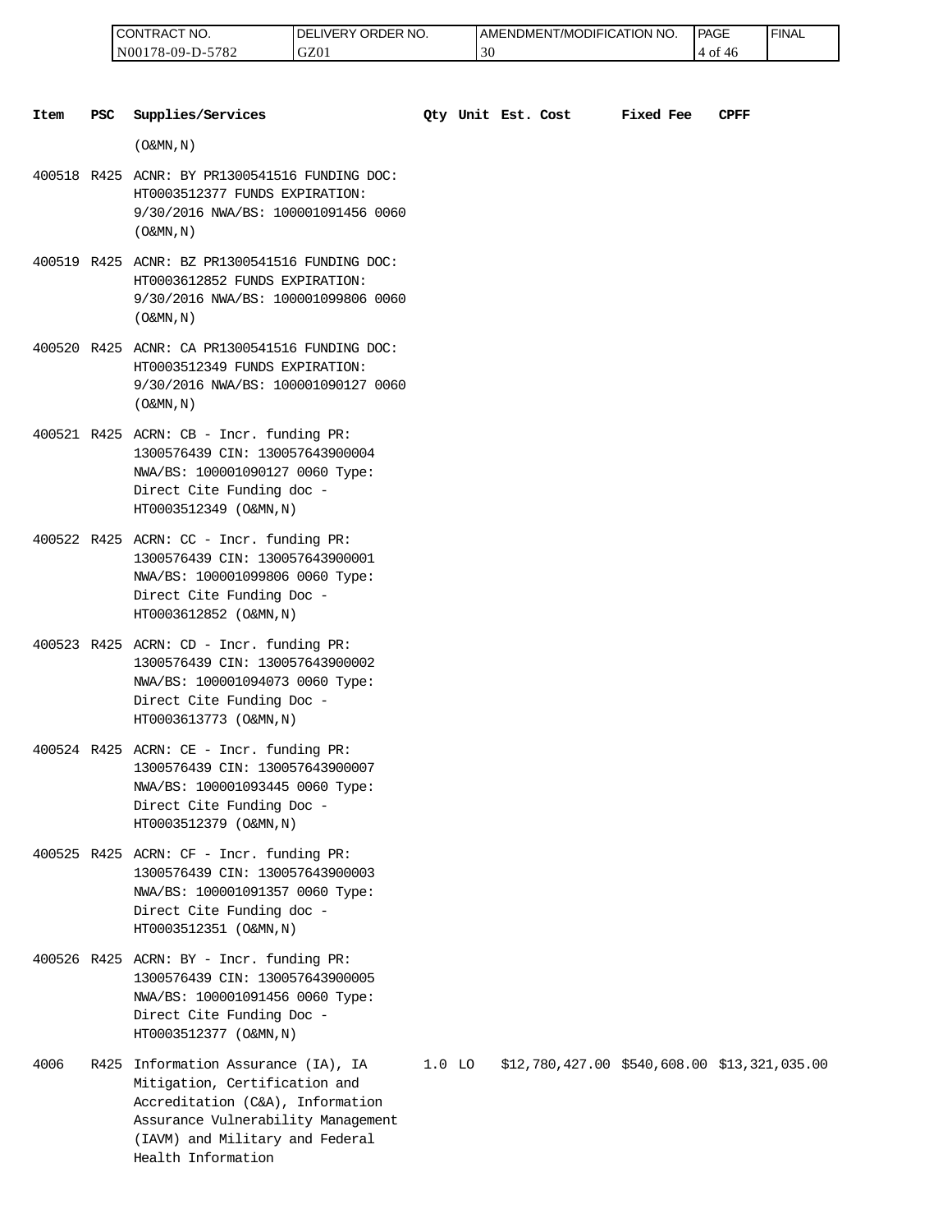| 'NO.<br>UON!"<br>'RAL                          | RDER NO.<br>ר.<br>≀VE≀<br>ЭR.<br>∽ | 'T/MODIFICATION NO.<br>AMENDMENT | <b>PAGE</b> | <b>FINAL</b> |
|------------------------------------------------|------------------------------------|----------------------------------|-------------|--------------|
| 5700<br>N00<br>$, 8 - 09 - \Gamma$<br>∠ه∵<br>. | GZ0                                | υc                               | O1          |              |

| Item | <b>PSC</b> | Supplies/Services                                                                                                                                                       |          | Qty Unit Est. Cost | <b>Fixed Fee</b> | CPFF                                         |
|------|------------|-------------------------------------------------------------------------------------------------------------------------------------------------------------------------|----------|--------------------|------------------|----------------------------------------------|
|      |            | $($ O&MN, N)                                                                                                                                                            |          |                    |                  |                                              |
|      |            | 400518 R425 ACNR: BY PR1300541516 FUNDING DOC:<br>HT0003512377 FUNDS EXPIRATION:<br>9/30/2016 NWA/BS: 100001091456 0060<br>$($ O&MN, $N$ $)$                            |          |                    |                  |                                              |
|      |            | 400519 R425 ACNR: BZ PR1300541516 FUNDING DOC:<br>HT0003612852 FUNDS EXPIRATION:<br>9/30/2016 NWA/BS: 100001099806 0060<br>$($ O&MN, $N$ $)$                            |          |                    |                  |                                              |
|      |            | 400520 R425 ACNR: CA PR1300541516 FUNDING DOC:<br>HT0003512349 FUNDS EXPIRATION:<br>9/30/2016 NWA/BS: 100001090127 0060<br>$($ O&MN, $N$ $)$                            |          |                    |                  |                                              |
|      |            | 400521 R425 ACRN: CB - Incr. funding PR:<br>1300576439 CIN: 130057643900004<br>NWA/BS: 100001090127 0060 Type:<br>Direct Cite Funding doc -<br>HT0003512349 (O&MN, N)   |          |                    |                  |                                              |
|      |            | 400522 R425 ACRN: CC - Incr. funding PR:<br>1300576439 CIN: 130057643900001<br>NWA/BS: 100001099806 0060 Type:<br>Direct Cite Funding Doc -<br>HT0003612852 (O&MN, N)   |          |                    |                  |                                              |
|      |            | 400523 R425 ACRN: CD - Incr. funding PR:<br>1300576439 CIN: 130057643900002<br>NWA/BS: 100001094073 0060 Type:<br>Direct Cite Funding Doc -<br>HT0003613773 (O&MN, N)   |          |                    |                  |                                              |
|      |            | $400524$ R425 ACRN: CE - Incr. funding PR:<br>1300576439 CIN: 130057643900007<br>NWA/BS: 100001093445 0060 Type:<br>Direct Cite Funding Doc -<br>HT0003512379 (O&MN, N) |          |                    |                  |                                              |
|      |            | 400525 R425 ACRN: CF - Incr. funding PR:<br>1300576439 CIN: 130057643900003<br>NWA/BS: 100001091357 0060 Type:<br>Direct Cite Funding doc -<br>HT0003512351 (O&MN, N)   |          |                    |                  |                                              |
|      |            | 400526 R425 ACRN: BY - Incr. funding PR:<br>1300576439 CIN: 130057643900005<br>NWA/BS: 100001091456 0060 Type:<br>Direct Cite Funding Doc -<br>HT0003512377 (O&MN, N)   |          |                    |                  |                                              |
| 4006 |            | R425 Information Assurance (IA), IA<br>Mitigation, Certification and<br>Accreditation (C&A), Information                                                                | $1.0$ LO |                    |                  | \$12,780,427.00 \$540,608.00 \$13,321,035.00 |

Assurance Vulnerability Management (IAVM) and Military and Federal

Health Information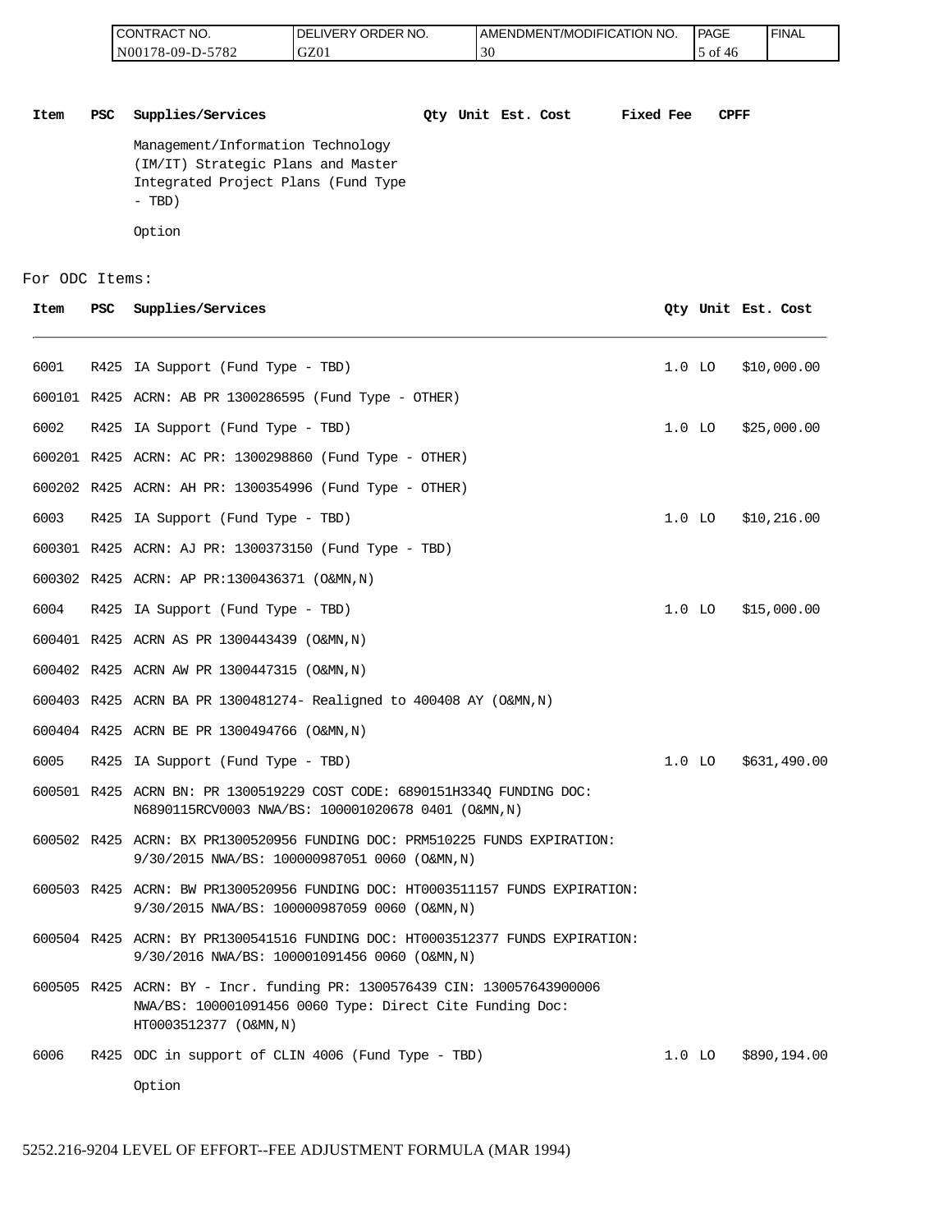| I CONTRACT NO.   | NO.<br>DELIVERY ORDER | AMENDMENT/MODIFICATION NO. | PAGE       | ' FINAL |
|------------------|-----------------------|----------------------------|------------|---------|
| N00178-09-D-5782 | GZ01                  | 30                         | to c<br>4¢ |         |

**Item PSC Supplies/Services Qty Unit Est. Cost Fixed Fee CPFF** Management/Information Technology (IM/IT) Strategic Plans and Master Integrated Project Plans (Fund Type - TBD) Option

#### For ODC Items:

**Item PSC Supplies/Services Qty Unit Est. Cost** R425 IA Support (Fund Type - TBD) 1.0 LO \$10,000.00 R425 ACRN: AB PR 1300286595 (Fund Type - OTHER) R425 IA Support (Fund Type - TBD) 1.0 LO \$25,000.00 R425 ACRN: AC PR: 1300298860 (Fund Type - OTHER) R425 ACRN: AH PR: 1300354996 (Fund Type - OTHER) R425 IA Support (Fund Type - TBD) 1.0 LO \$10,216.00 R425 ACRN: AJ PR: 1300373150 (Fund Type - TBD) R425 ACRN: AP PR:1300436371 (O&MN,N) R425 IA Support (Fund Type - TBD) 1.0 LO \$15,000.00 R425 ACRN AS PR 1300443439 (O&MN,N) R425 ACRN AW PR 1300447315 (O&MN,N) R425 ACRN BA PR 1300481274- Realigned to 400408 AY (O&MN,N) R425 ACRN BE PR 1300494766 (O&MN,N) R425 IA Support (Fund Type - TBD) 1.0 LO \$631,490.00 R425 ACRN BN: PR 1300519229 COST CODE: 6890151H334Q FUNDING DOC: N6890115RCV0003 NWA/BS: 100001020678 0401 (O&MN,N) R425 ACRN: BX PR1300520956 FUNDING DOC: PRM510225 FUNDS EXPIRATION: 9/30/2015 NWA/BS: 100000987051 0060 (O&MN,N) R425 ACRN: BW PR1300520956 FUNDING DOC: HT0003511157 FUNDS EXPIRATION: 9/30/2015 NWA/BS: 100000987059 0060 (O&MN,N) R425 ACRN: BY PR1300541516 FUNDING DOC: HT0003512377 FUNDS EXPIRATION: 9/30/2016 NWA/BS: 100001091456 0060 (O&MN,N) R425 ACRN: BY - Incr. funding PR: 1300576439 CIN: 130057643900006 NWA/BS: 100001091456 0060 Type: Direct Cite Funding Doc: HT0003512377 (O&MN,N) R425 ODC in support of CLIN 4006 (Fund Type - TBD) 1.0 LO \$890,194.00 CONTRACT NO. DEEP THE MATTER IN THE MATTER OF THE RELEASE ON THE RELEASE ON THE STATE OF THE MATTER CONTRACT THE MATTER CONTRACT THE MATTER CONTRACT THE MATTER CONTRACT THE MATTER CONTRACT THE MATTER CONTRACT NO. THE MATTE

Option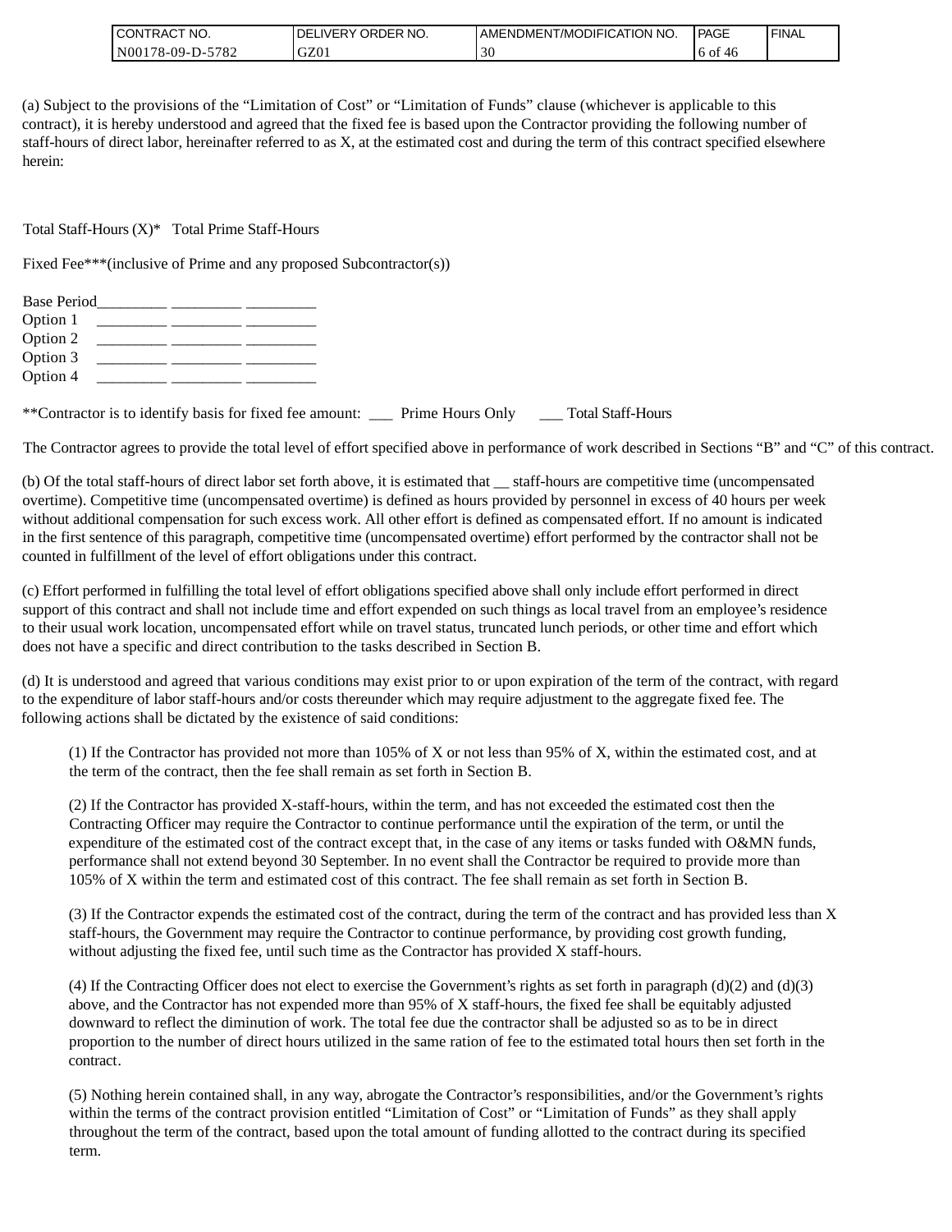| <b>ICONTRACT NO.</b> | ' ORDER NO.<br>_IVERY<br>DEI | I AMENDMENT/MODIFICATION NO. | <b>PAGE</b>  | ' FINAL |
|----------------------|------------------------------|------------------------------|--------------|---------|
| N00178-09-D-5782     | GZ01                         | $\sim$                       | to of<br>-46 |         |

(a) Subject to the provisions of the "Limitation of Cost" or "Limitation of Funds" clause (whichever is applicable to this contract), it is hereby understood and agreed that the fixed fee is based upon the Contractor providing the following number of staff-hours of direct labor, hereinafter referred to as X, at the estimated cost and during the term of this contract specified elsewhere herein:

Total Staff-Hours (X)\* Total Prime Staff-Hours

Fixed Fee\*\*\*(inclusive of Prime and any proposed Subcontractor(s))

| <b>Base Period</b>                                                                                             |  |  |  |
|----------------------------------------------------------------------------------------------------------------|--|--|--|
| Option 1<br><u> 1989 - Andrew Standard Barbara, mandat a shekara 1989 - Andrew Standard Barbara (h. 1989).</u> |  |  |  |
| Option 2                                                                                                       |  |  |  |
| Option 3                                                                                                       |  |  |  |
| Option 4                                                                                                       |  |  |  |
|                                                                                                                |  |  |  |

\*\*Contractor is to identify basis for fixed fee amount: \_\_\_ Prime Hours Only \_\_\_ Total Staff-Hours

The Contractor agrees to provide the total level of effort specified above in performance of work described in Sections "B" and "C" of this contract.

(b) Of the total staff-hours of direct labor set forth above, it is estimated that \_\_ staff-hours are competitive time (uncompensated overtime). Competitive time (uncompensated overtime) is defined as hours provided by personnel in excess of 40 hours per week without additional compensation for such excess work. All other effort is defined as compensated effort. If no amount is indicated in the first sentence of this paragraph, competitive time (uncompensated overtime) effort performed by the contractor shall not be counted in fulfillment of the level of effort obligations under this contract.

(c) Effort performed in fulfilling the total level of effort obligations specified above shall only include effort performed in direct support of this contract and shall not include time and effort expended on such things as local travel from an employee's residence to their usual work location, uncompensated effort while on travel status, truncated lunch periods, or other time and effort which does not have a specific and direct contribution to the tasks described in Section B.

(d) It is understood and agreed that various conditions may exist prior to or upon expiration of the term of the contract, with regard to the expenditure of labor staff-hours and/or costs thereunder which may require adjustment to the aggregate fixed fee. The following actions shall be dictated by the existence of said conditions:

(1) If the Contractor has provided not more than 105% of X or not less than 95% of X, within the estimated cost, and at the term of the contract, then the fee shall remain as set forth in Section B.

(2) If the Contractor has provided X-staff-hours, within the term, and has not exceeded the estimated cost then the Contracting Officer may require the Contractor to continue performance until the expiration of the term, or until the expenditure of the estimated cost of the contract except that, in the case of any items or tasks funded with O&MN funds, performance shall not extend beyond 30 September. In no event shall the Contractor be required to provide more than 105% of X within the term and estimated cost of this contract. The fee shall remain as set forth in Section B.

(3) If the Contractor expends the estimated cost of the contract, during the term of the contract and has provided less than X staff-hours, the Government may require the Contractor to continue performance, by providing cost growth funding, without adjusting the fixed fee, until such time as the Contractor has provided X staff-hours.

(4) If the Contracting Officer does not elect to exercise the Government's rights as set forth in paragraph  $(d)(2)$  and  $(d)(3)$ above, and the Contractor has not expended more than 95% of X staff-hours, the fixed fee shall be equitably adjusted downward to reflect the diminution of work. The total fee due the contractor shall be adjusted so as to be in direct proportion to the number of direct hours utilized in the same ration of fee to the estimated total hours then set forth in the contract.

(5) Nothing herein contained shall, in any way, abrogate the Contractor's responsibilities, and/or the Government's rights within the terms of the contract provision entitled "Limitation of Cost" or "Limitation of Funds" as they shall apply throughout the term of the contract, based upon the total amount of funding allotted to the contract during its specified term.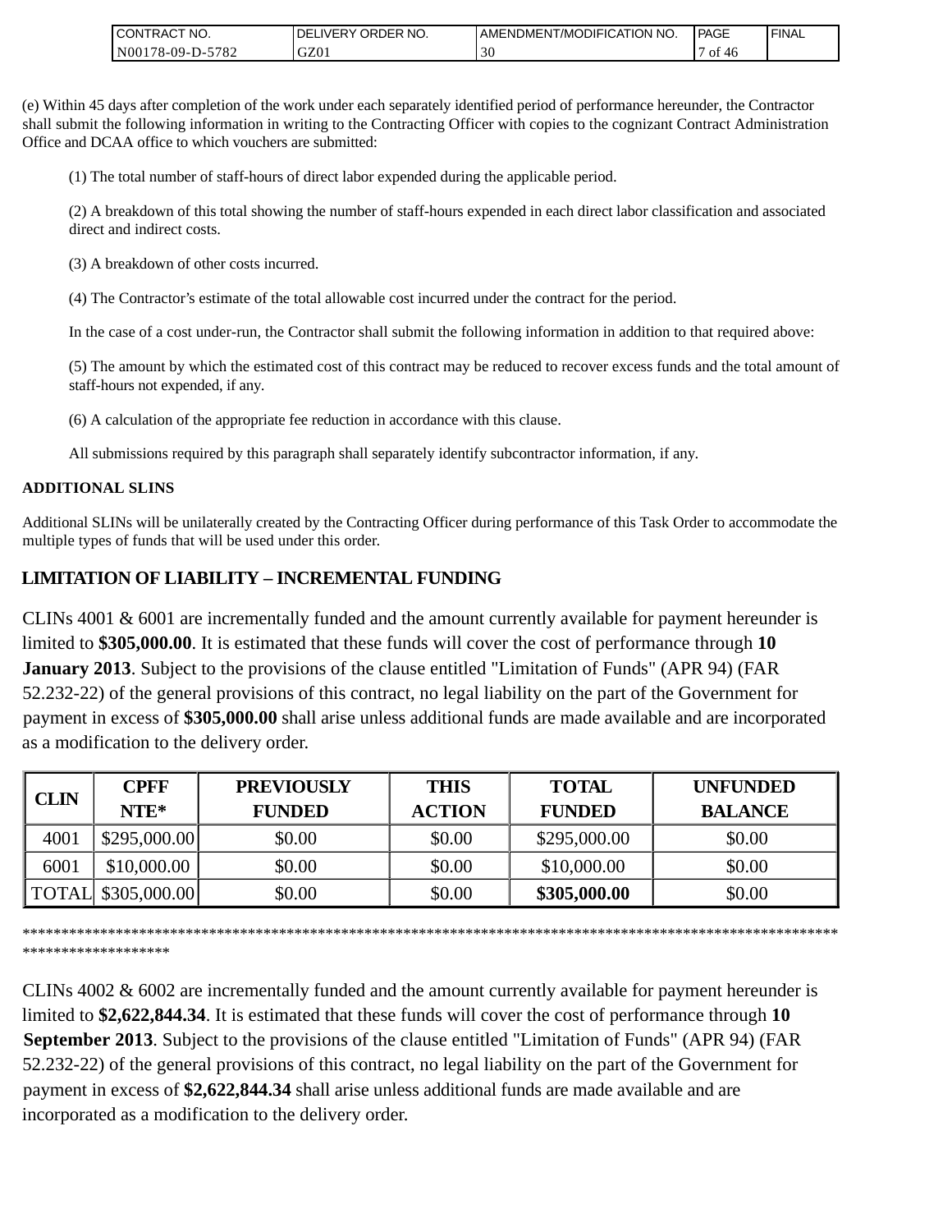| <b>CONTRACT NO.</b>       | ' ORDER NO.<br><b>DELIVERY</b> | AMENDMENT/MODIFICATION NO. | <b>PAGE</b> | 'FINAL |
|---------------------------|--------------------------------|----------------------------|-------------|--------|
| N00<br>-5782<br>/8-09-D-5 | GZ01                           | 30                         | Οİ<br>46    |        |

(e) Within 45 days after completion of the work under each separately identified period of performance hereunder, the Contractor shall submit the following information in writing to the Contracting Officer with copies to the cognizant Contract Administration Office and DCAA office to which vouchers are submitted:

(1) The total number of staff-hours of direct labor expended during the applicable period.

(2) A breakdown of this total showing the number of staff-hours expended in each direct labor classification and associated direct and indirect costs.

(3) A breakdown of other costs incurred.

(4) The Contractor's estimate of the total allowable cost incurred under the contract for the period.

In the case of a cost under-run, the Contractor shall submit the following information in addition to that required above:

(5) The amount by which the estimated cost of this contract may be reduced to recover excess funds and the total amount of staff-hours not expended, if any.

(6) A calculation of the appropriate fee reduction in accordance with this clause.

All submissions required by this paragraph shall separately identify subcontractor information, if any.

### **ADDITIONAL SLINS**

Additional SLINs will be unilaterally created by the Contracting Officer during performance of this Task Order to accommodate the multiple types of funds that will be used under this order.

# **LIMITATION OF LIABILITY – INCREMENTAL FUNDING**

CLINs 4001 & 6001 are incrementally funded and the amount currently available for payment hereunder is limited to **\$305,000.00**. It is estimated that these funds will cover the cost of performance through **10 January 2013**. Subject to the provisions of the clause entitled "Limitation of Funds" (APR 94) (FAR 52.232-22) of the general provisions of this contract, no legal liability on the part of the Government for payment in excess of **\$305,000.00** shall arise unless additional funds are made available and are incorporated as a modification to the delivery order.

| <b>CLIN</b> | <b>CPFF</b>         | <b>PREVIOUSLY</b> | <b>THIS</b>   | <b>TOTAL</b>  | <b>UNFUNDED</b> |
|-------------|---------------------|-------------------|---------------|---------------|-----------------|
|             | $NTE*$              | <b>FUNDED</b>     | <b>ACTION</b> | <b>FUNDED</b> | <b>BALANCE</b>  |
| 4001        | \$295,000.00]       | \$0.00            | \$0.00        | \$295,000.00  | \$0.00          |
| 6001        | \$10,000.00         | \$0.00            | \$0.00        | \$10,000.00   | \$0.00          |
|             | TOTAL \\$305,000.00 | \$0.00            | \$0.00        | \$305,000.00  | \$0.00          |

\*\*\*\*\*\*\*\*\*\*\*\*\*\*\*\*\*\*\*\*\*\*\*\*\*\*\*\*\*\*\*\*\*\*\*\*\*\*\*\*\*\*\*\*\*\*\*\*\*\*\*\*\*\*\*\*\*\*\*\*\*\*\*\*\*\*\*\*\*\*\*\*\*\*\*\*\*\*\*\*\*\*\*\*\*\*\*\*\*\*\*\*\*\*\*\*\*\*\*\*\*\*\*\*\*

\*\*\*\*\*\*\*\*\*\*\*\*\*\*\*\*\*\*\*

CLINs 4002 & 6002 are incrementally funded and the amount currently available for payment hereunder is limited to **\$2,622,844.34**. It is estimated that these funds will cover the cost of performance through **10 September 2013**. Subject to the provisions of the clause entitled "Limitation of Funds" (APR 94) (FAR 52.232-22) of the general provisions of this contract, no legal liability on the part of the Government for payment in excess of **\$2,622,844.34** shall arise unless additional funds are made available and are incorporated as a modification to the delivery order.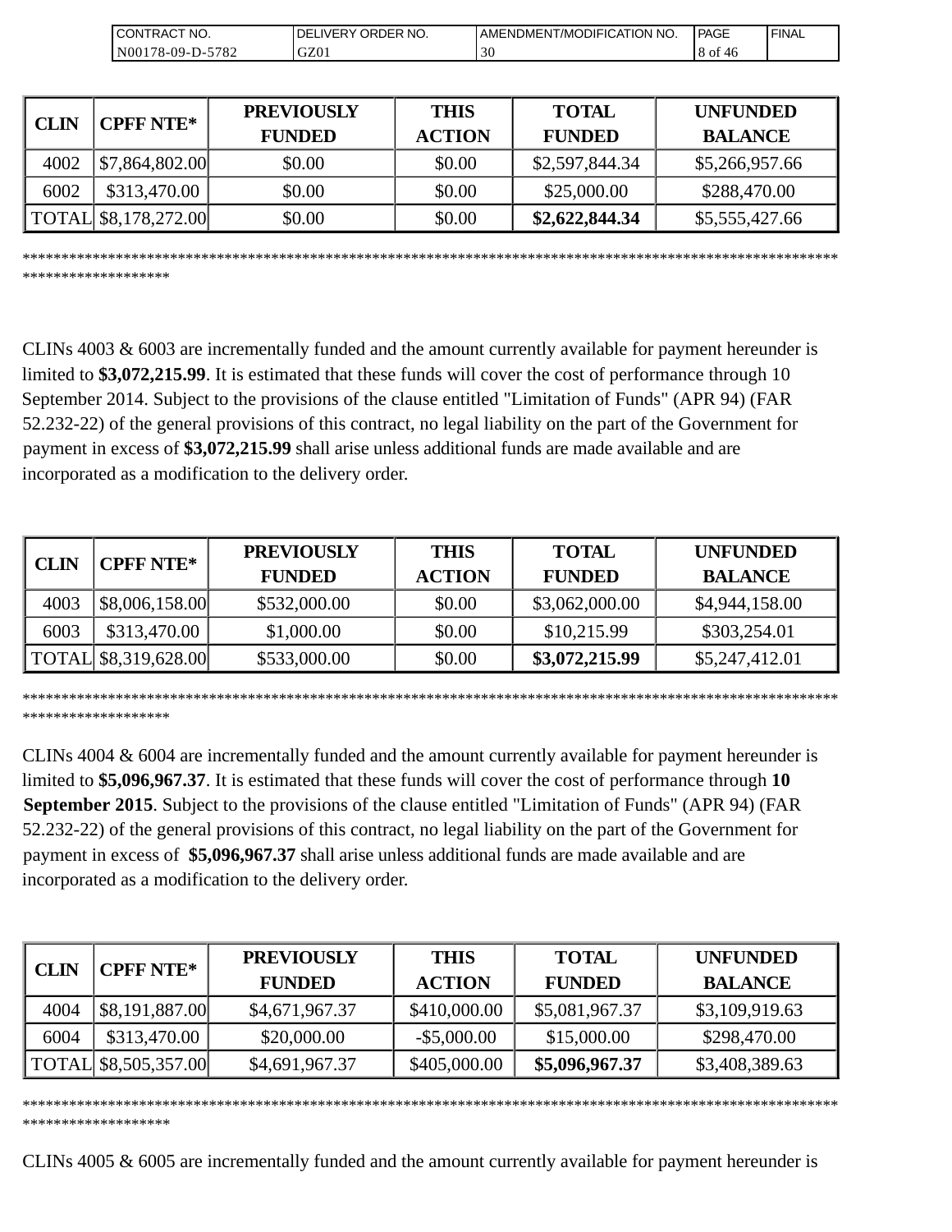| CT NO.<br>'⊤RA∟<br>ΙN               | ORDER NO.<br>DF<br><b>IVER</b> | AMENDMENT/MODIFICATION NO. | PAGE       | <b>FINAL</b> |
|-------------------------------------|--------------------------------|----------------------------|------------|--------------|
| 5782<br>$.78 - 09 - D - 57$<br>N001 | GZ01                           | $\sim$<br>3U               | 8 of<br>46 |              |

| <b>CLIN</b> | <b>CPFF NTE*</b>     | <b>PREVIOUSLY</b><br><b>FUNDED</b> | <b>THIS</b><br><b>ACTION</b> | <b>TOTAL</b><br><b>FUNDED</b> | <b>UNFUNDED</b><br><b>BALANCE</b> |
|-------------|----------------------|------------------------------------|------------------------------|-------------------------------|-----------------------------------|
| 4002        | \$7,864,802.00       | \$0.00                             | \$0.00                       | \$2,597,844.34                | \$5,266,957.66                    |
| 6002        | \$313,470.00         | \$0.00                             | \$0.00                       | \$25,000.00                   | \$288,470.00                      |
|             | TOTAL \$8,178,272.00 | \$0.00                             | \$0.00                       | \$2,622,844.34                | \$5,555,427.66                    |

CLINs 4003 & 6003 are incrementally funded and the amount currently available for payment hereunder is

\*\*\*\*\*\*\*\*\*\*\*\*\*\*\*\*\*\*\*\*\*\*\*\*\*\*\*\*\*\*\*\*\*\*\*\*\*\*\*\*\*\*\*\*\*\*\*\*\*\*\*\*\*\*\*\*\*\*\*\*\*\*\*\*\*\*\*\*\*\*\*\*\*\*\*\*\*\*\*\*\*\*\*\*\*\*\*\*\*\*\*\*\*\*\*\*\*\*\*\*\*\*\*\*\*

\*\*\*\*\*\*\*\*\*\*\*\*\*\*\*\*\*\*\*

limited to **\$3,072,215.99**. It is estimated that these funds will cover the cost of performance through 10 September 2014. Subject to the provisions of the clause entitled "Limitation of Funds" (APR 94) (FAR 52.232-22) of the general provisions of this contract, no legal liability on the part of the Government for payment in excess of **\$3,072,215.99** shall arise unless additional funds are made available and are incorporated as a modification to the delivery order.

| <b>CPFF NTE*</b><br><b>CLIN</b> |                                      | <b>PREVIOUSLY</b> | <b>THIS</b>   | <b>TOTAL</b>   | <b>UNFUNDED</b> |
|---------------------------------|--------------------------------------|-------------------|---------------|----------------|-----------------|
|                                 |                                      | <b>FUNDED</b>     | <b>ACTION</b> | <b>FUNDED</b>  | <b>BALANCE</b>  |
| 4003                            | \$8,006,158.00                       | \$532,000.00      | \$0.00        | \$3,062,000.00 | \$4,944,158.00  |
| 6003                            | \$313,470.00                         | \$1,000.00        | \$0.00        | \$10,215.99    | \$303,254.01    |
|                                 | $\vert$ TOTAL $\vert$ \$8,319,628.00 | \$533,000.00      | \$0.00        | \$3,072,215.99 | \$5,247,412.01  |

\*\*\*\*\*\*\*\*\*\*\*\*\*\*\*\*\*\*\*\*\*\*\*\*\*\*\*\*\*\*\*\*\*\*\*\*\*\*\*\*\*\*\*\*\*\*\*\*\*\*\*\*\*\*\*\*\*\*\*\*\*\*\*\*\*\*\*\*\*\*\*\*\*\*\*\*\*\*\*\*\*\*\*\*\*\*\*\*\*\*\*\*\*\*\*\*\*\*\*\*\*\*\*\*\* \*\*\*\*\*\*\*\*\*\*\*\*\*\*\*\*\*\*\*

CLINs 4004 & 6004 are incrementally funded and the amount currently available for payment hereunder is limited to **\$5,096,967.37**. It is estimated that these funds will cover the cost of performance through **10 September 2015**. Subject to the provisions of the clause entitled "Limitation of Funds" (APR 94) (FAR 52.232-22) of the general provisions of this contract, no legal liability on the part of the Government for payment in excess of **\$5,096,967.37** shall arise unless additional funds are made available and are incorporated as a modification to the delivery order.

| <b>CLIN</b> | <b>CPFF NTE*</b>     | <b>PREVIOUSLY</b><br><b>FUNDED</b> | <b>THIS</b><br><b>ACTION</b> | <b>TOTAL</b><br><b>FUNDED</b> | <b>UNFUNDED</b><br><b>BALANCE</b> |
|-------------|----------------------|------------------------------------|------------------------------|-------------------------------|-----------------------------------|
| 4004        | \$8,191,887.00       | \$4,671,967.37                     | \$410,000.00                 | \$5,081,967.37                | \$3,109,919.63                    |
| 6004        | \$313,470.00         | \$20,000.00                        | $-$ \$5,000.00               | \$15,000.00                   | \$298,470.00                      |
|             | TOTAL \$8,505,357.00 | \$4,691,967.37                     | \$405,000.00                 | \$5,096,967.37                | \$3,408,389.63                    |

\*\*\*\*\*\*\*\*\*\*\*\*\*\*\*\*\*\*\*\*\*\*\*\*\*\*\*\*\*\*\*\*\*\*\*\*\*\*\*\*\*\*\*\*\*\*\*\*\*\*\*\*\*\*\*\*\*\*\*\*\*\*\*\*\*\*\*\*\*\*\*\*\*\*\*\*\*\*\*\*\*\*\*\*\*\*\*\*\*\*\*\*\*\*\*\*\*\*\*\*\*\*\*\*\* \*\*\*\*\*\*\*\*\*\*\*\*\*\*\*\*\*\*\*

CLINs 4005 & 6005 are incrementally funded and the amount currently available for payment hereunder is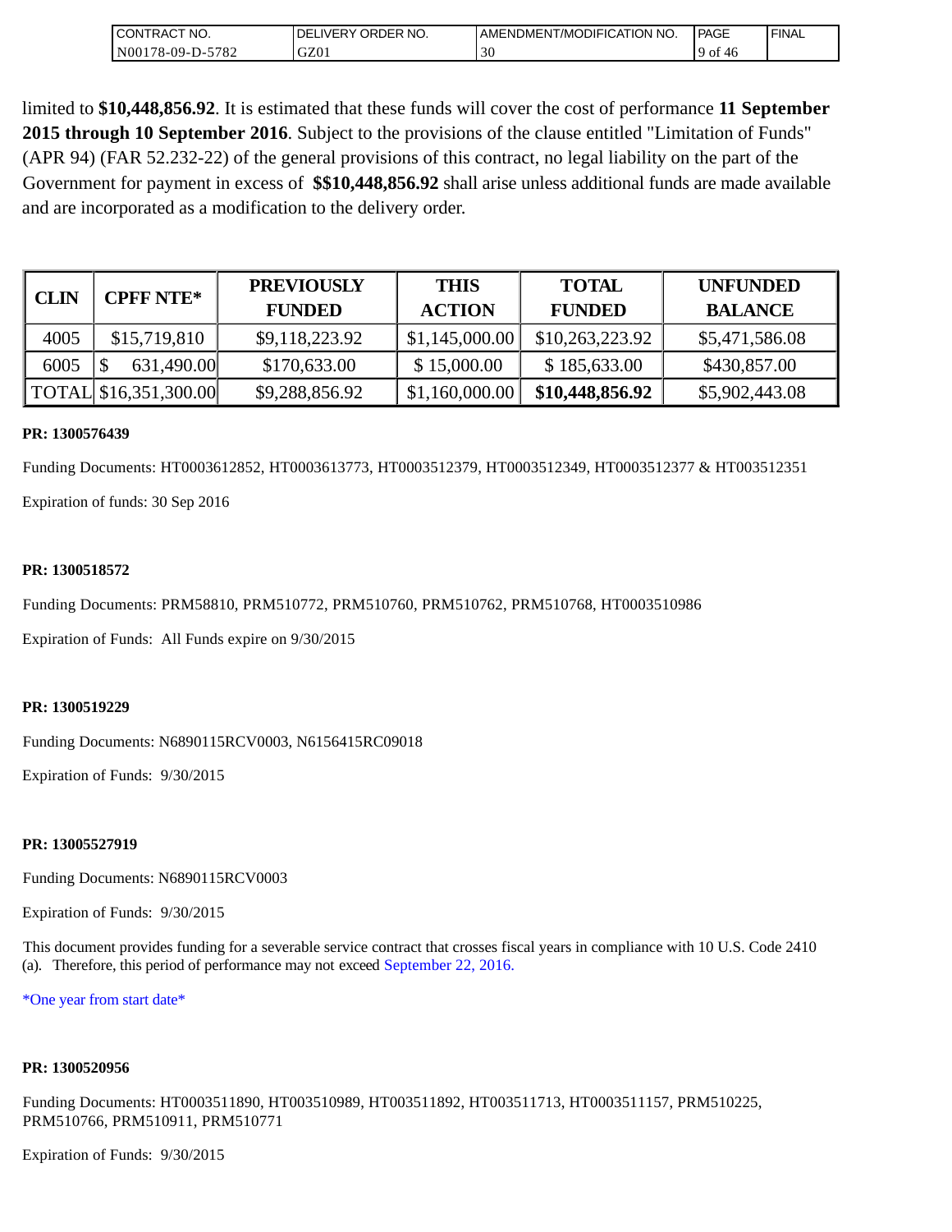| <b>CONTRACT NO.</b> | NO.<br>DELIVERY ORDER | I AMENDMENT/MODIFICATION NO. | <b>PAGE</b> | ' FINAL |
|---------------------|-----------------------|------------------------------|-------------|---------|
| N00178-09-D-5782    | GZ01                  | 30                           | -of<br>4c   |         |

limited to **\$10,448,856.92**. It is estimated that these funds will cover the cost of performance **11 September 2015 through 10 September 2016**. Subject to the provisions of the clause entitled "Limitation of Funds" (APR 94) (FAR 52.232-22) of the general provisions of this contract, no legal liability on the part of the Government for payment in excess of **\$\$10,448,856.92** shall arise unless additional funds are made available and are incorporated as a modification to the delivery order.

| <b>CLIN</b> | <b>CPFF NTE*</b>                      | <b>PREVIOUSLY</b><br><b>FUNDED</b> | <b>THIS</b><br><b>ACTION</b> | <b>TOTAL</b><br><b>FUNDED</b> | <b>UNFUNDED</b><br><b>BALANCE</b> |
|-------------|---------------------------------------|------------------------------------|------------------------------|-------------------------------|-----------------------------------|
| 4005        | \$15,719,810                          | \$9,118,223.92                     | \$1,145,000.00               | \$10,263,223.92               | \$5,471,586.08                    |
| 6005        | 631,490.00                            | \$170,633.00                       | \$15,000.00                  | \$185,633.00                  | \$430,857.00                      |
|             | $\vert$ TOTAL $\vert$ \$16,351,300.00 | \$9,288,856.92                     | \$1,160,000.00               | \$10,448,856.92               | \$5,902,443.08                    |

#### **PR: 1300576439**

Funding Documents: HT0003612852, HT0003613773, HT0003512379, HT0003512349, HT0003512377 & HT003512351 Expiration of funds: 30 Sep 2016

#### **PR: 1300518572**

Funding Documents: PRM58810, PRM510772, PRM510760, PRM510762, PRM510768, HT0003510986

Expiration of Funds: All Funds expire on 9/30/2015

#### **PR: 1300519229**

Funding Documents: N6890115RCV0003, N6156415RC09018

Expiration of Funds: 9/30/2015

#### **PR: 13005527919**

Funding Documents: N6890115RCV0003

Expiration of Funds: 9/30/2015

This document provides funding for a severable service contract that crosses fiscal years in compliance with 10 U.S. Code 2410 (a). Therefore, this period of performance may not exceed September 22, 2016.

\*One year from start date\*

#### **PR: 1300520956**

Funding Documents: HT0003511890, HT003510989, HT003511892, HT003511713, HT0003511157, PRM510225, PRM510766, PRM510911, PRM510771

Expiration of Funds: 9/30/2015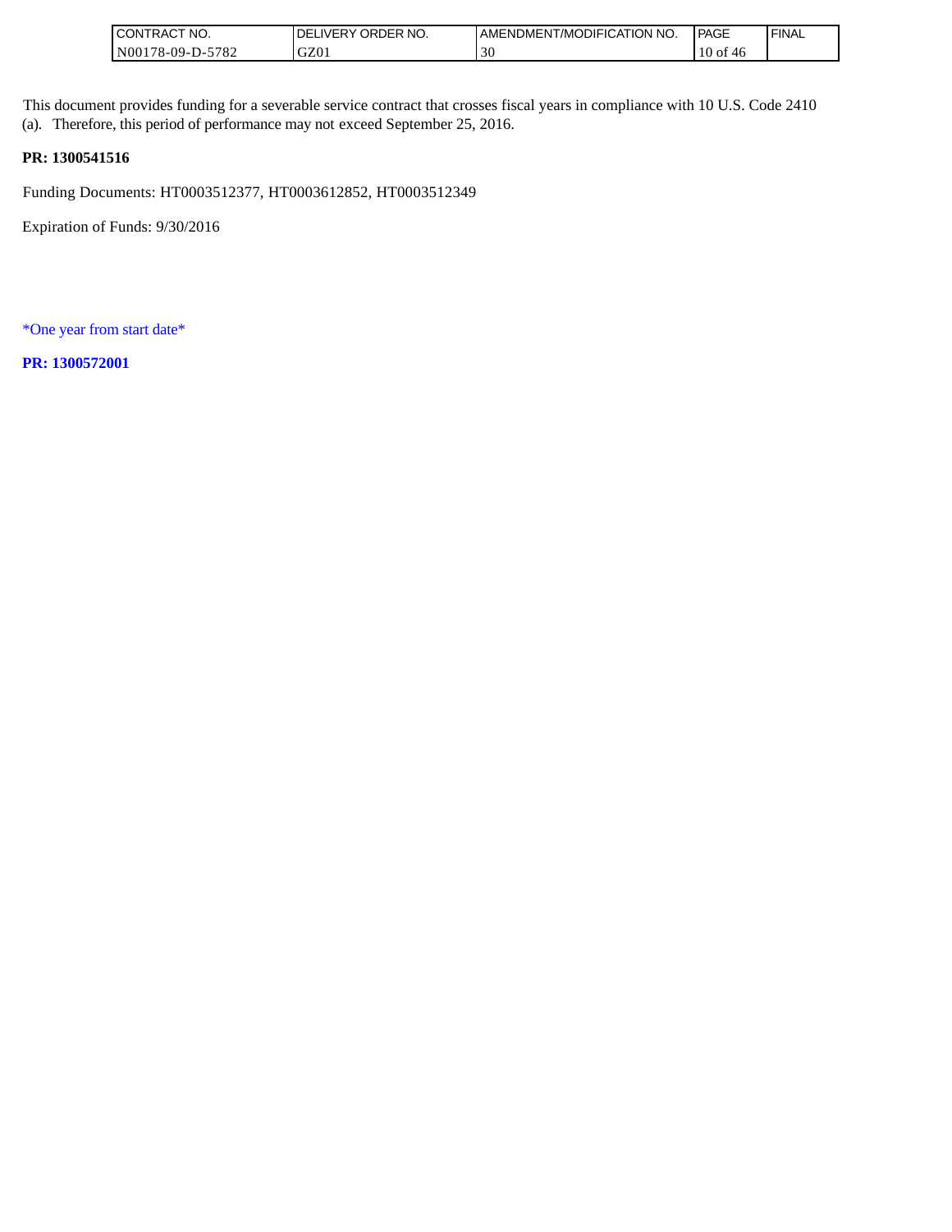| `NO.<br><b>CONTRACT</b> | NO.<br>ORDER<br><b>LIVERY</b><br>DE. | AMENDMENT/MODIFICATION NO. | <b>PAGE</b>     | <b>FINAL</b> |
|-------------------------|--------------------------------------|----------------------------|-----------------|--------------|
| 5782<br>$N00178-09-D$ - | GZ01                                 |                            | 10<br>0Ī<br>-46 |              |

This document provides funding for a severable service contract that crosses fiscal years in compliance with 10 U.S. Code 2410 (a). Therefore, this period of performance may not exceed September 25, 2016.

### **PR: 1300541516**

Funding Documents: HT0003512377, HT0003612852, HT0003512349

Expiration of Funds: 9/30/2016

\*One year from start date\*

**PR: 1300572001**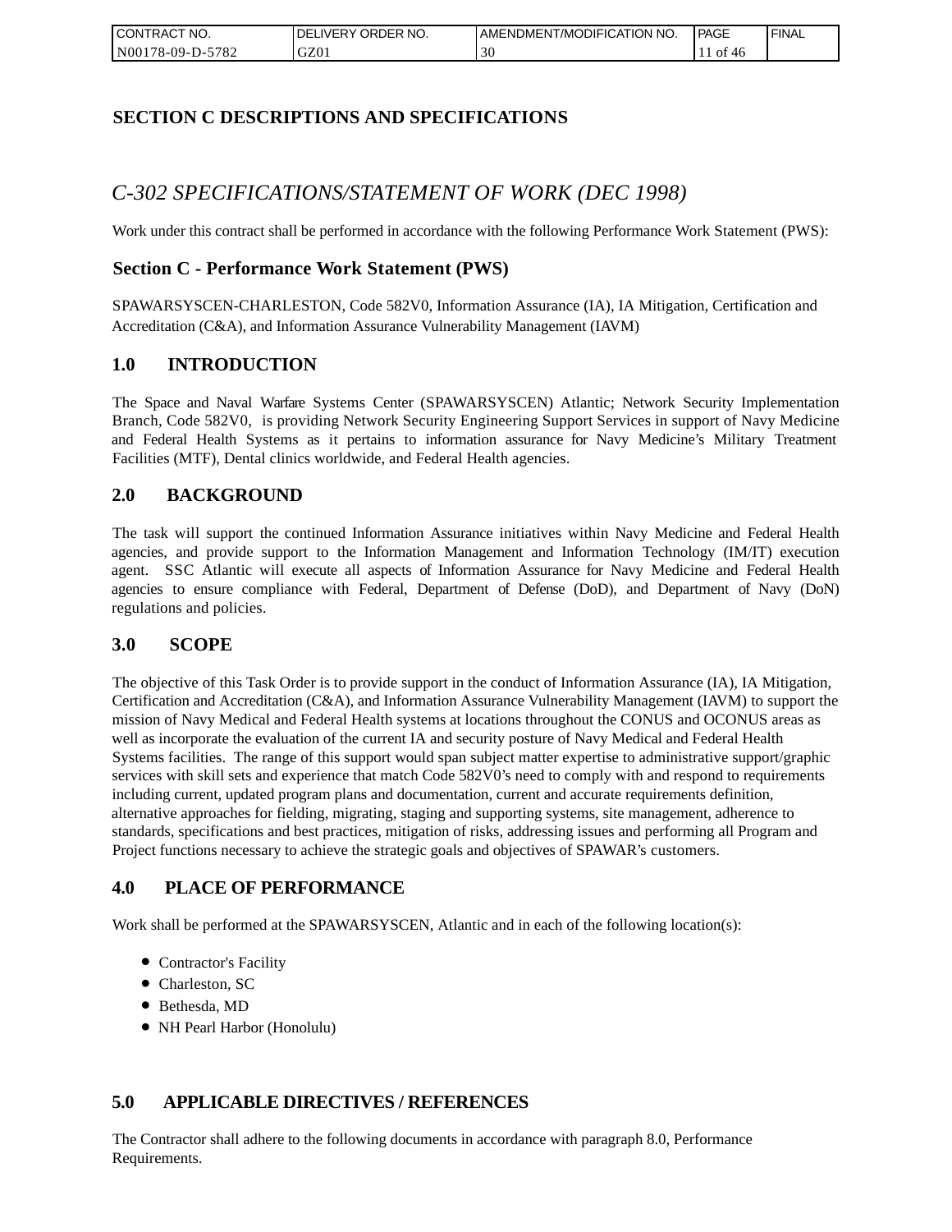| I CONTRACT NO.   | DELIVERY ORDER NO. | AMENDMENT/MODIFICATION NO. | PAGE      | 'FINAL |
|------------------|--------------------|----------------------------|-----------|--------|
| N00178-09-D-5782 | GZ01               | 30                         | ОI<br>-46 |        |

## **SECTION C DESCRIPTIONS AND SPECIFICATIONS**

# *C-302 SPECIFICATIONS/STATEMENT OF WORK (DEC 1998)*

Work under this contract shall be performed in accordance with the following Performance Work Statement (PWS):

## **Section C - Performance Work Statement (PWS)**

SPAWARSYSCEN-CHARLESTON, Code 582V0, Information Assurance (IA), IA Mitigation, Certification and Accreditation (C&A), and Information Assurance Vulnerability Management (IAVM)

### **1.0 INTRODUCTION**

The Space and Naval Warfare Systems Center (SPAWARSYSCEN) Atlantic; Network Security Implementation Branch, Code 582V0, is providing Network Security Engineering Support Services in support of Navy Medicine and Federal Health Systems as it pertains to information assurance for Navy Medicine's Military Treatment Facilities (MTF), Dental clinics worldwide, and Federal Health agencies.

## **2.0 BACKGROUND**

The task will support the continued Information Assurance initiatives within Navy Medicine and Federal Health agencies, and provide support to the Information Management and Information Technology (IM/IT) execution agent. SSC Atlantic will execute all aspects of Information Assurance for Navy Medicine and Federal Health agencies to ensure compliance with Federal, Department of Defense (DoD), and Department of Navy (DoN) regulations and policies.

### **3.0 SCOPE**

The objective of this Task Order is to provide support in the conduct of Information Assurance (IA), IA Mitigation, Certification and Accreditation (C&A), and Information Assurance Vulnerability Management (IAVM) to support the mission of Navy Medical and Federal Health systems at locations throughout the CONUS and OCONUS areas as well as incorporate the evaluation of the current IA and security posture of Navy Medical and Federal Health Systems facilities. The range of this support would span subject matter expertise to administrative support/graphic services with skill sets and experience that match Code 582V0's need to comply with and respond to requirements including current, updated program plans and documentation, current and accurate requirements definition, alternative approaches for fielding, migrating, staging and supporting systems, site management, adherence to standards, specifications and best practices, mitigation of risks, addressing issues and performing all Program and Project functions necessary to achieve the strategic goals and objectives of SPAWAR's customers.

## **4.0 PLACE OF PERFORMANCE**

Work shall be performed at the SPAWARSYSCEN, Atlantic and in each of the following location(s):

- Contractor's Facility
- Charleston, SC
- Bethesda, MD
- NH Pearl Harbor (Honolulu)

## **5.0 APPLICABLE DIRECTIVES / REFERENCES**

The Contractor shall adhere to the following documents in accordance with paragraph 8.0, Performance Requirements.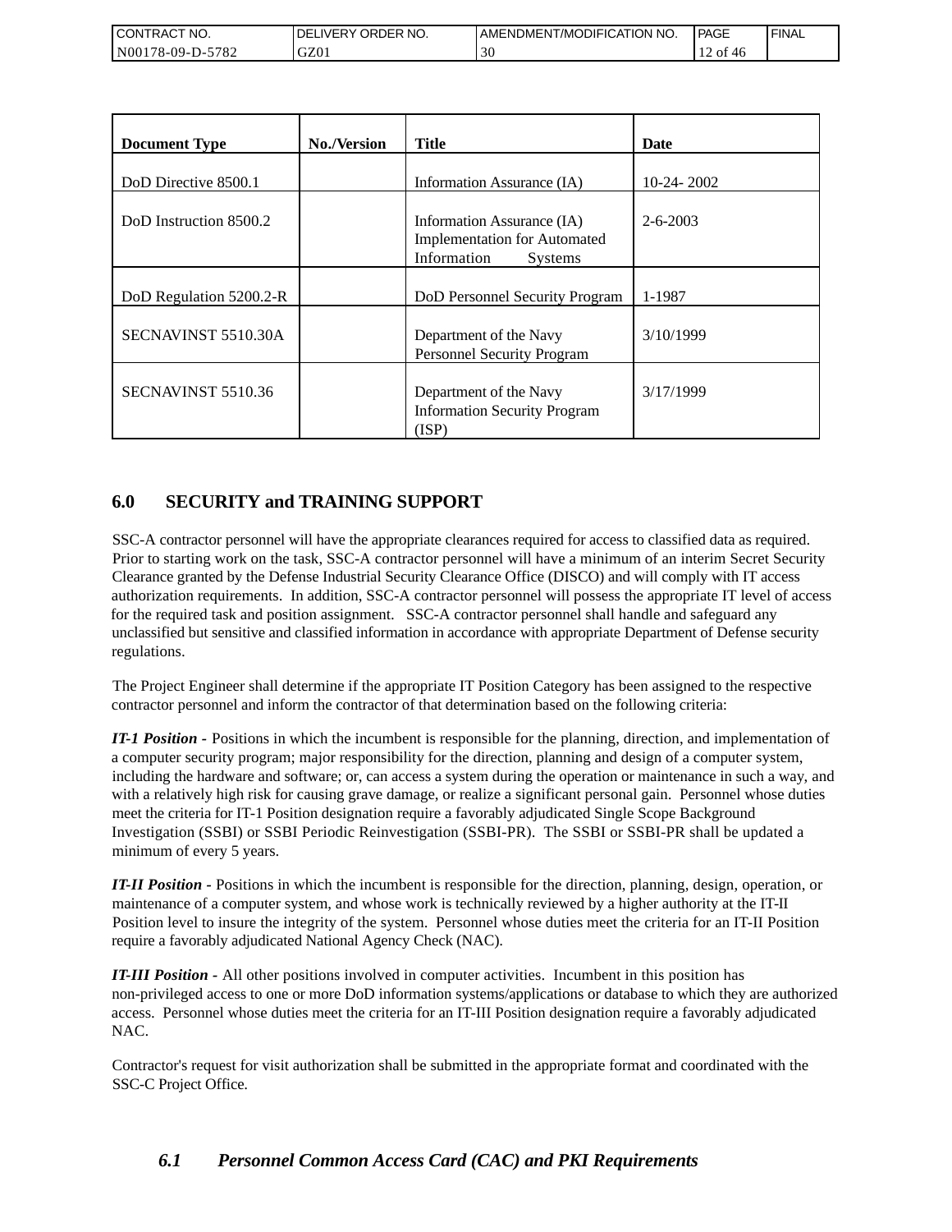| <b>I CONTRACT NO.</b>              | DELIVERY ORDER NO. | AMENDMENT/MODIFICATION NO. | <b>PAGE</b>             | <b>FINAL</b> |
|------------------------------------|--------------------|----------------------------|-------------------------|--------------|
| 5782<br>N001<br>$178 - 09 - D - 5$ | GZ01               | 30                         | $\pm 2$ of $\ell$<br>40 |              |

| <b>Document Type</b>    | <b>No./Version</b> | <b>Title</b>                                                                                       | Date           |
|-------------------------|--------------------|----------------------------------------------------------------------------------------------------|----------------|
| DoD Directive 8500.1    |                    | Information Assurance (IA)                                                                         | $10-24-2002$   |
| DoD Instruction 8500.2  |                    | Information Assurance (IA)<br><b>Implementation for Automated</b><br>Information<br><b>Systems</b> | $2 - 6 - 2003$ |
| DoD Regulation 5200.2-R |                    | DoD Personnel Security Program                                                                     | 1-1987         |
| SECNAVINST 5510.30A     |                    | Department of the Navy<br>Personnel Security Program                                               | 3/10/1999      |
| SECNAVINST 5510.36      |                    | Department of the Navy<br><b>Information Security Program</b><br>(ISP)                             | 3/17/1999      |

## **6.0 SECURITY and TRAINING SUPPORT**

SSC-A contractor personnel will have the appropriate clearances required for access to classified data as required. Prior to starting work on the task, SSC-A contractor personnel will have a minimum of an interim Secret Security Clearance granted by the Defense Industrial Security Clearance Office (DISCO) and will comply with IT access authorization requirements. In addition, SSC-A contractor personnel will possess the appropriate IT level of access for the required task and position assignment. SSC-A contractor personnel shall handle and safeguard any unclassified but sensitive and classified information in accordance with appropriate Department of Defense security regulations.

The Project Engineer shall determine if the appropriate IT Position Category has been assigned to the respective contractor personnel and inform the contractor of that determination based on the following criteria:

*IT-1 Position -* Positions in which the incumbent is responsible for the planning, direction, and implementation of a computer security program; major responsibility for the direction, planning and design of a computer system, including the hardware and software; or, can access a system during the operation or maintenance in such a way, and with a relatively high risk for causing grave damage, or realize a significant personal gain. Personnel whose duties meet the criteria for IT-1 Position designation require a favorably adjudicated Single Scope Background Investigation (SSBI) or SSBI Periodic Reinvestigation (SSBI-PR). The SSBI or SSBI-PR shall be updated a minimum of every 5 years.

*IT-II Position -* Positions in which the incumbent is responsible for the direction, planning, design, operation, or maintenance of a computer system, and whose work is technically reviewed by a higher authority at the IT-II Position level to insure the integrity of the system. Personnel whose duties meet the criteria for an IT-II Position require a favorably adjudicated National Agency Check (NAC).

*IT-III Position -* All other positions involved in computer activities. Incumbent in this position has non-privileged access to one or more DoD information systems/applications or database to which they are authorized access. Personnel whose duties meet the criteria for an IT-III Position designation require a favorably adjudicated NAC.

Contractor's request for visit authorization shall be submitted in the appropriate format and coordinated with the SSC-C Project Office.

## *6.1 Personnel Common Access Card (CAC) and PKI Requirements*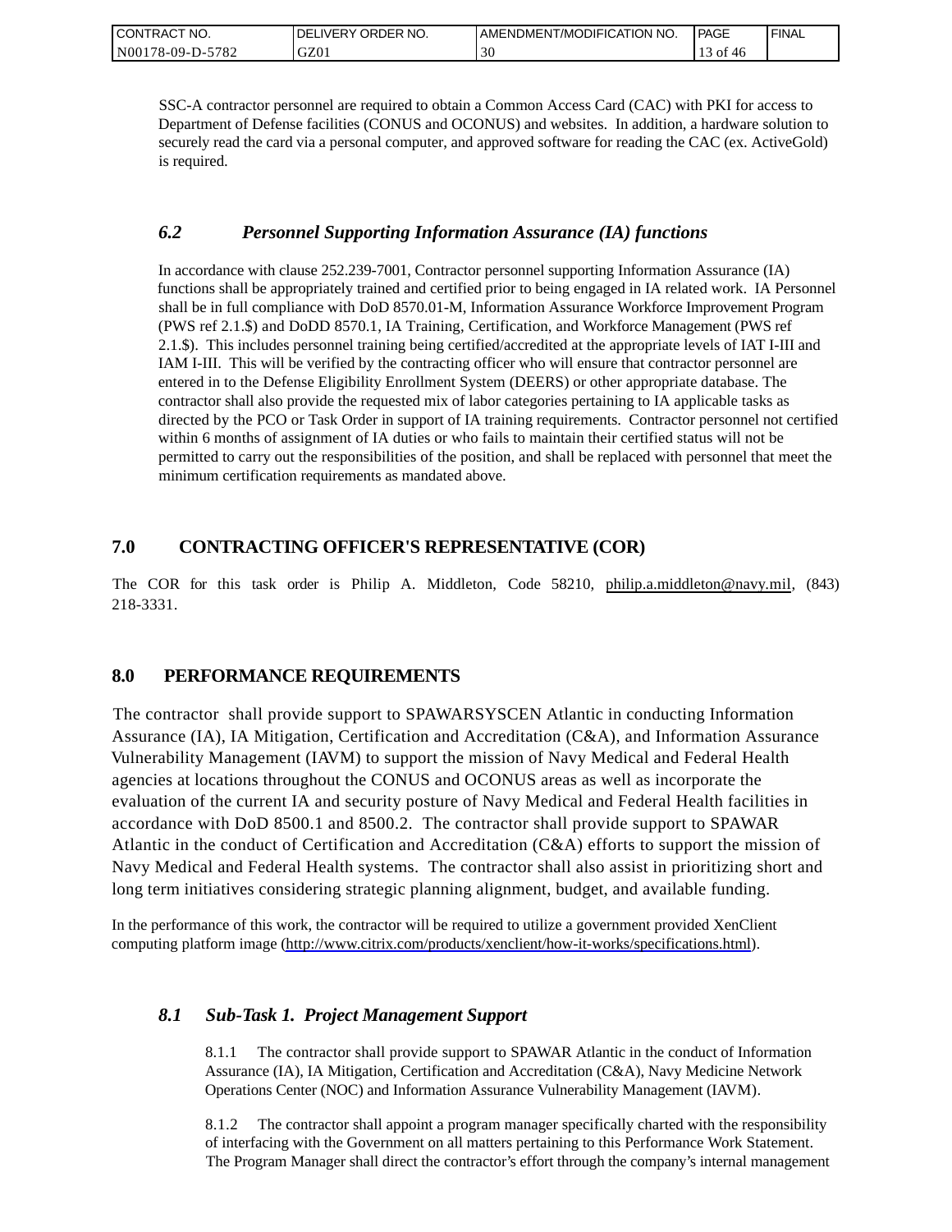| CONTRACT NO.     | ORDER NO.<br><b>DELIVERY</b> | I AMENDMENT/MODIFICATION NO. | PAGE  | ' FINAL |
|------------------|------------------------------|------------------------------|-------|---------|
| N00178-09-D-5782 | GZ01                         | $\Delta$ r<br>3U             | of 46 |         |

SSC-A contractor personnel are required to obtain a Common Access Card (CAC) with PKI for access to Department of Defense facilities (CONUS and OCONUS) and websites. In addition, a hardware solution to securely read the card via a personal computer, and approved software for reading the CAC (ex. ActiveGold) is required.

### *6.2 Personnel Supporting Information Assurance (IA) functions*

In accordance with clause 252.239-7001, Contractor personnel supporting Information Assurance (IA) functions shall be appropriately trained and certified prior to being engaged in IA related work. IA Personnel shall be in full compliance with DoD 8570.01-M, Information Assurance Workforce Improvement Program (PWS ref 2.1.\$) and DoDD 8570.1, IA Training, Certification, and Workforce Management (PWS ref 2.1.\$). This includes personnel training being certified/accredited at the appropriate levels of IAT I-III and IAM I-III. This will be verified by the contracting officer who will ensure that contractor personnel are entered in to the Defense Eligibility Enrollment System (DEERS) or other appropriate database. The contractor shall also provide the requested mix of labor categories pertaining to IA applicable tasks as directed by the PCO or Task Order in support of IA training requirements. Contractor personnel not certified within 6 months of assignment of IA duties or who fails to maintain their certified status will not be permitted to carry out the responsibilities of the position, and shall be replaced with personnel that meet the minimum certification requirements as mandated above.

## **7.0 CONTRACTING OFFICER'S REPRESENTATIVE (COR)**

The COR for this task order is Philip A. Middleton, Code 58210, [philip.a.middleton@navy.mil,](mailto:cphilip.a.middleton@navy.mil) (843) 218-3331.

## **8.0 PERFORMANCE REQUIREMENTS**

The contractor shall provide support to SPAWARSYSCEN Atlantic in conducting Information Assurance (IA), IA Mitigation, Certification and Accreditation (C&A), and Information Assurance Vulnerability Management (IAVM) to support the mission of Navy Medical and Federal Health agencies at locations throughout the CONUS and OCONUS areas as well as incorporate the evaluation of the current IA and security posture of Navy Medical and Federal Health facilities in accordance with DoD 8500.1 and 8500.2. The contractor shall provide support to SPAWAR Atlantic in the conduct of Certification and Accreditation (C&A) efforts to support the mission of Navy Medical and Federal Health systems. The contractor shall also assist in prioritizing short and long term initiatives considering strategic planning alignment, budget, and available funding.

In the performance of this work, the contractor will be required to utilize a government provided XenClient computing platform image [\(http://www.citrix.com/products/xenclient/how-it-works/specifications.html\)](http://www.citrix.com/products/xenclient/how-it-works/specifications.html).

## *8.1 Sub-Task 1. Project Management Support*

8.1.1 The contractor shall provide support to SPAWAR Atlantic in the conduct of Information Assurance (IA), IA Mitigation, Certification and Accreditation (C&A), Navy Medicine Network Operations Center (NOC) and Information Assurance Vulnerability Management (IAVM).

8.1.2 The contractor shall appoint a program manager specifically charted with the responsibility of interfacing with the Government on all matters pertaining to this Performance Work Statement. The Program Manager shall direct the contractor's effort through the company's internal management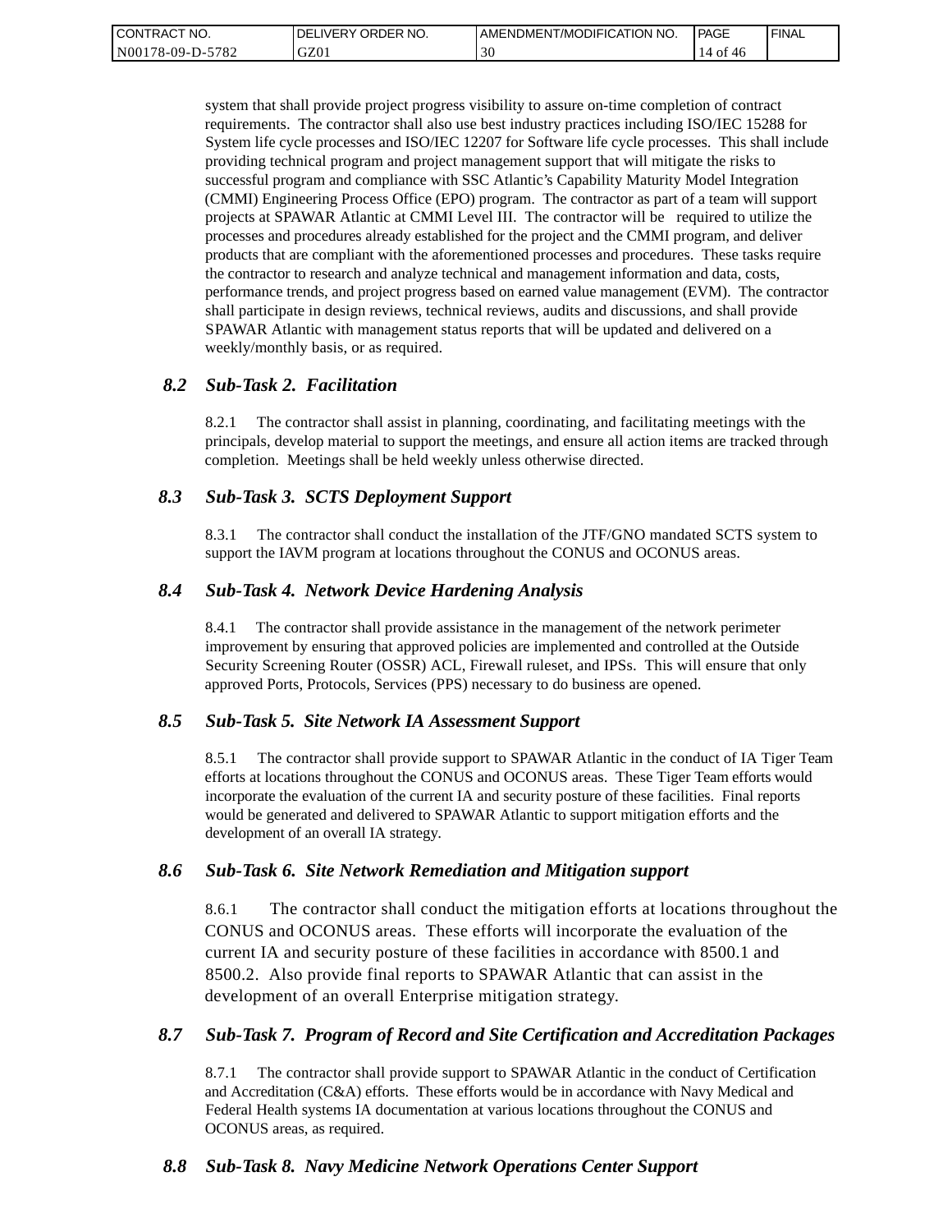| <b>CONTRACT</b><br>" NO. | ' ORDER NO.<br><b>DELIVERY</b> | I AMENDMENT/MODIFICATION NO. | PAGE                          | ' FINAL |
|--------------------------|--------------------------------|------------------------------|-------------------------------|---------|
| N00178-09-D-5782         | GZ01                           | 30                           | - of<br>46<br>14 <sup>-</sup> |         |

system that shall provide project progress visibility to assure on-time completion of contract requirements. The contractor shall also use best industry practices including ISO/IEC 15288 for System life cycle processes and ISO/IEC 12207 for Software life cycle processes. This shall include providing technical program and project management support that will mitigate the risks to successful program and compliance with SSC Atlantic's Capability Maturity Model Integration (CMMI) Engineering Process Office (EPO) program. The contractor as part of a team will support projects at SPAWAR Atlantic at CMMI Level III. The contractor will be required to utilize the processes and procedures already established for the project and the CMMI program, and deliver products that are compliant with the aforementioned processes and procedures. These tasks require the contractor to research and analyze technical and management information and data, costs, performance trends, and project progress based on earned value management (EVM). The contractor shall participate in design reviews, technical reviews, audits and discussions, and shall provide SPAWAR Atlantic with management status reports that will be updated and delivered on a weekly/monthly basis, or as required.

### *8.2 Sub-Task 2. Facilitation*

8.2.1 The contractor shall assist in planning, coordinating, and facilitating meetings with the principals, develop material to support the meetings, and ensure all action items are tracked through completion. Meetings shall be held weekly unless otherwise directed.

### *8.3 Sub-Task 3. SCTS Deployment Support*

8.3.1 The contractor shall conduct the installation of the JTF/GNO mandated SCTS system to support the IAVM program at locations throughout the CONUS and OCONUS areas.

### *8.4 Sub-Task 4. Network Device Hardening Analysis*

8.4.1 The contractor shall provide assistance in the management of the network perimeter improvement by ensuring that approved policies are implemented and controlled at the Outside Security Screening Router (OSSR) ACL, Firewall ruleset, and IPSs. This will ensure that only approved Ports, Protocols, Services (PPS) necessary to do business are opened.

### *8.5 Sub-Task 5. Site Network IA Assessment Support*

8.5.1 The contractor shall provide support to SPAWAR Atlantic in the conduct of IA Tiger Team efforts at locations throughout the CONUS and OCONUS areas. These Tiger Team efforts would incorporate the evaluation of the current IA and security posture of these facilities. Final reports would be generated and delivered to SPAWAR Atlantic to support mitigation efforts and the development of an overall IA strategy.

### *8.6 Sub-Task 6. Site Network Remediation and Mitigation support*

8.6.1 The contractor shall conduct the mitigation efforts at locations throughout the CONUS and OCONUS areas. These efforts will incorporate the evaluation of the current IA and security posture of these facilities in accordance with 8500.1 and 8500.2. Also provide final reports to SPAWAR Atlantic that can assist in the development of an overall Enterprise mitigation strategy.

### *8.7 Sub-Task 7. Program of Record and Site Certification and Accreditation Packages*

8.7.1 The contractor shall provide support to SPAWAR Atlantic in the conduct of Certification and Accreditation (C&A) efforts. These efforts would be in accordance with Navy Medical and Federal Health systems IA documentation at various locations throughout the CONUS and OCONUS areas, as required.

### *8.8 Sub-Task 8. Navy Medicine Network Operations Center Support*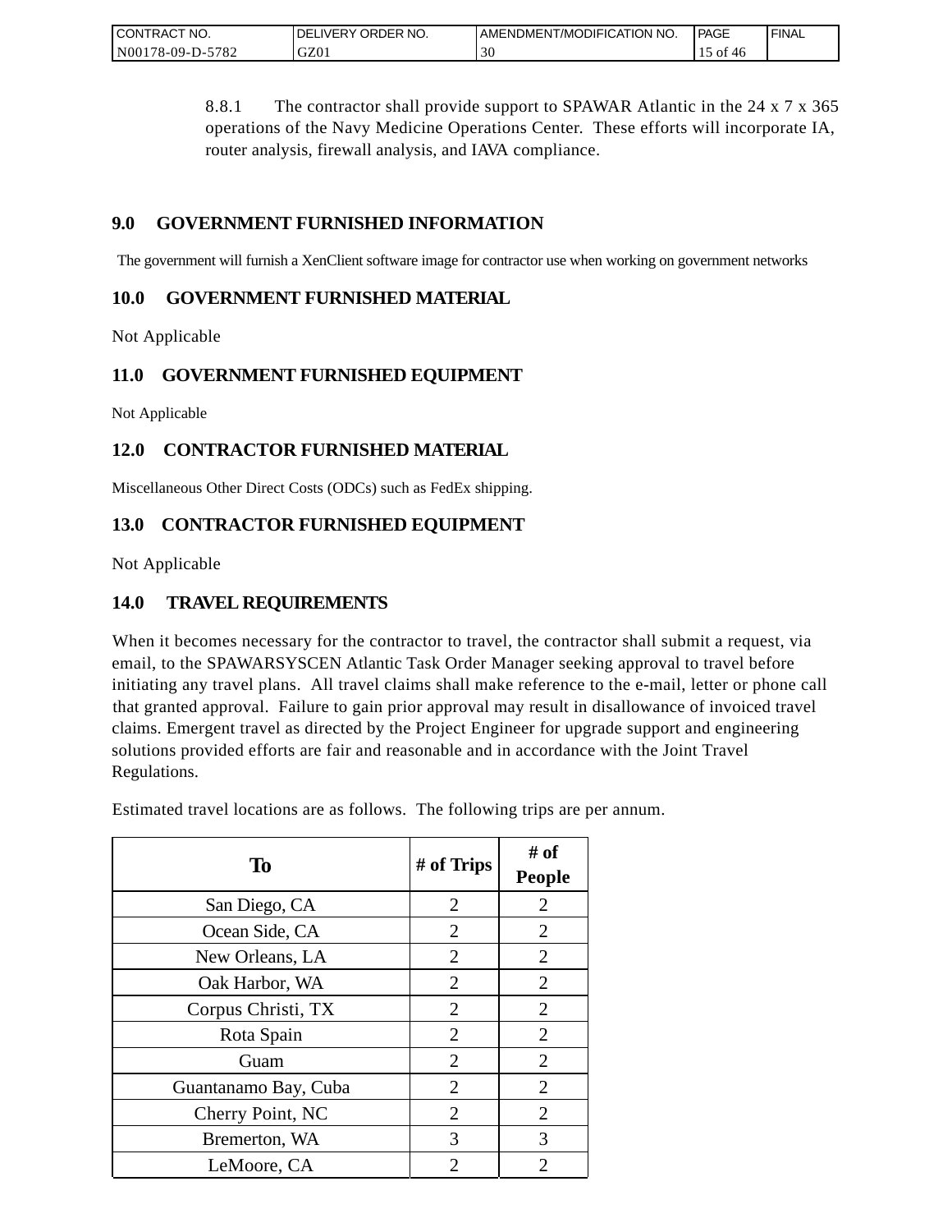| CONTRACT<br>" NO.           | ORDER NO.<br><b>DELIVERY</b> | I AMENDMENT/MODIFICATION NO. | PAGE       | <b>FINAL</b> |
|-----------------------------|------------------------------|------------------------------|------------|--------------|
| $-5782$<br>N00<br>/8-09-D-5 | GZ0.                         | $\sim$<br>эu                 | ОI<br>- 40 |              |

8.8.1 The contractor shall provide support to SPAWAR Atlantic in the 24 x 7 x 365 operations of the Navy Medicine Operations Center. These efforts will incorporate IA, router analysis, firewall analysis, and IAVA compliance.

## **9.0 GOVERNMENT FURNISHED INFORMATION**

The government will furnish a XenClient software image for contractor use when working on government networks

## **10.0 GOVERNMENT FURNISHED MATERIAL**

Not Applicable

## **11.0 GOVERNMENT FURNISHED EQUIPMENT**

Not Applicable

## **12.0 CONTRACTOR FURNISHED MATERIAL**

Miscellaneous Other Direct Costs (ODCs) such as FedEx shipping.

## **13.0 CONTRACTOR FURNISHED EQUIPMENT**

Not Applicable

## **14.0 TRAVEL REQUIREMENTS**

When it becomes necessary for the contractor to travel, the contractor shall submit a request, via email, to the SPAWARSYSCEN Atlantic Task Order Manager seeking approval to travel before initiating any travel plans. All travel claims shall make reference to the e-mail, letter or phone call that granted approval. Failure to gain prior approval may result in disallowance of invoiced travel claims. Emergent travel as directed by the Project Engineer for upgrade support and engineering solutions provided efforts are fair and reasonable and in accordance with the Joint Travel Regulations.

Estimated travel locations are as follows. The following trips are per annum.

| To                   | # of Trips     | # of<br><b>People</b> |
|----------------------|----------------|-----------------------|
| San Diego, CA        | $\overline{2}$ | $\overline{2}$        |
| Ocean Side, CA       | $\overline{2}$ | $\overline{2}$        |
| New Orleans, LA      | 2              | 2                     |
| Oak Harbor, WA       | $\overline{2}$ | $\overline{2}$        |
| Corpus Christi, TX   | 2              | $\overline{2}$        |
| Rota Spain           | $\overline{2}$ | $\overline{2}$        |
| Guam                 | $\overline{2}$ | $\overline{2}$        |
| Guantanamo Bay, Cuba | 2              | $\overline{2}$        |
| Cherry Point, NC     | $\overline{2}$ | $\overline{2}$        |
| Bremerton, WA        | 3              | 3                     |
| LeMoore, CA          | 2              | 2                     |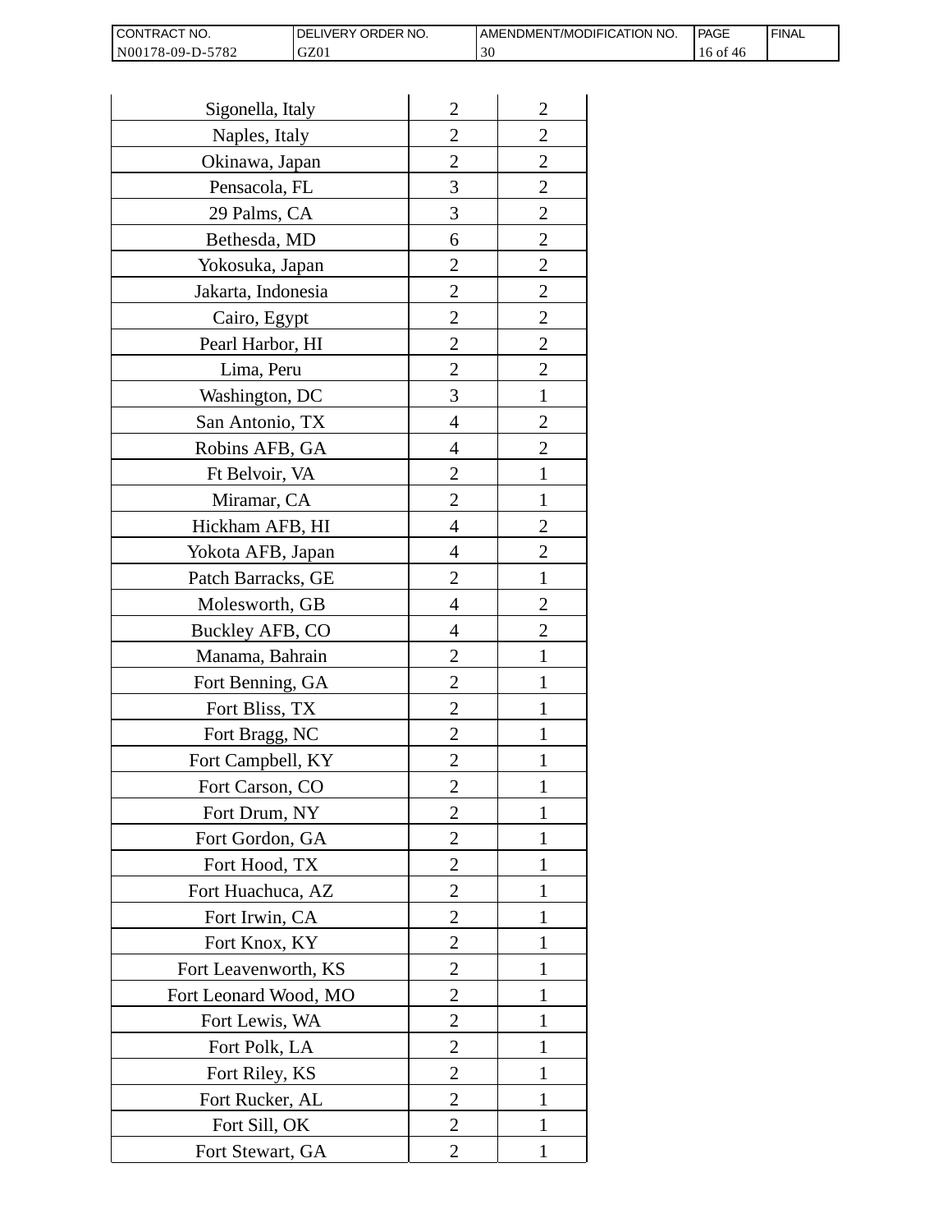| I CONTRACT NO.   | <b>IDELIVERY ORDER NO.</b> | AMENDMENT/MODIFICATION NO. | <b>PAGE</b> | ' FINAL |
|------------------|----------------------------|----------------------------|-------------|---------|
| N00178-09-D-5782 | GZ01                       | 30                         | 16 of<br>46 |         |

| Sigonella, Italy      | $\overline{2}$ | $\overline{c}$ |
|-----------------------|----------------|----------------|
| Naples, Italy         | $\overline{2}$ | $\overline{2}$ |
| Okinawa, Japan        | $\overline{2}$ | $\overline{c}$ |
| Pensacola, FL         | 3              | $\overline{c}$ |
| 29 Palms, CA          | 3              | $\overline{2}$ |
| Bethesda, MD          | 6              | $\overline{2}$ |
| Yokosuka, Japan       | 2              | $\overline{c}$ |
| Jakarta, Indonesia    | $\overline{c}$ | $\overline{c}$ |
| Cairo, Egypt          | $\overline{2}$ | $\overline{c}$ |
| Pearl Harbor, HI      | $\overline{2}$ | $\overline{2}$ |
| Lima, Peru            | $\overline{2}$ | $\overline{2}$ |
| Washington, DC        | 3              | $\mathbf{1}$   |
| San Antonio, TX       | 4              | $\overline{c}$ |
| Robins AFB, GA        | 4              | $\overline{c}$ |
| Ft Belvoir, VA        | $\overline{2}$ | $\mathbf{1}$   |
| Miramar, CA           | 2              | 1              |
| Hickham AFB, HI       | 4              | $\overline{2}$ |
| Yokota AFB, Japan     | 4              | $\overline{c}$ |
| Patch Barracks, GE    | $\overline{2}$ | $\mathbf{1}$   |
| Molesworth, GB        | 4              | $\overline{2}$ |
| Buckley AFB, CO       | 4              | $\overline{c}$ |
| Manama, Bahrain       | $\overline{c}$ | 1              |
| Fort Benning, GA      | $\overline{2}$ | 1              |
| Fort Bliss, TX        | $\overline{2}$ | 1              |
| Fort Bragg, NC        | $\overline{2}$ | 1              |
| Fort Campbell, KY     | 2              | 1              |
| Fort Carson, CO       | $\overline{c}$ |                |
| Fort Drum, NY         | $\overline{2}$ | 1              |
| Fort Gordon, GA       | $\overline{2}$ | 1              |
| Fort Hood, TX         | 2              | 1              |
| Fort Huachuca, AZ     | 2              | 1              |
| Fort Irwin, CA        | 2              | 1              |
| Fort Knox, KY         | $\overline{2}$ | 1              |
| Fort Leavenworth, KS  | $\overline{2}$ | 1              |
| Fort Leonard Wood, MO | 2              | 1              |
| Fort Lewis, WA        | $\overline{2}$ | 1              |
| Fort Polk, LA         | $\overline{c}$ | 1              |
| Fort Riley, KS        | $\overline{c}$ | 1              |
| Fort Rucker, AL       | $\overline{2}$ | 1              |
| Fort Sill, OK         | 2              | 1              |
| Fort Stewart, GA      | 2              | 1              |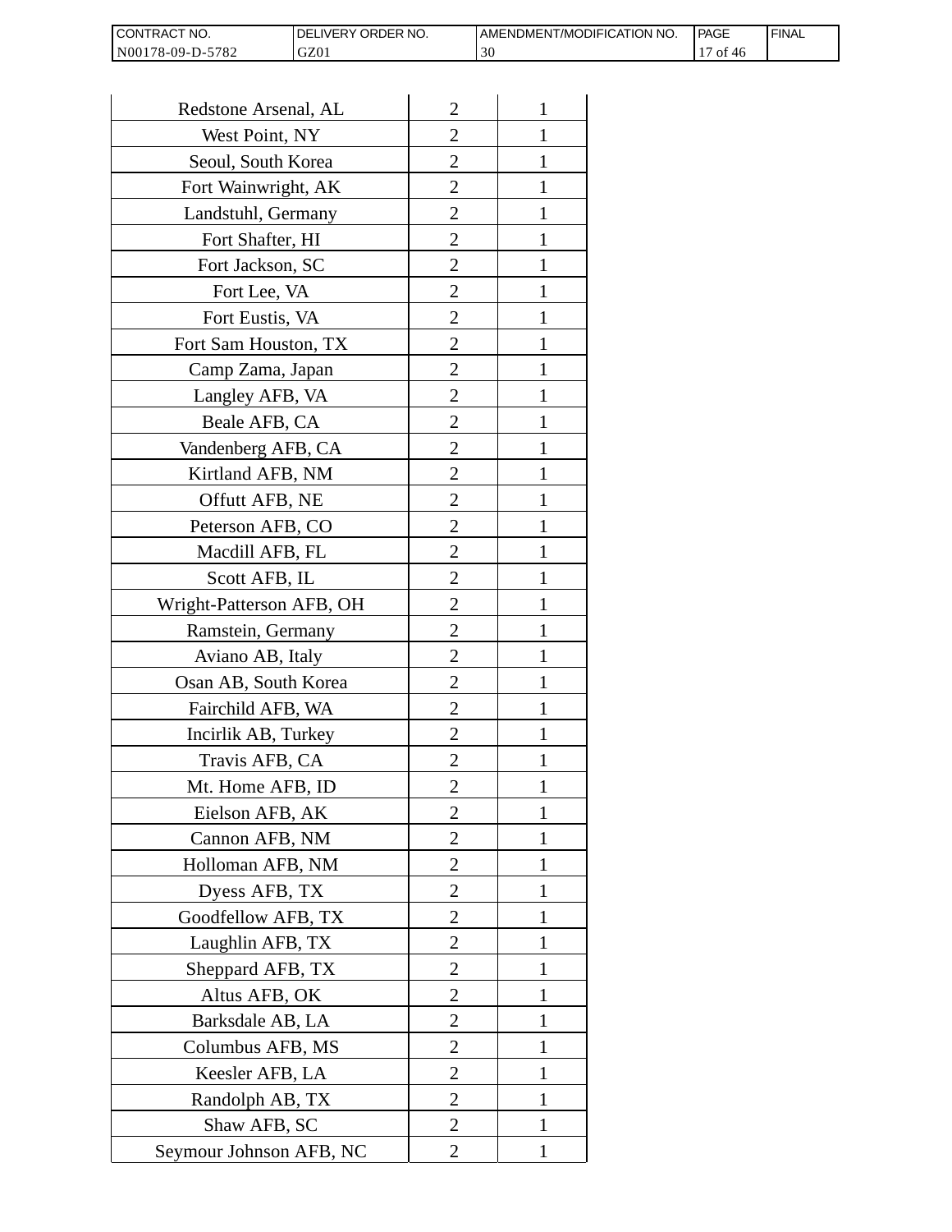| <b>CONTRACT NO.</b> | <b>IDELIVERY ORDER NO.</b> | AMENDMENT/MODIFICATION NO. | PAGE      | ' FINAL |
|---------------------|----------------------------|----------------------------|-----------|---------|
| N00178-09-D-5782    | GZ01                       | 30                         | 0t<br>-46 |         |

| Redstone Arsenal, AL     | $\overline{2}$ | 1            |
|--------------------------|----------------|--------------|
| West Point, NY           | $\overline{2}$ | 1            |
| Seoul, South Korea       | 2              | 1            |
| Fort Wainwright, AK      | $\overline{2}$ | 1            |
| Landstuhl, Germany       | $\overline{2}$ | 1            |
| Fort Shafter, HI         | 2              | I            |
| Fort Jackson, SC         | 2              | 1            |
| Fort Lee, VA             | $\overline{2}$ | 1            |
| Fort Eustis, VA          | $\overline{c}$ | 1            |
| Fort Sam Houston, TX     | $\overline{2}$ | 1            |
| Camp Zama, Japan         | $\overline{2}$ |              |
| Langley AFB, VA          | $\overline{c}$ | 1            |
| Beale AFB, CA            | 2              | 1            |
| Vandenberg AFB, CA       | $\overline{c}$ | 1            |
| Kirtland AFB, NM         | $\overline{2}$ | 1            |
| Offutt AFB, NE           | $\overline{2}$ | 1            |
| Peterson AFB, CO         | $\overline{2}$ | 1            |
| Macdill AFB, FL          | $\overline{c}$ | 1            |
| Scott AFB, IL            | $\overline{2}$ | 1            |
| Wright-Patterson AFB, OH | $\overline{2}$ | 1            |
| Ramstein, Germany        | $\overline{c}$ | 1            |
| Aviano AB, Italy         | $\overline{2}$ | 1            |
| Osan AB, South Korea     | $\overline{c}$ |              |
| Fairchild AFB, WA        | $\overline{2}$ | 1            |
| Incirlik AB, Turkey      | 2              | 1            |
| Travis AFB, CA           | $\overline{c}$ |              |
| Mt. Home AFB, ID         | 2              |              |
| Eielson AFB, AK          | $\overline{2}$ | $\mathbf{1}$ |
| Cannon AFB, NM           | $\overline{2}$ | 1            |
| Holloman AFB, NM         | $\overline{2}$ | 1            |
| Dyess AFB, TX            | $\overline{2}$ | 1            |
| Goodfellow AFB, TX       | $\overline{2}$ | 1            |
| Laughlin AFB, TX         | $\overline{c}$ | 1            |
| Sheppard AFB, TX         | $\overline{2}$ | $\mathbf{1}$ |
| Altus AFB, OK            | $\overline{2}$ | 1            |
| Barksdale AB, LA         | $\overline{c}$ | 1            |
| Columbus AFB, MS         | $\overline{2}$ | 1            |
| Keesler AFB, LA          | $\overline{c}$ | 1            |
| Randolph AB, TX          | $\overline{2}$ | 1            |
| Shaw AFB, SC             | $\overline{2}$ | 1            |
| Seymour Johnson AFB, NC  | 2              | $\mathbf{1}$ |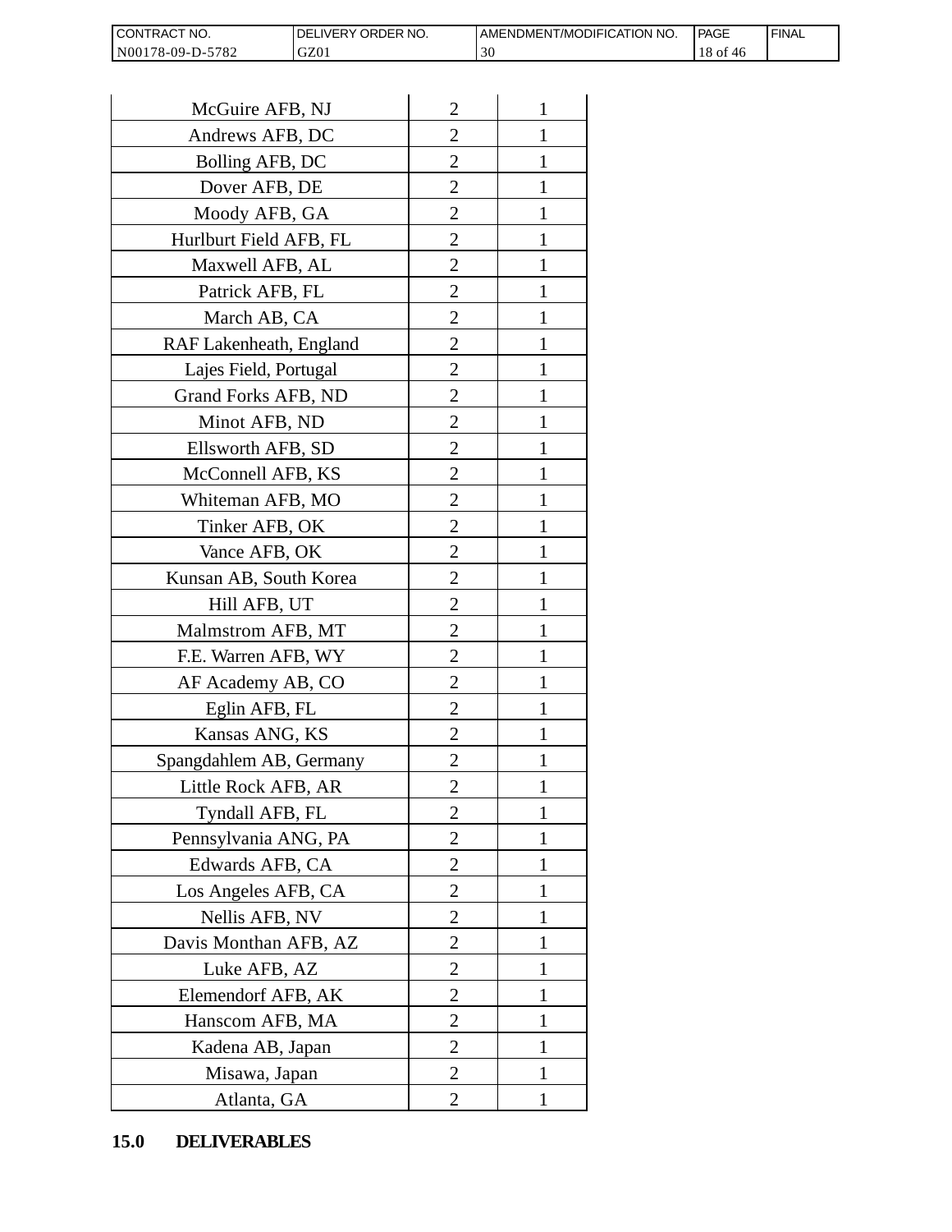| I CONTRACT NO.                          | <b>ORDER</b><br>NO.<br><b>IVERY</b><br>DF' | AMENDMENT/MODIFICATION NO. | <b>PAGE</b>                | <b>FINAL</b> |
|-----------------------------------------|--------------------------------------------|----------------------------|----------------------------|--------------|
| N001<br>-5782<br>78-09-L<br>$D_{\rm m}$ | GZ01                                       | $\sim$<br>эu               | O1<br>40<br>$\overline{1}$ |              |

| CONTRACT NO.<br>N00178-09-D-5782 | DELIVERY ORDER NO.<br>GZ01 |                | AMENDMENT/MOI<br>30 |
|----------------------------------|----------------------------|----------------|---------------------|
|                                  |                            |                |                     |
| McGuire AFB, NJ                  |                            | $\overline{2}$ | 1                   |
|                                  | Andrews AFB, DC            |                | 1                   |
| Bolling AFB, DC                  |                            | $\overline{c}$ | 1                   |
| Dover AFB, DE                    |                            | $\overline{2}$ | 1                   |
| Moody AFB, GA                    |                            | $\overline{2}$ | $\mathbf{1}$        |
| Hurlburt Field AFB, FL           |                            | $\overline{2}$ | 1                   |
| Maxwell AFB, AL                  |                            | $\overline{2}$ | 1                   |
| Patrick AFB, FL                  |                            | $\overline{c}$ | 1                   |
| March AB, CA                     |                            | $\overline{c}$ | 1                   |
| RAF Lakenheath, England          |                            | $\overline{2}$ | $\mathbf{1}$        |
| Lajes Field, Portugal            |                            | $\overline{2}$ | 1                   |
| Grand Forks AFB, ND              |                            | $\overline{2}$ | 1                   |
| Minot AFB, ND                    |                            | $\overline{2}$ | 1                   |
| Ellsworth AFB, SD                |                            | $\overline{c}$ | 1                   |
| McConnell AFB, KS                |                            | $\overline{c}$ | 1                   |
| Whiteman AFB, MO                 |                            | $\overline{2}$ | 1                   |
| Tinker AFB, OK                   |                            | $\overline{2}$ | 1                   |
| Vance AFB, OK                    |                            | 2              | 1                   |
| Kunsan AB, South Korea           |                            | $\overline{2}$ | 1                   |
| Hill AFB, UT                     |                            | $\overline{c}$ | 1                   |
| Malmstrom AFB, MT                |                            | 2              | 1                   |
| F.E. Warren AFB, WY              |                            | $\overline{2}$ | $\mathbf{1}$        |
| AF Academy AB, CO                |                            | $\overline{2}$ | $\mathbf{1}$        |
| Eglin AFB, FL                    |                            | $\overline{2}$ | 1                   |
| Kansas ANG, KS                   |                            | $\overline{c}$ |                     |
| Spangdahlem AB, Germany          |                            | 2              | 1                   |
| Little Rock AFB, AR              |                            | $\overline{c}$ | 1                   |
| Tyndall AFB, FL                  |                            | $\overline{2}$ | $\mathbf{1}$        |
| Pennsylvania ANG, PA             |                            | $\overline{2}$ | 1                   |
| Edwards AFB, CA                  |                            | 2              | 1                   |
| Los Angeles AFB, CA              |                            | 2              | 1                   |
| Nellis AFB, NV                   |                            | $\overline{c}$ | 1                   |
| Davis Monthan AFB, AZ            |                            | $\overline{c}$ | 1                   |
| Luke AFB, AZ                     |                            | $\overline{2}$ | 1                   |
| Elemendorf AFB, AK               |                            | $\overline{2}$ | 1                   |
| Hanscom AFB, MA                  |                            | 2              | 1                   |
| Kadena AB, Japan                 |                            | $\overline{2}$ | 1                   |
| Misawa, Japan                    |                            | $\overline{c}$ | 1                   |
| Atlanta, GA                      |                            | $\overline{2}$ | 1                   |
| <b>DELIVERABLES</b><br>15.0      |                            |                |                     |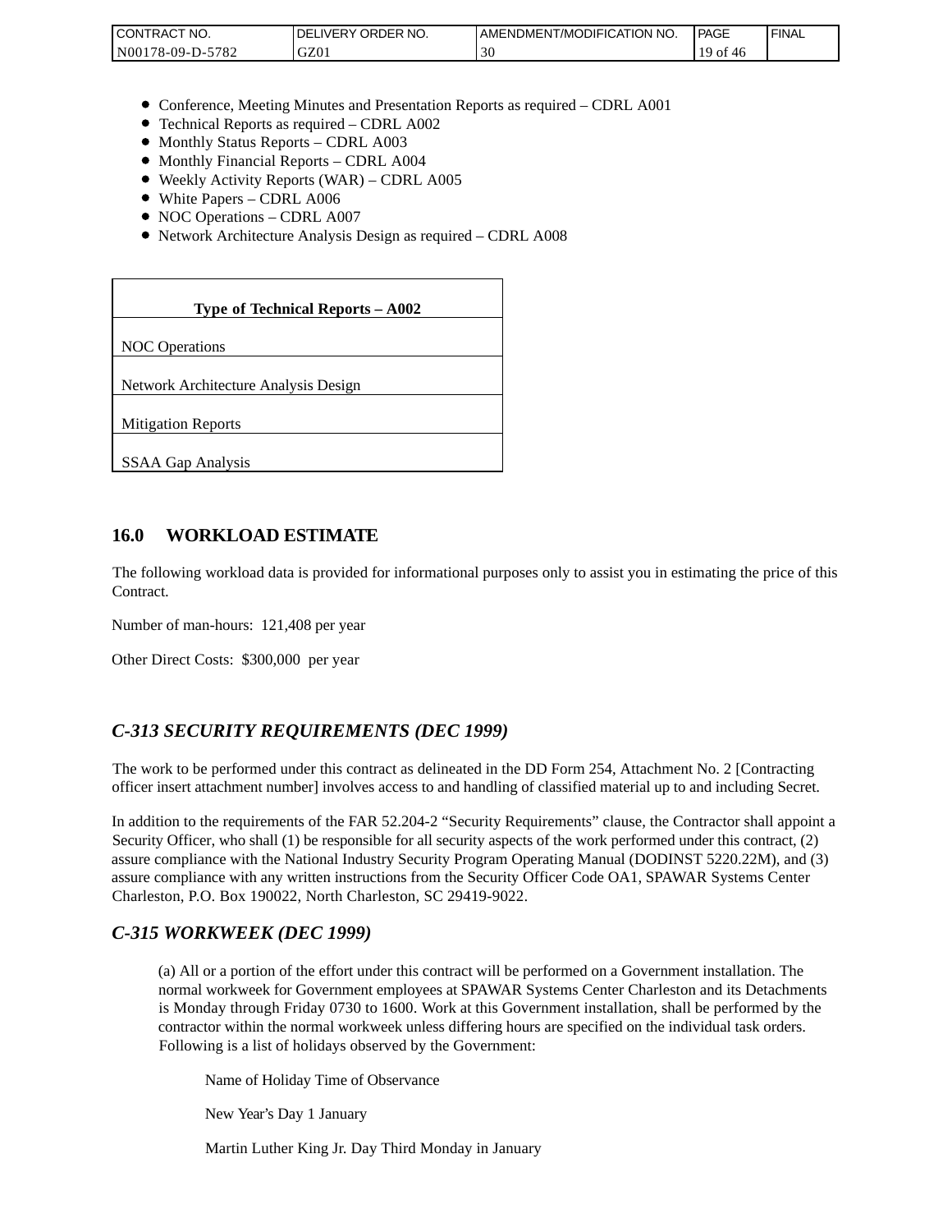| <b>I CONTRACT NO.</b>     | ' ORDER NO.<br>DELIVERY | AMENDMENT/MODIFICATION NO. | <b>PAGE</b> | <b>FINAL</b> |
|---------------------------|-------------------------|----------------------------|-------------|--------------|
| 5782<br>N001<br>78-09-D-. | GZ01                    | 30                         | ΟĪ          |              |

- Conference, Meeting Minutes and Presentation Reports as required CDRL A001
- Technical Reports as required CDRL A002
- Monthly Status Reports CDRL A003
- $\bullet$  Monthly Financial Reports CDRL A004
- Weekly Activity Reports (WAR) CDRL A005
- White Papers CDRL A006
- NOC Operations CDRL A007
- Network Architecture Analysis Design as required CDRL A008

| CONTRACT NO.<br>N00178-09-D-5782                                                                                                                                                                                                                                                                                                                                 | DELIVERY ORDER NO.<br>GZ01                                                                                                                                                                                                                                                                                              | AMENDME<br>30 |
|------------------------------------------------------------------------------------------------------------------------------------------------------------------------------------------------------------------------------------------------------------------------------------------------------------------------------------------------------------------|-------------------------------------------------------------------------------------------------------------------------------------------------------------------------------------------------------------------------------------------------------------------------------------------------------------------------|---------------|
|                                                                                                                                                                                                                                                                                                                                                                  |                                                                                                                                                                                                                                                                                                                         |               |
| • Monthly Status Reports - CDRL A003<br>• Monthly Financial Reports - CDRL A004<br>• White Papers - CDRL A006<br>• NOC Operations - CDRL A007                                                                                                                                                                                                                    | • Conference, Meeting Minutes and Presentation Reports as rec<br>• Technical Reports as required - CDRL A002<br>• Weekly Activity Reports (WAR) – CDRL A005<br>• Network Architecture Analysis Design as required - CDRL A                                                                                              |               |
|                                                                                                                                                                                                                                                                                                                                                                  |                                                                                                                                                                                                                                                                                                                         |               |
|                                                                                                                                                                                                                                                                                                                                                                  | Type of Technical Reports - A002                                                                                                                                                                                                                                                                                        |               |
| <b>NOC</b> Operations                                                                                                                                                                                                                                                                                                                                            |                                                                                                                                                                                                                                                                                                                         |               |
| Network Architecture Analysis Design                                                                                                                                                                                                                                                                                                                             |                                                                                                                                                                                                                                                                                                                         |               |
| <b>Mitigation Reports</b>                                                                                                                                                                                                                                                                                                                                        |                                                                                                                                                                                                                                                                                                                         |               |
| SSAA Gap Analysis                                                                                                                                                                                                                                                                                                                                                |                                                                                                                                                                                                                                                                                                                         |               |
|                                                                                                                                                                                                                                                                                                                                                                  |                                                                                                                                                                                                                                                                                                                         |               |
| 16.0<br><b>WORKLOAD ESTIMATE</b>                                                                                                                                                                                                                                                                                                                                 |                                                                                                                                                                                                                                                                                                                         |               |
| The following workload data is provided for informational purposes<br>Contract.                                                                                                                                                                                                                                                                                  |                                                                                                                                                                                                                                                                                                                         |               |
| Number of man-hours: 121,408 per year                                                                                                                                                                                                                                                                                                                            |                                                                                                                                                                                                                                                                                                                         |               |
| Other Direct Costs: \$300,000 per year                                                                                                                                                                                                                                                                                                                           |                                                                                                                                                                                                                                                                                                                         |               |
| C-313 SECURITY REQUIREMENTS (DEC 1999)                                                                                                                                                                                                                                                                                                                           |                                                                                                                                                                                                                                                                                                                         |               |
| The work to be performed under this contract as delineated in the DI<br>officer insert attachment number] involves access to and handling of o                                                                                                                                                                                                                   |                                                                                                                                                                                                                                                                                                                         |               |
| In addition to the requirements of the FAR 52.204-2 "Security Requi<br>Security Officer, who shall (1) be responsible for all security aspects of<br>assure compliance with the National Industry Security Program Oper<br>assure compliance with any written instructions from the Security Of<br>Charleston, P.O. Box 190022, North Charleston, SC 29419-9022. |                                                                                                                                                                                                                                                                                                                         |               |
| C-315 WORKWEEK (DEC 1999)                                                                                                                                                                                                                                                                                                                                        |                                                                                                                                                                                                                                                                                                                         |               |
|                                                                                                                                                                                                                                                                                                                                                                  | (a) All or a portion of the effort under this contract will be per<br>normal workweek for Government employees at SPAWAR Sy<br>is Monday through Friday 0730 to 1600. Work at this Gover<br>contractor within the normal workweek unless differing hours<br>Following is a list of holidays observed by the Government: |               |
|                                                                                                                                                                                                                                                                                                                                                                  | Name of Holiday Time of Observance                                                                                                                                                                                                                                                                                      |               |
| New Year's Day 1 January                                                                                                                                                                                                                                                                                                                                         |                                                                                                                                                                                                                                                                                                                         |               |
|                                                                                                                                                                                                                                                                                                                                                                  | Martin Luther King Jr. Day Third Monday in January                                                                                                                                                                                                                                                                      |               |

### **16.0 WORKLOAD ESTIMATE**

The following workload data is provided for informational purposes only to assist you in estimating the price of this Contract.

## *C-313 SECURITY REQUIREMENTS (DEC 1999)*

The work to be performed under this contract as delineated in the DD Form 254, Attachment No. 2 [Contracting officer insert attachment number] involves access to and handling of classified material up to and including Secret.

In addition to the requirements of the FAR 52.204-2 "Security Requirements" clause, the Contractor shall appoint a Security Officer, who shall (1) be responsible for all security aspects of the work performed under this contract, (2) assure compliance with the National Industry Security Program Operating Manual (DODINST 5220.22M), and (3) assure compliance with any written instructions from the Security Officer Code OA1, SPAWAR Systems Center Charleston, P.O. Box 190022, North Charleston, SC 29419-9022.

### *C-315 WORKWEEK (DEC 1999)*

(a) All or a portion of the effort under this contract will be performed on a Government installation. The normal workweek for Government employees at SPAWAR Systems Center Charleston and its Detachments is Monday through Friday 0730 to 1600. Work at this Government installation, shall be performed by the contractor within the normal workweek unless differing hours are specified on the individual task orders. Following is a list of holidays observed by the Government: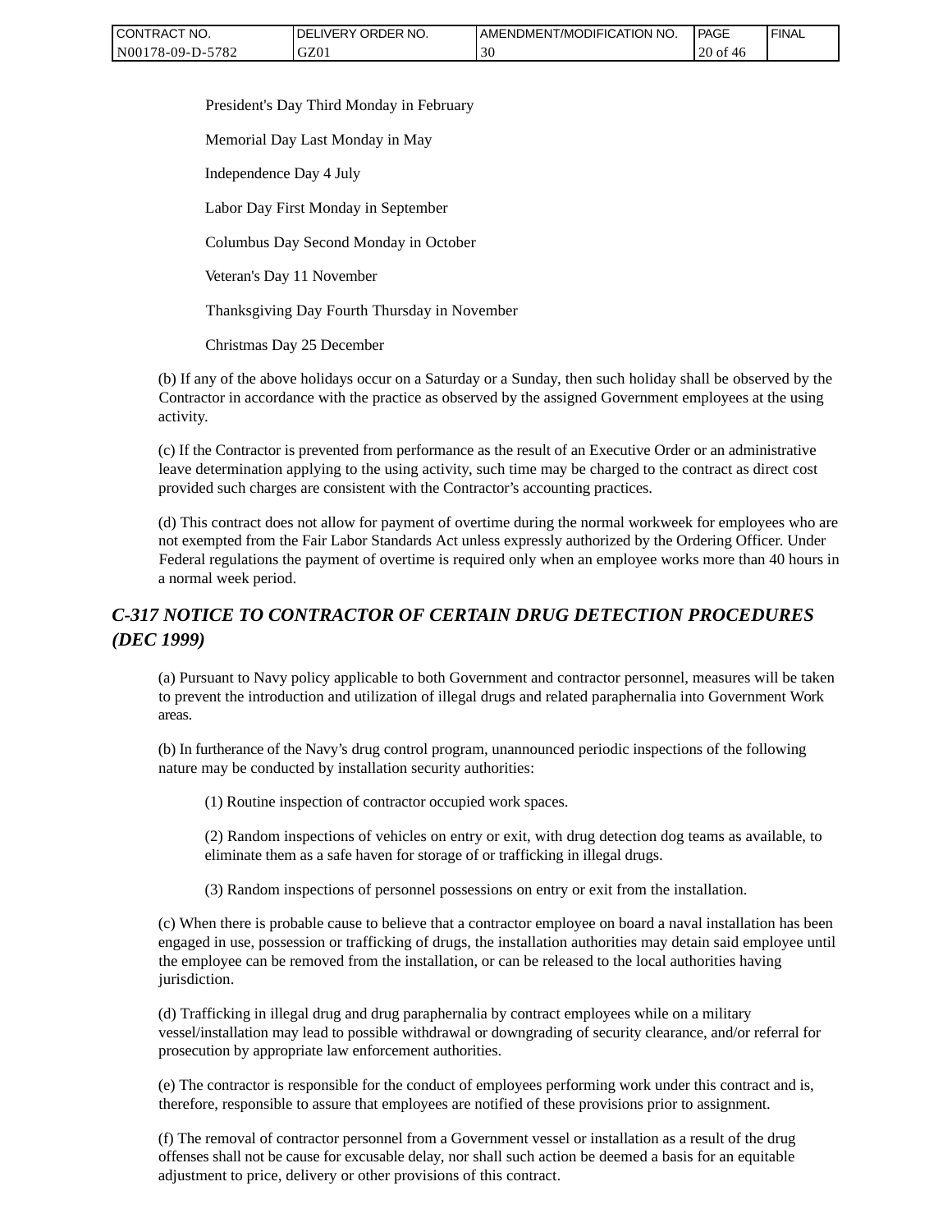| CONTRACT NO.     | ' ORDER NO.<br><b>DELIVERY</b> | AMENDMENT/MODIFICATION NO. | <b>PAGE</b>    | ' FINAL |
|------------------|--------------------------------|----------------------------|----------------|---------|
| N00178-09-D-5782 | GZ01                           | วบ                         | $20$ of<br>-46 |         |

President's Day Third Monday in February

Memorial Day Last Monday in May

Independence Day 4 July

Labor Day First Monday in September

Columbus Day Second Monday in October

Veteran's Day 11 November

Thanksgiving Day Fourth Thursday in November

Christmas Day 25 December

(b) If any of the above holidays occur on a Saturday or a Sunday, then such holiday shall be observed by the Contractor in accordance with the practice as observed by the assigned Government employees at the using activity.

(c) If the Contractor is prevented from performance as the result of an Executive Order or an administrative leave determination applying to the using activity, such time may be charged to the contract as direct cost provided such charges are consistent with the Contractor's accounting practices.

(d) This contract does not allow for payment of overtime during the normal workweek for employees who are not exempted from the Fair Labor Standards Act unless expressly authorized by the Ordering Officer. Under Federal regulations the payment of overtime is required only when an employee works more than 40 hours in a normal week period.

## *C-317 NOTICE TO CONTRACTOR OF CERTAIN DRUG DETECTION PROCEDURES (DEC 1999)*

(a) Pursuant to Navy policy applicable to both Government and contractor personnel, measures will be taken to prevent the introduction and utilization of illegal drugs and related paraphernalia into Government Work areas.

(b) In furtherance of the Navy's drug control program, unannounced periodic inspections of the following nature may be conducted by installation security authorities:

(1) Routine inspection of contractor occupied work spaces.

(2) Random inspections of vehicles on entry or exit, with drug detection dog teams as available, to eliminate them as a safe haven for storage of or trafficking in illegal drugs.

(3) Random inspections of personnel possessions on entry or exit from the installation.

(c) When there is probable cause to believe that a contractor employee on board a naval installation has been engaged in use, possession or trafficking of drugs, the installation authorities may detain said employee until the employee can be removed from the installation, or can be released to the local authorities having jurisdiction.

(d) Trafficking in illegal drug and drug paraphernalia by contract employees while on a military vessel/installation may lead to possible withdrawal or downgrading of security clearance, and/or referral for prosecution by appropriate law enforcement authorities.

(e) The contractor is responsible for the conduct of employees performing work under this contract and is, therefore, responsible to assure that employees are notified of these provisions prior to assignment.

(f) The removal of contractor personnel from a Government vessel or installation as a result of the drug offenses shall not be cause for excusable delay, nor shall such action be deemed a basis for an equitable adjustment to price, delivery or other provisions of this contract.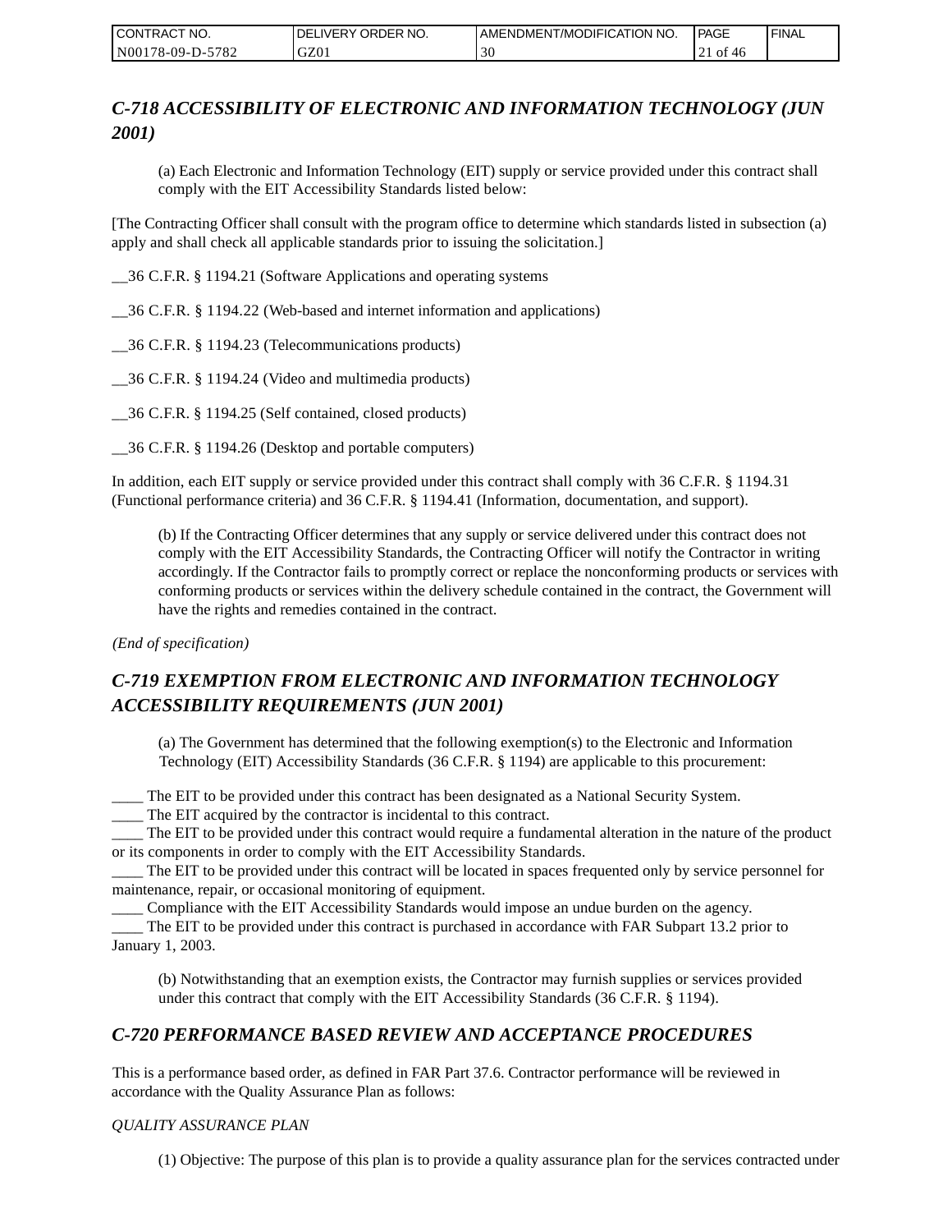| CONTRACT NO.     | DELIVERY ORDER NO. | AMENDMENT/MODIFICATION NO. | <b>PAGE</b>           | ' FINAL |
|------------------|--------------------|----------------------------|-----------------------|---------|
| N00178-09-D-5782 | GZ01               | υc                         | of<br>-46<br>$\sim$ 1 |         |

# *C-718 ACCESSIBILITY OF ELECTRONIC AND INFORMATION TECHNOLOGY (JUN 2001)*

(a) Each Electronic and Information Technology (EIT) supply or service provided under this contract shall comply with the EIT Accessibility Standards listed below:

[The Contracting Officer shall consult with the program office to determine which standards listed in subsection (a) apply and shall check all applicable standards prior to issuing the solicitation.]

\_\_36 C.F.R. § 1194.21 (Software Applications and operating systems

\_\_36 C.F.R. § 1194.22 (Web-based and internet information and applications)

\_\_36 C.F.R. § 1194.23 (Telecommunications products)

\_\_36 C.F.R. § 1194.24 (Video and multimedia products)

\_\_36 C.F.R. § 1194.25 (Self contained, closed products)

\_\_36 C.F.R. § 1194.26 (Desktop and portable computers)

In addition, each EIT supply or service provided under this contract shall comply with 36 C.F.R. § 1194.31 (Functional performance criteria) and 36 C.F.R. § 1194.41 (Information, documentation, and support).

(b) If the Contracting Officer determines that any supply or service delivered under this contract does not comply with the EIT Accessibility Standards, the Contracting Officer will notify the Contractor in writing accordingly. If the Contractor fails to promptly correct or replace the nonconforming products or services with conforming products or services within the delivery schedule contained in the contract, the Government will have the rights and remedies contained in the contract.

*(End of specification)*

# *C-719 EXEMPTION FROM ELECTRONIC AND INFORMATION TECHNOLOGY ACCESSIBILITY REQUIREMENTS (JUN 2001)*

(a) The Government has determined that the following exemption(s) to the Electronic and Information Technology (EIT) Accessibility Standards (36 C.F.R. § 1194) are applicable to this procurement:

\_\_\_\_ The EIT to be provided under this contract has been designated as a National Security System.

\_\_\_\_ The EIT acquired by the contractor is incidental to this contract.

\_\_\_\_ The EIT to be provided under this contract would require a fundamental alteration in the nature of the product or its components in order to comply with the EIT Accessibility Standards.

\_\_\_\_ The EIT to be provided under this contract will be located in spaces frequented only by service personnel for maintenance, repair, or occasional monitoring of equipment.

\_\_\_\_ Compliance with the EIT Accessibility Standards would impose an undue burden on the agency.

\_\_\_\_ The EIT to be provided under this contract is purchased in accordance with FAR Subpart 13.2 prior to January 1, 2003.

(b) Notwithstanding that an exemption exists, the Contractor may furnish supplies or services provided under this contract that comply with the EIT Accessibility Standards (36 C.F.R. § 1194).

## *C-720 PERFORMANCE BASED REVIEW AND ACCEPTANCE PROCEDURES*

This is a performance based order, as defined in FAR Part 37.6. Contractor performance will be reviewed in accordance with the Quality Assurance Plan as follows:

### *QUALITY ASSURANCE PLAN*

(1) Objective: The purpose of this plan is to provide a quality assurance plan for the services contracted under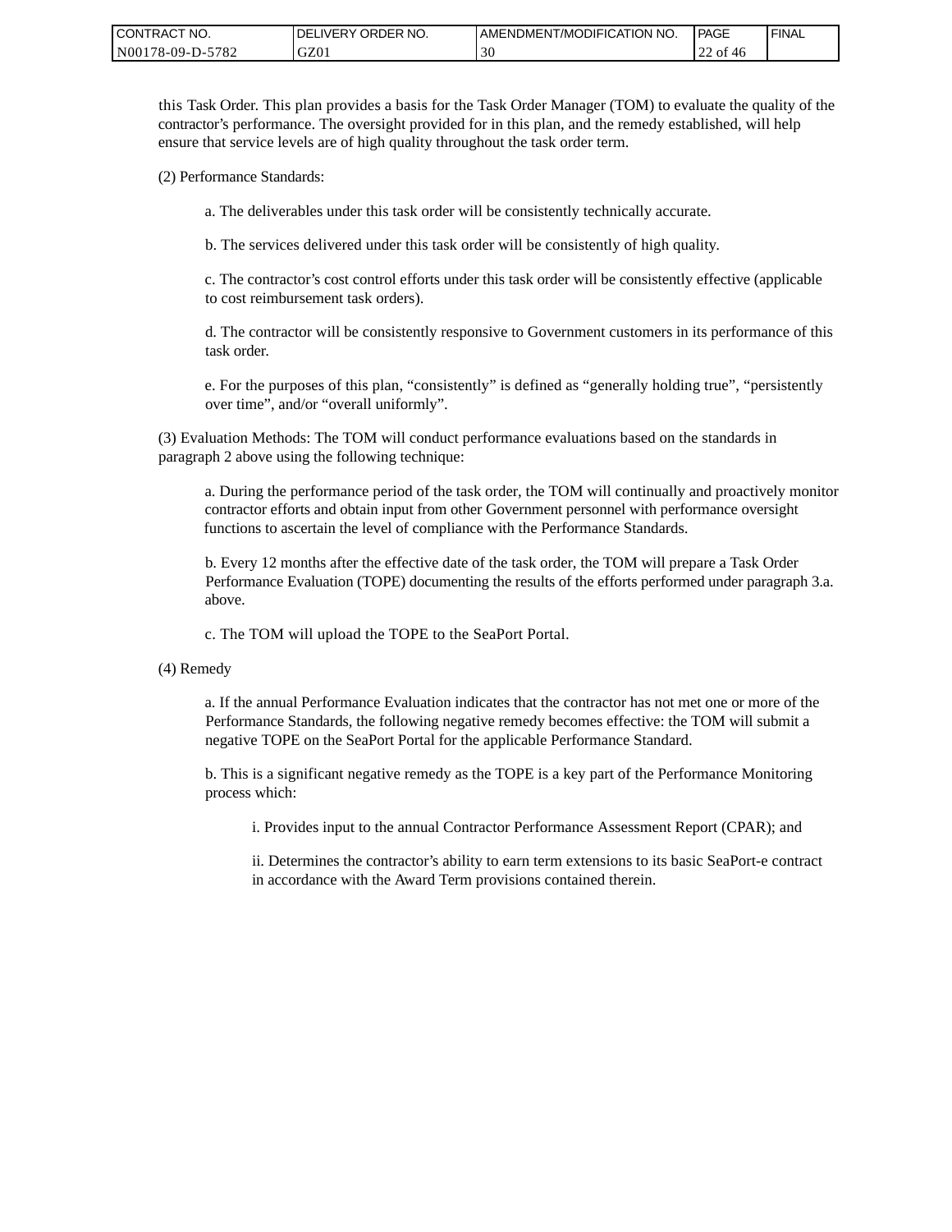| CONTRACT NO.     | ORDER NO.<br><b>DELIVERY</b> | <b>AMENDMENT/MODIFICATION NO.</b> | PAGE                                | 'FINAL |
|------------------|------------------------------|-----------------------------------|-------------------------------------|--------|
| N00178-09-D-5782 | GZ01                         | 30                                | ' of 46<br>$\overline{\phantom{a}}$ |        |

this Task Order. This plan provides a basis for the Task Order Manager (TOM) to evaluate the quality of the contractor's performance. The oversight provided for in this plan, and the remedy established, will help ensure that service levels are of high quality throughout the task order term.

(2) Performance Standards:

a. The deliverables under this task order will be consistently technically accurate.

b. The services delivered under this task order will be consistently of high quality.

c. The contractor's cost control efforts under this task order will be consistently effective (applicable to cost reimbursement task orders).

d. The contractor will be consistently responsive to Government customers in its performance of this task order.

e. For the purposes of this plan, "consistently" is defined as "generally holding true", "persistently over time", and/or "overall uniformly".

(3) Evaluation Methods: The TOM will conduct performance evaluations based on the standards in paragraph 2 above using the following technique:

a. During the performance period of the task order, the TOM will continually and proactively monitor contractor efforts and obtain input from other Government personnel with performance oversight functions to ascertain the level of compliance with the Performance Standards.

b. Every 12 months after the effective date of the task order, the TOM will prepare a Task Order Performance Evaluation (TOPE) documenting the results of the efforts performed under paragraph 3.a. above.

c. The TOM will upload the TOPE to the SeaPort Portal.

(4) Remedy

a. If the annual Performance Evaluation indicates that the contractor has not met one or more of the Performance Standards, the following negative remedy becomes effective: the TOM will submit a negative TOPE on the SeaPort Portal for the applicable Performance Standard.

b. This is a significant negative remedy as the TOPE is a key part of the Performance Monitoring process which:

i. Provides input to the annual Contractor Performance Assessment Report (CPAR); and

ii. Determines the contractor's ability to earn term extensions to its basic SeaPort-e contract in accordance with the Award Term provisions contained therein.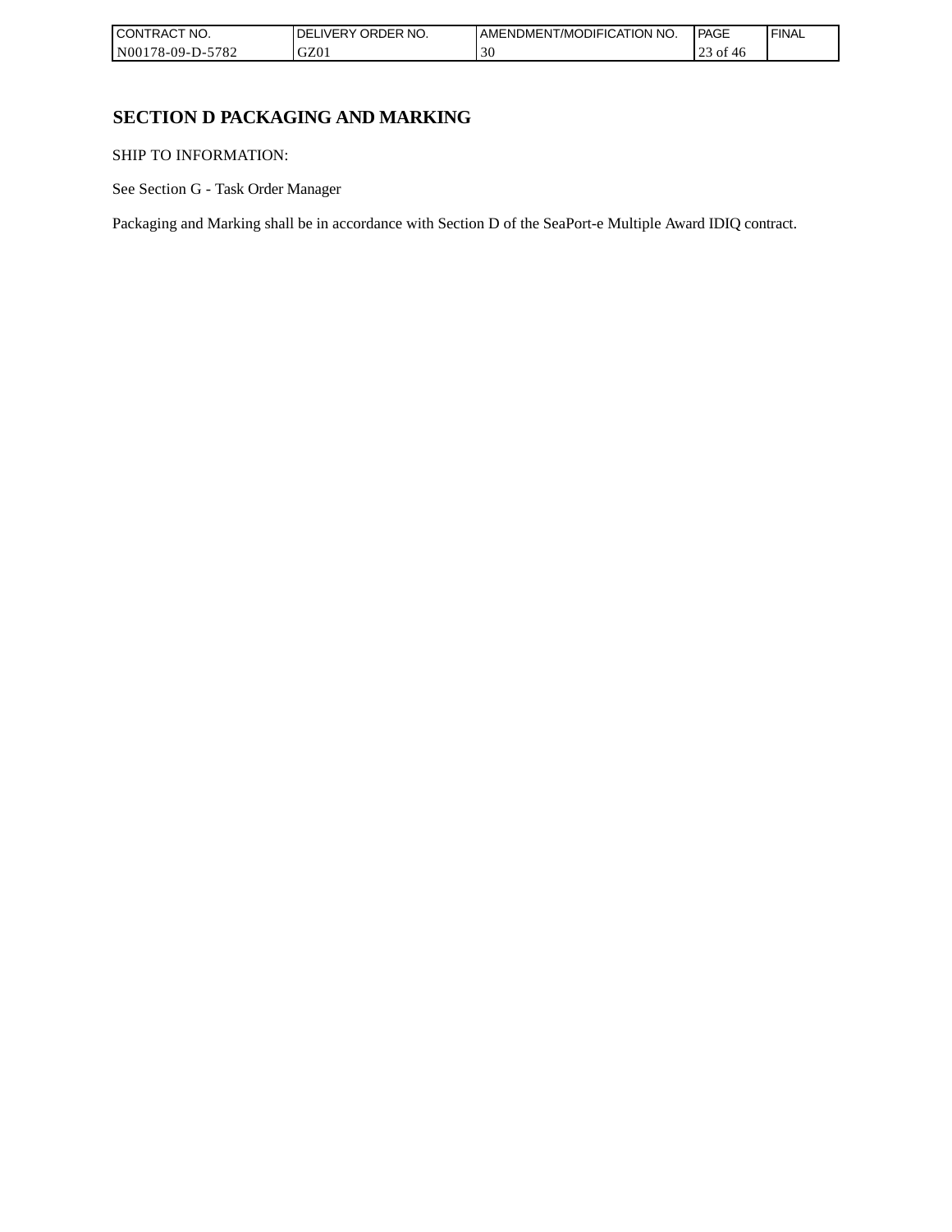| `CT NO.<br><b>CONT</b><br>TRAC'         | NO.<br><b>ORDER</b><br>IVERY<br>DEI | AMENDMENT/MODIFICATION NO. | <b>PAGE</b>                           | 'FINAL |
|-----------------------------------------|-------------------------------------|----------------------------|---------------------------------------|--------|
| N0017 <sup>c</sup><br>5782<br>78-09-D-: | GZ0                                 | 30                         | $\sim$<br>$\sim$<br>` OT<br>-40<br>رے |        |

# **SECTION D PACKAGING AND MARKING**

SHIP TO INFORMATION:

See Section G - Task Order Manager

Packaging and Marking shall be in accordance with Section D of the SeaPort-e Multiple Award IDIQ contract.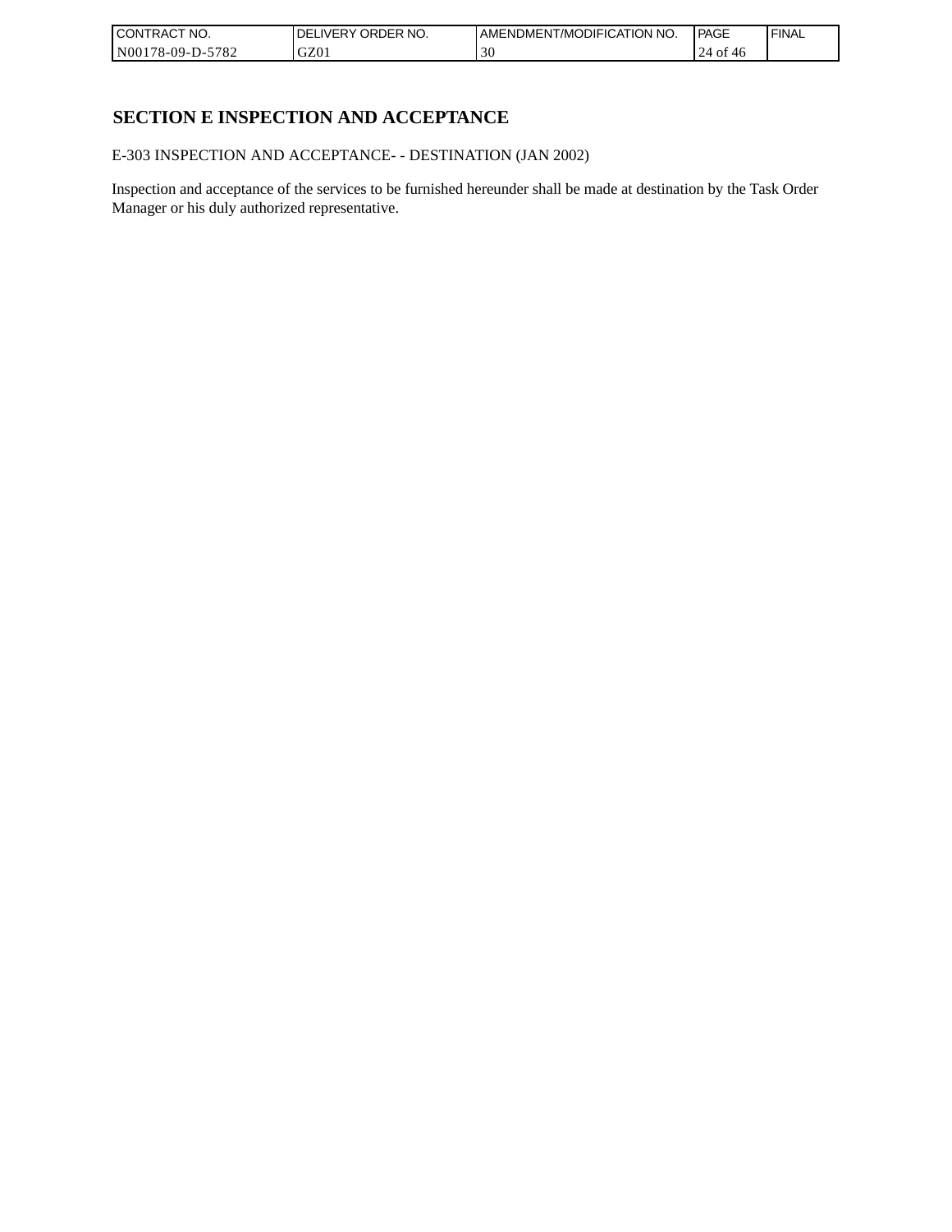| CONTRACT<br>`CT NO.      | NO.<br>' ORDER<br><b>DELIVERY</b> | I AMENDMENT/MODIFICATION NO. | l PAGE           | ' FINAL |
|--------------------------|-----------------------------------|------------------------------|------------------|---------|
| $-5782$<br>N00178-09-D-5 | GZ01                              | 30                           | 24<br>· of<br>40 |         |

# **SECTION E INSPECTION AND ACCEPTANCE**

E-303 INSPECTION AND ACCEPTANCE- - DESTINATION (JAN 2002)

Inspection and acceptance of the services to be furnished hereunder shall be made at destination by the Task Order Manager or his duly authorized representative.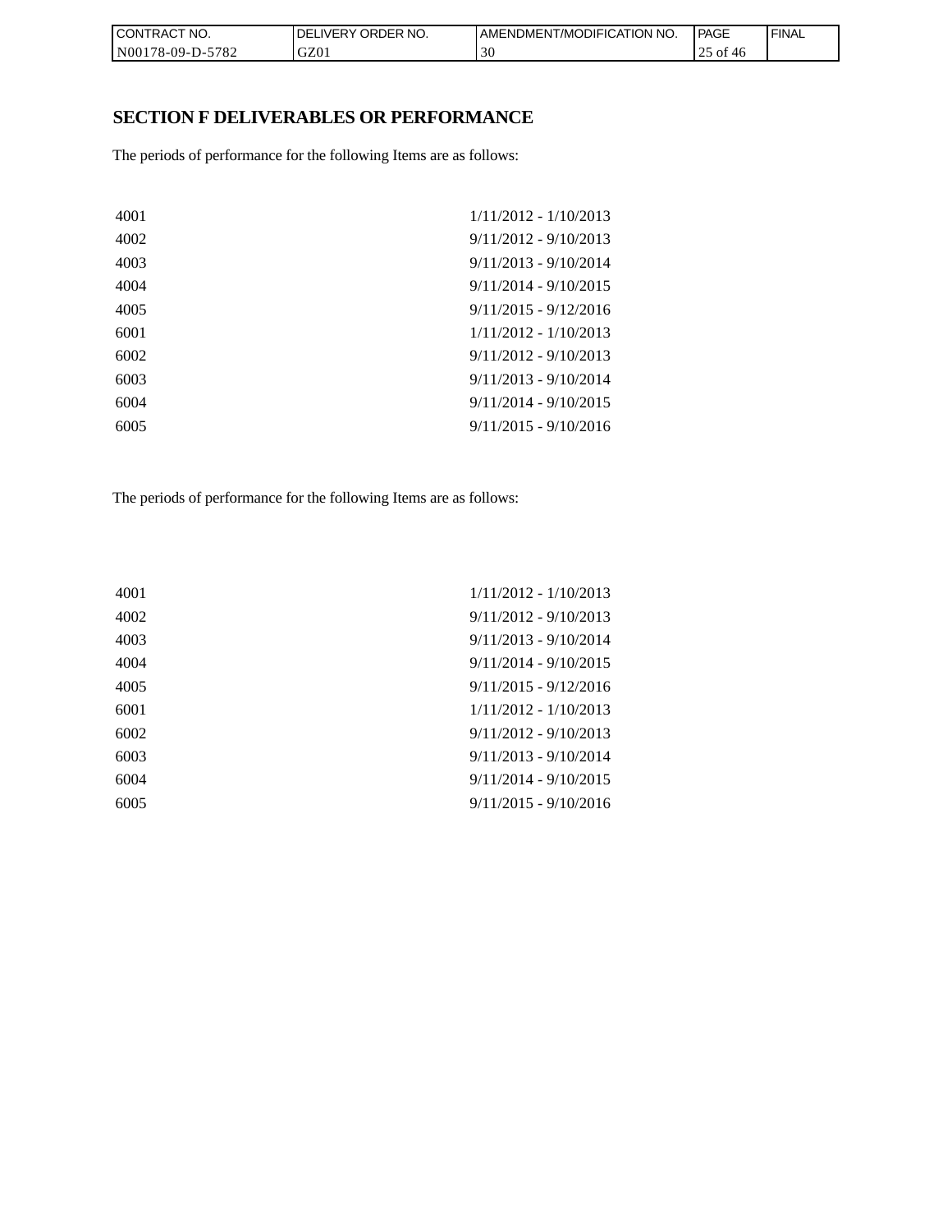| CONTRACT NO.                                              | ' ORDER NO.<br><b>DELIVERY</b> | AMENDMENT/MODIFICATION NO. | <b>PAGE</b>    | ' FINAL |
|-----------------------------------------------------------|--------------------------------|----------------------------|----------------|---------|
| $-5782$<br>N001 <sup>*</sup><br>ົ <sup>1</sup> 78-09-D-ວ. | GZ01                           | эU                         | 0Ť<br>-46<br>ت |         |

# **SECTION F DELIVERABLES OR PERFORMANCE**

The periods of performance for the following Items are as follows:

| 4001 | $1/11/2012 - 1/10/2013$ |
|------|-------------------------|
| 4002 | $9/11/2012 - 9/10/2013$ |
| 4003 | $9/11/2013 - 9/10/2014$ |
| 4004 | $9/11/2014 - 9/10/2015$ |
| 4005 | $9/11/2015 - 9/12/2016$ |
| 6001 | $1/11/2012 - 1/10/2013$ |
| 6002 | $9/11/2012 - 9/10/2013$ |
| 6003 | $9/11/2013 - 9/10/2014$ |
| 6004 | $9/11/2014 - 9/10/2015$ |
| 6005 | $9/11/2015 - 9/10/2016$ |
|      |                         |

The periods of performance for the following Items are as follows:

| 4001 | $1/11/2012 - 1/10/2013$ |
|------|-------------------------|
| 4002 | $9/11/2012 - 9/10/2013$ |
| 4003 | $9/11/2013 - 9/10/2014$ |
| 4004 | $9/11/2014 - 9/10/2015$ |
| 4005 | $9/11/2015 - 9/12/2016$ |
| 6001 | $1/11/2012 - 1/10/2013$ |
| 6002 | $9/11/2012 - 9/10/2013$ |
| 6003 | $9/11/2013 - 9/10/2014$ |
| 6004 | $9/11/2014 - 9/10/2015$ |
| 6005 | $9/11/2015 - 9/10/2016$ |
|      |                         |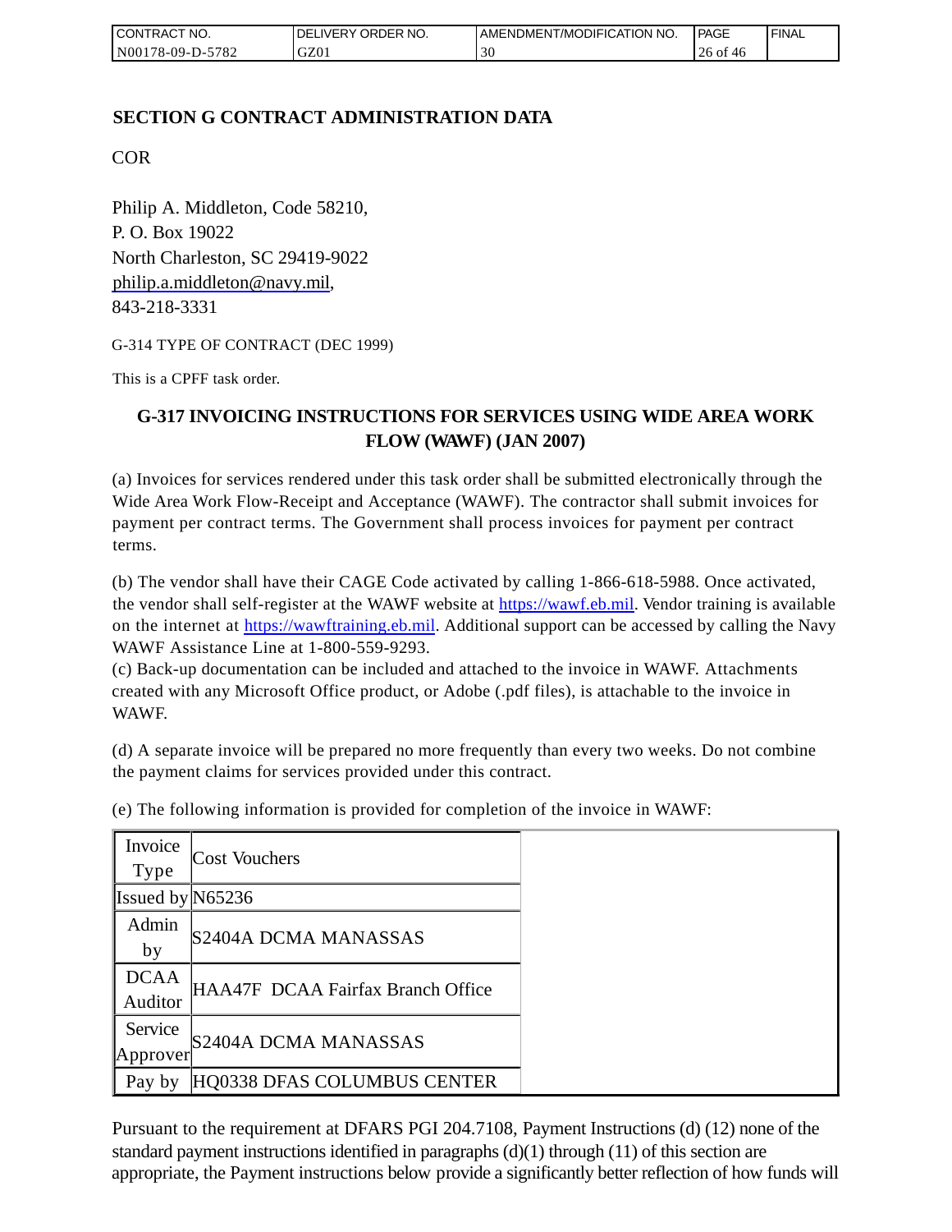| I CONTRACT NO.   | <b>IDELIVERY ORDER NO.</b> | AMENDMENT/MODIFICATION NO. | PAGE        | ' FINAL |
|------------------|----------------------------|----------------------------|-------------|---------|
| N00178-09-D-5782 | GZ01                       | эu                         | 26 of<br>40 |         |

## **SECTION G CONTRACT ADMINISTRATION DATA**

COR

Philip A. Middleton, Code 58210, P. O. Box 19022 North Charleston, SC 29419-9022 [philip.a.middleton@navy.mil,](mailto:cphilip.a.middleton@navy.mil) 843-218-3331

G-314 TYPE OF CONTRACT (DEC 1999)

This is a CPFF task order.

# **G-317 INVOICING INSTRUCTIONS FOR SERVICES USING WIDE AREA WORK FLOW (WAWF) (JAN 2007)**

(a) Invoices for services rendered under this task order shall be submitted electronically through the Wide Area Work Flow-Receipt and Acceptance (WAWF). The contractor shall submit invoices for payment per contract terms. The Government shall process invoices for payment per contract terms.

(b) The vendor shall have their CAGE Code activated by calling 1-866-618-5988. Once activated, the vendor shall self-register at the WAWF website at [https://wawf.eb.mil.](https://wawf.eb.mil/) Vendor training is available on the internet at [https://wawftraining.eb.mil.](https://wawftraining.eb.mil/) Additional support can be accessed by calling the Navy WAWF Assistance Line at 1-800-559-9293.

(c) Back-up documentation can be included and attached to the invoice in WAWF. Attachments created with any Microsoft Office product, or Adobe (.pdf files), is attachable to the invoice in WAWF.

(d) A separate invoice will be prepared no more frequently than every two weeks. Do not combine the payment claims for services provided under this contract.

| Invoice<br>Type        | Cost Vouchers                     |
|------------------------|-----------------------------------|
| Issued by $N65236$     |                                   |
| Admin<br>by            | S2404A DCMA MANASSAS              |
| <b>DCAA</b><br>Auditor | HAA47F DCAA Fairfax Branch Office |
| Service<br>Approver    | S2404A DCMA MANASSAS              |
| Pay by                 | HQ0338 DFAS COLUMBUS CENTER       |

(e) The following information is provided for completion of the invoice in WAWF:

Pursuant to the requirement at DFARS PGI 204.7108, Payment Instructions (d) (12) none of the standard payment instructions identified in paragraphs  $(d)(1)$  through  $(11)$  of this section are appropriate, the Payment instructions below provide a significantly better reflection of how funds will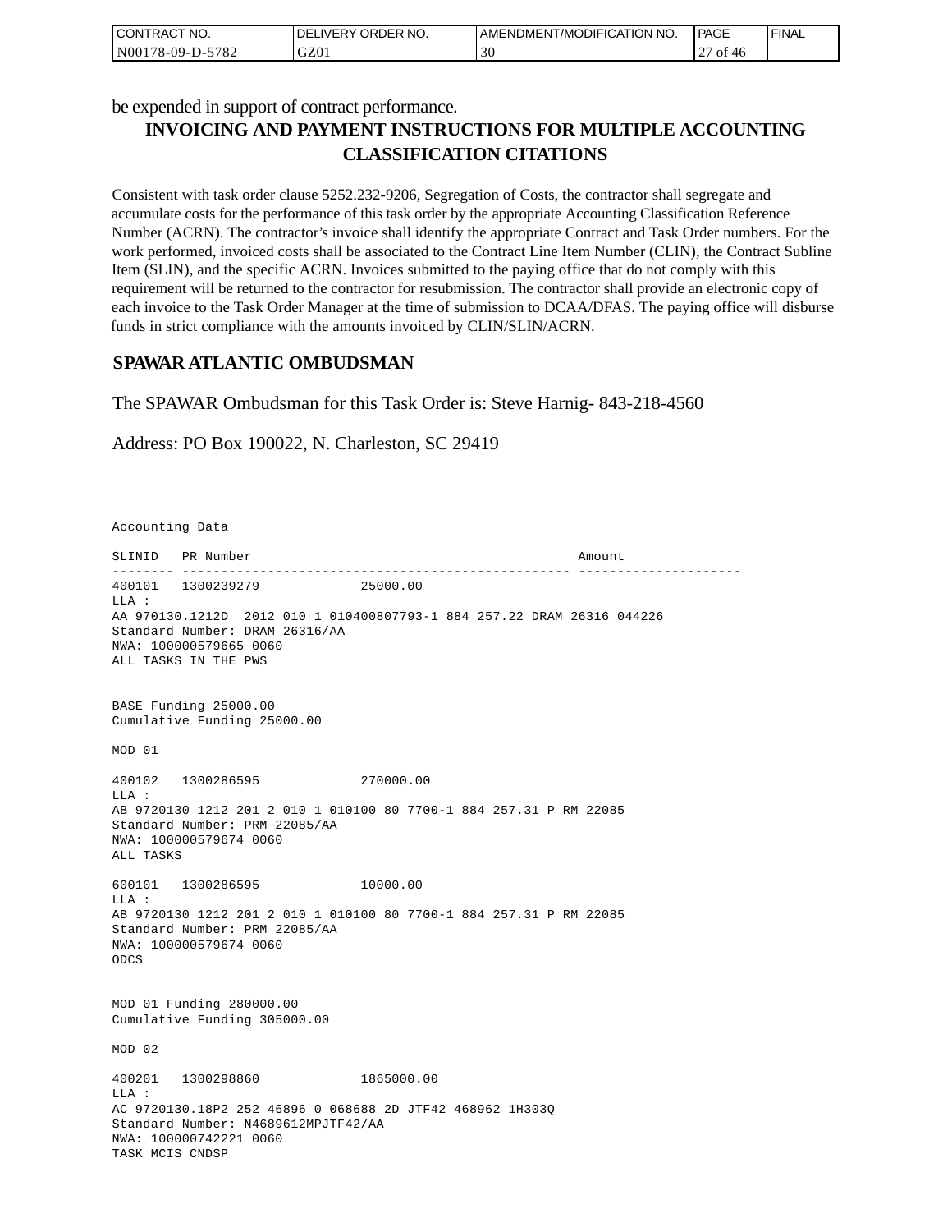| CONTRACT NO.     | I DELIVERY ORDER NO. | AMENDMENT/MODIFICATION NO. | <b>PAGE</b> | 'FINAL |
|------------------|----------------------|----------------------------|-------------|--------|
| N00178-09-D-5782 | GZ01                 | 30                         | ot.<br>46   |        |

be expended in support of contract performance.

# **INVOICING AND PAYMENT INSTRUCTIONS FOR MULTIPLE ACCOUNTING CLASSIFICATION CITATIONS**

Consistent with task order clause 5252.232-9206, Segregation of Costs, the contractor shall segregate and accumulate costs for the performance of this task order by the appropriate Accounting Classification Reference Number (ACRN). The contractor's invoice shall identify the appropriate Contract and Task Order numbers. For the work performed, invoiced costs shall be associated to the Contract Line Item Number (CLIN), the Contract Subline Item (SLIN), and the specific ACRN. Invoices submitted to the paying office that do not comply with this requirement will be returned to the contractor for resubmission. The contractor shall provide an electronic copy of each invoice to the Task Order Manager at the time of submission to DCAA/DFAS. The paying office will disburse funds in strict compliance with the amounts invoiced by CLIN/SLIN/ACRN.

## **SPAWAR ATLANTIC OMBUDSMAN**

The SPAWAR Ombudsman for this Task Order is: Steve Harnig- 843-218-4560

Address: PO Box 190022, N. Charleston, SC 29419

Accounting Data

SLINID PR Number Amount -------- -------------------------------------------------- --------------------- 400101 1300239279 25000.00  $T.T.A$  : AA 970130.1212D 2012 010 1 010400807793-1 884 257.22 DRAM 26316 044226 Standard Number: DRAM 26316/AA NWA: 100000579665 0060 ALL TASKS IN THE PWS BASE Funding 25000.00 Cumulative Funding 25000.00 MOD 01 400102 1300286595 270000.00 LLA : AB 9720130 1212 201 2 010 1 010100 80 7700-1 884 257.31 P RM 22085 Standard Number: PRM 22085/AA NWA: 100000579674 0060 ALL TASKS 600101 1300286595 10000.00 LLA : AB 9720130 1212 201 2 010 1 010100 80 7700-1 884 257.31 P RM 22085 Standard Number: PRM 22085/AA NWA: 100000579674 0060 ODCS MOD 01 Funding 280000.00 Cumulative Funding 305000.00 MOD 02 400201 1300298860 1865000.00  $T.T.A$  : AC 9720130.18P2 252 46896 0 068688 2D JTF42 468962 1H303Q Standard Number: N4689612MPJTF42/AA NWA: 100000742221 0060 TASK MCIS CNDSP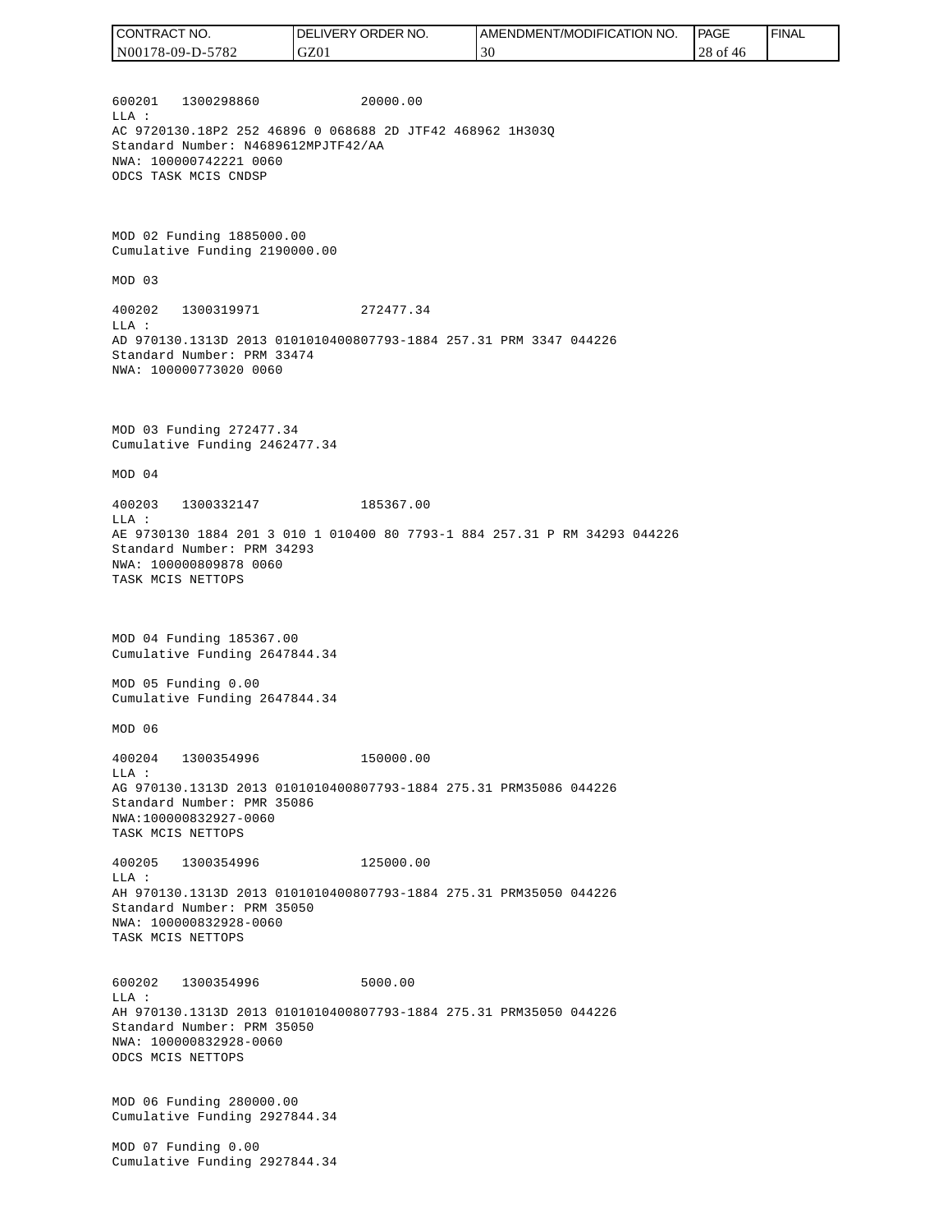| CONTRACT NO.     | ORDER<br>`NO.<br>DEL<br>.IVERY | AMENDMENT/MODIFICATION NO. | PAGE          | ' FINAL |
|------------------|--------------------------------|----------------------------|---------------|---------|
| N00178-09-D-5782 | GZ0                            | 30                         | $28$ of<br>46 |         |

600201 1300298860 20000.00 LLA : AC 9720130.18P2 252 46896 0 068688 2D JTF42 468962 1H303Q Standard Number: N4689612MPJTF42/AA NWA: 100000742221 0060 ODCS TASK MCIS CNDSP

MOD 02 Funding 1885000.00 Cumulative Funding 2190000.00

MOD 03

400202 1300319971 272477.34 LLA : AD 970130.1313D 2013 0101010400807793-1884 257.31 PRM 3347 044226 Standard Number: PRM 33474 NWA: 100000773020 0060

MOD 03 Funding 272477.34 Cumulative Funding 2462477.34

MOD 04

400203 1300332147 185367.00 LLA : AE 9730130 1884 201 3 010 1 010400 80 7793-1 884 257.31 P RM 34293 044226 Standard Number: PRM 34293 NWA: 100000809878 0060 TASK MCIS NETTOPS

MOD 04 Funding 185367.00 Cumulative Funding 2647844.34

MOD 05 Funding 0.00 Cumulative Funding 2647844.34

MOD 06

400204 1300354996 150000.00 LLA : AG 970130.1313D 2013 0101010400807793-1884 275.31 PRM35086 044226 Standard Number: PMR 35086 NWA:100000832927-0060 TASK MCIS NETTOPS

400205 1300354996 125000.00 LLA : AH 970130.1313D 2013 0101010400807793-1884 275.31 PRM35050 044226 Standard Number: PRM 35050 NWA: 100000832928-0060 TASK MCIS NETTOPS

600202 1300354996 5000.00 LLA : AH 970130.1313D 2013 0101010400807793-1884 275.31 PRM35050 044226 Standard Number: PRM 35050 NWA: 100000832928-0060 ODCS MCIS NETTOPS

MOD 06 Funding 280000.00 Cumulative Funding 2927844.34

MOD 07 Funding 0.00 Cumulative Funding 2927844.34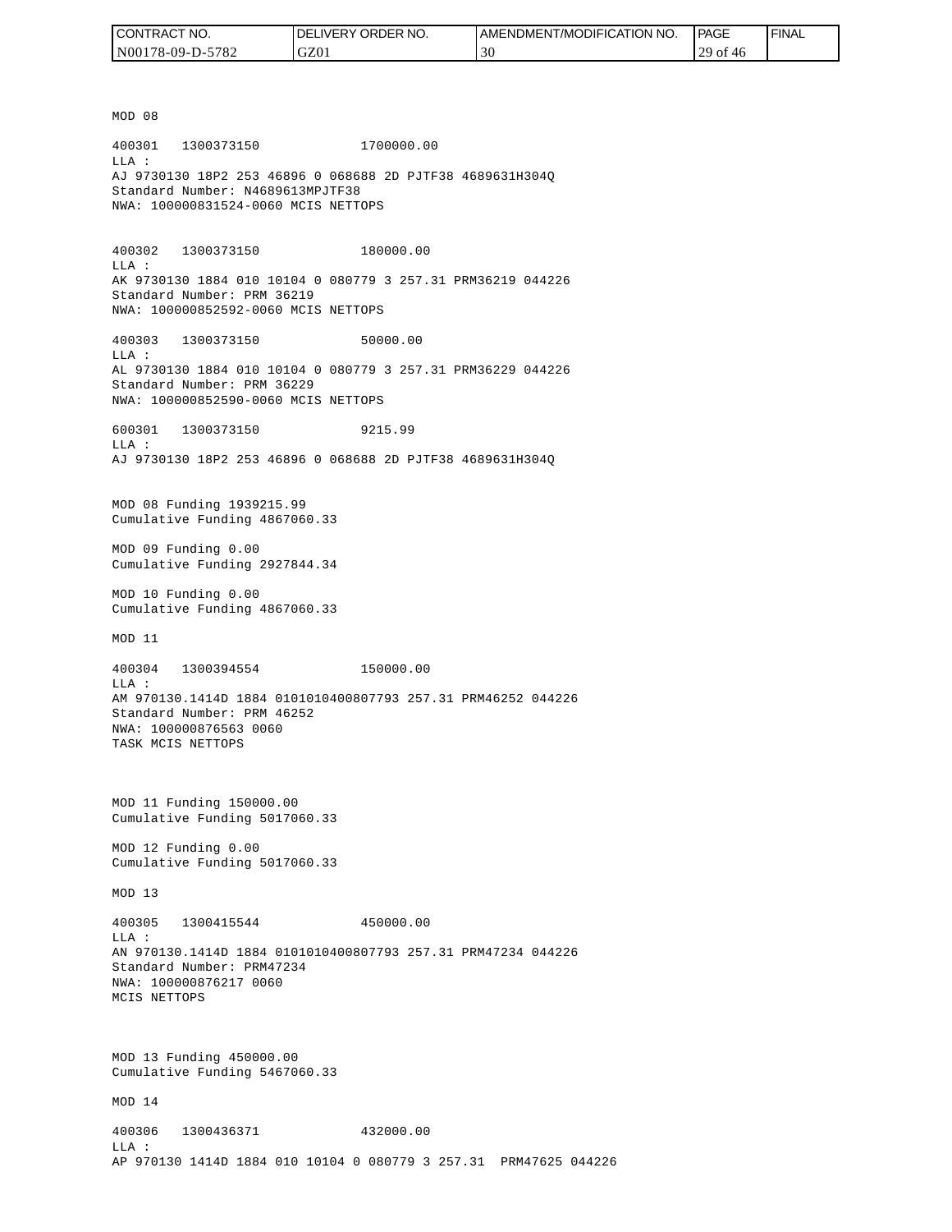| CONTRACT NO.     | <b>IDELIVERY ORDER NO.</b> | I AMENDMENT/MODIFICATION NO. | PAGE       | ' FINAL |
|------------------|----------------------------|------------------------------|------------|---------|
| N00178-09-D-5782 | GZ01                       | 30                           | $29$ of 46 |         |

MOD 08 400301 1300373150 1700000.00 LLA : AJ 9730130 18P2 253 46896 0 068688 2D PJTF38 4689631H304Q Standard Number: N4689613MPJTF38 NWA: 100000831524-0060 MCIS NETTOPS 400302 1300373150 180000.00 LLA : AK 9730130 1884 010 10104 0 080779 3 257.31 PRM36219 044226 Standard Number: PRM 36219 NWA: 100000852592-0060 MCIS NETTOPS 400303 1300373150 50000.00 LLA : AL 9730130 1884 010 10104 0 080779 3 257.31 PRM36229 044226 Standard Number: PRM 36229 NWA: 100000852590-0060 MCIS NETTOPS 600301 1300373150 9215.99  $T.T.A$  : AJ 9730130 18P2 253 46896 0 068688 2D PJTF38 4689631H304Q MOD 08 Funding 1939215.99 Cumulative Funding 4867060.33 MOD 09 Funding 0.00 Cumulative Funding 2927844.34 MOD 10 Funding 0.00 Cumulative Funding 4867060.33 MOD 11 400304 1300394554 150000.00 LLA : AM 970130.1414D 1884 0101010400807793 257.31 PRM46252 044226 Standard Number: PRM 46252 NWA: 100000876563 0060 TASK MCIS NETTOPS MOD 11 Funding 150000.00 Cumulative Funding 5017060.33 MOD 12 Funding 0.00 Cumulative Funding 5017060.33 MOD 13 400305 1300415544 450000.00  $L.L.A$  : AN 970130.1414D 1884 0101010400807793 257.31 PRM47234 044226 Standard Number: PRM47234 NWA: 100000876217 0060 MCIS NETTOPS MOD 13 Funding 450000.00 Cumulative Funding 5467060.33 MOD 14 400306 1300436371 432000.00 LLA : AP 970130 1414D 1884 010 10104 0 080779 3 257.31 PRM47625 044226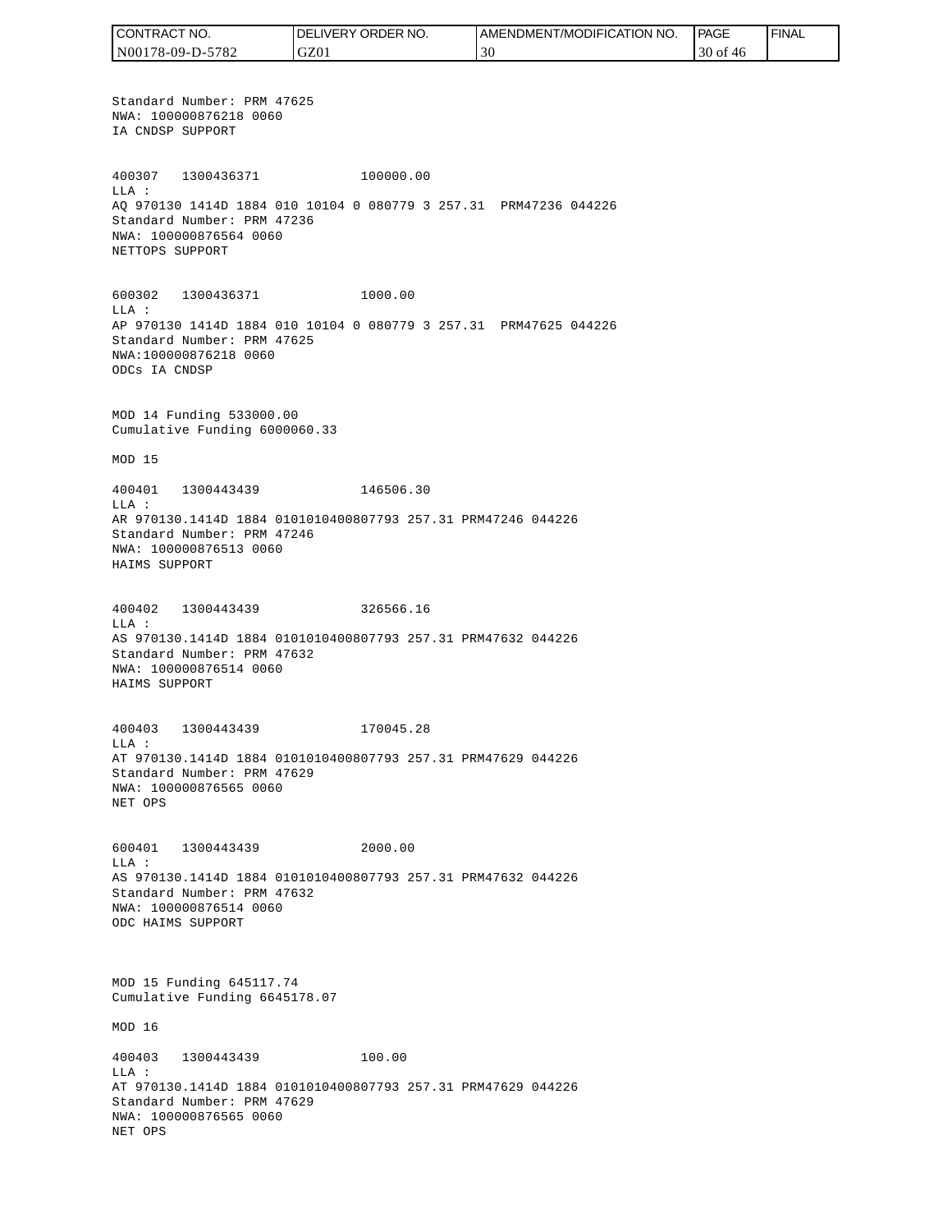CONTRACT NO. DELIVERY ORDER NO. AMENDMENT/MODIFICATION NO. **PAGE**  FINALCONTRACT NO.<br>NO0178-09-D-5<br>Standard Numk<br>NWA: 1000087<br>IA CNDSP SUPP<br>400307 1300<br>400307 1300<br>400307 1300<br>MLA: 2000087<br>NET CNDSP SUPPC<br>600302 1300<br>NET TOPS SUPPC<br>600302 1300<br>LLA: AP 970130 141<br>Standard Numk<br>NWA: 10000087<br>MAD N00178-09-D-5782 GZ01 30 30 of 46 Standard Number: PRM 47625 NWA: 100000876218 0060 IA CNDSP SUPPORT 400307 1300436371 100000.00 LLA : AQ 970130 1414D 1884 010 10104 0 080779 3 257.31 PRM47236 044226 Standard Number: PRM 47236 NWA: 100000876564 0060 NETTOPS SUPPORT 600302 1300436371 1000.00 LLA : AP 970130 1414D 1884 010 10104 0 080779 3 257.31 PRM47625 044226 Standard Number: PRM 47625 NWA:100000876218 0060 ODCs IA CNDSP MOD 14 Funding 533000.00 Cumulative Funding 6000060.33 MOD 15 400401 1300443439 146506.30 LLA : AR 970130.1414D 1884 0101010400807793 257.31 PRM47246 044226 Standard Number: PRM 47246 NWA: 100000876513 0060 HAIMS SUPPORT 400402 1300443439 326566.16 LLA : AS 970130.1414D 1884 0101010400807793 257.31 PRM47632 044226 Standard Number: PRM 47632 NWA: 100000876514 0060 HAIMS SUPPORT 400403 1300443439 170045.28 LLA : AT 970130.1414D 1884 0101010400807793 257.31 PRM47629 044226 Standard Number: PRM 47629 NWA: 100000876565 0060 NET OPS 600401 1300443439 2000.00 LLA : AS 970130.1414D 1884 0101010400807793 257.31 PRM47632 044226 Standard Number: PRM 47632 NWA: 100000876514 0060 ODC HAIMS SUPPORT MOD 15 Funding 645117.74 Cumulative Funding 6645178.07 MOD 16 400403 1300443439 100.00 LLA : AT 970130.1414D 1884 0101010400807793 257.31 PRM47629 044226 Standard Number: PRM 47629 NWA: 100000876565 0060 NET OPS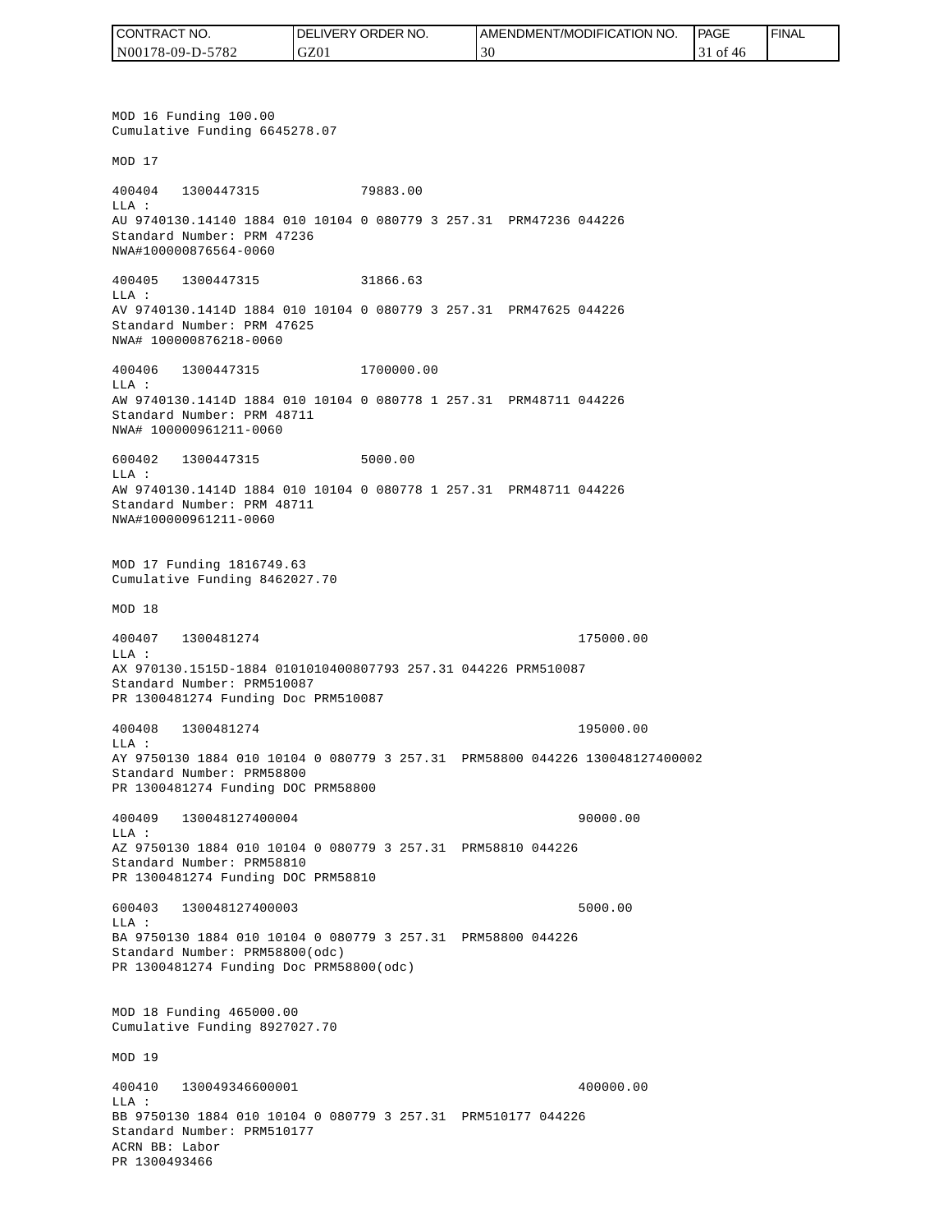| CONTRACT NO.     | <b>IDELIVERY ORDER NO.</b> | AMENDMENT/MODIFICATION<br>NO. | <b>PAGE</b>    | ' FINAL |
|------------------|----------------------------|-------------------------------|----------------|---------|
| N00178-09-D-5782 | GZ01                       | 9U                            | of<br>-46<br>◡ |         |

MOD 16 Funding 100.00 Cumulative Funding 6645278.07 MOD 17 400404 1300447315 79883.00 LLA : AU 9740130.14140 1884 010 10104 0 080779 3 257.31 PRM47236 044226 Standard Number: PRM 47236 NWA#100000876564-0060 400405 1300447315 31866.63 LLA : AV 9740130.1414D 1884 010 10104 0 080779 3 257.31 PRM47625 044226 Standard Number: PRM 47625 NWA# 100000876218-0060 400406 1300447315 1700000.00 LLA : AW 9740130.1414D 1884 010 10104 0 080778 1 257.31 PRM48711 044226 Standard Number: PRM 48711 NWA# 100000961211-0060 600402 1300447315 5000.00 LLA : AW 9740130.1414D 1884 010 10104 0 080778 1 257.31 PRM48711 044226 Standard Number: PRM 48711 NWA#100000961211-0060 MOD 17 Funding 1816749.63 Cumulative Funding 8462027.70 MOD 18 400407 1300481274 175000.00 LLA : AX 970130.1515D-1884 0101010400807793 257.31 044226 PRM510087 Standard Number: PRM510087 PR 1300481274 Funding Doc PRM510087 400408 1300481274 195000.00 LLA : AY 9750130 1884 010 10104 0 080779 3 257.31 PRM58800 044226 130048127400002 Standard Number: PRM58800 PR 1300481274 Funding DOC PRM58800 400409 130048127400004 90000.00 LLA : AZ 9750130 1884 010 10104 0 080779 3 257.31 PRM58810 044226 Standard Number: PRM58810 PR 1300481274 Funding DOC PRM58810 600403 130048127400003 5000.00 LLA : BA 9750130 1884 010 10104 0 080779 3 257.31 PRM58800 044226 Standard Number: PRM58800(odc) PR 1300481274 Funding Doc PRM58800(odc) MOD 18 Funding 465000.00 Cumulative Funding 8927027.70 MOD 19 400410 130049346600001 400000.00  $L.L.A$  : BB 9750130 1884 010 10104 0 080779 3 257.31 PRM510177 044226 Standard Number: PRM510177 ACRN BB: Labor PR 1300493466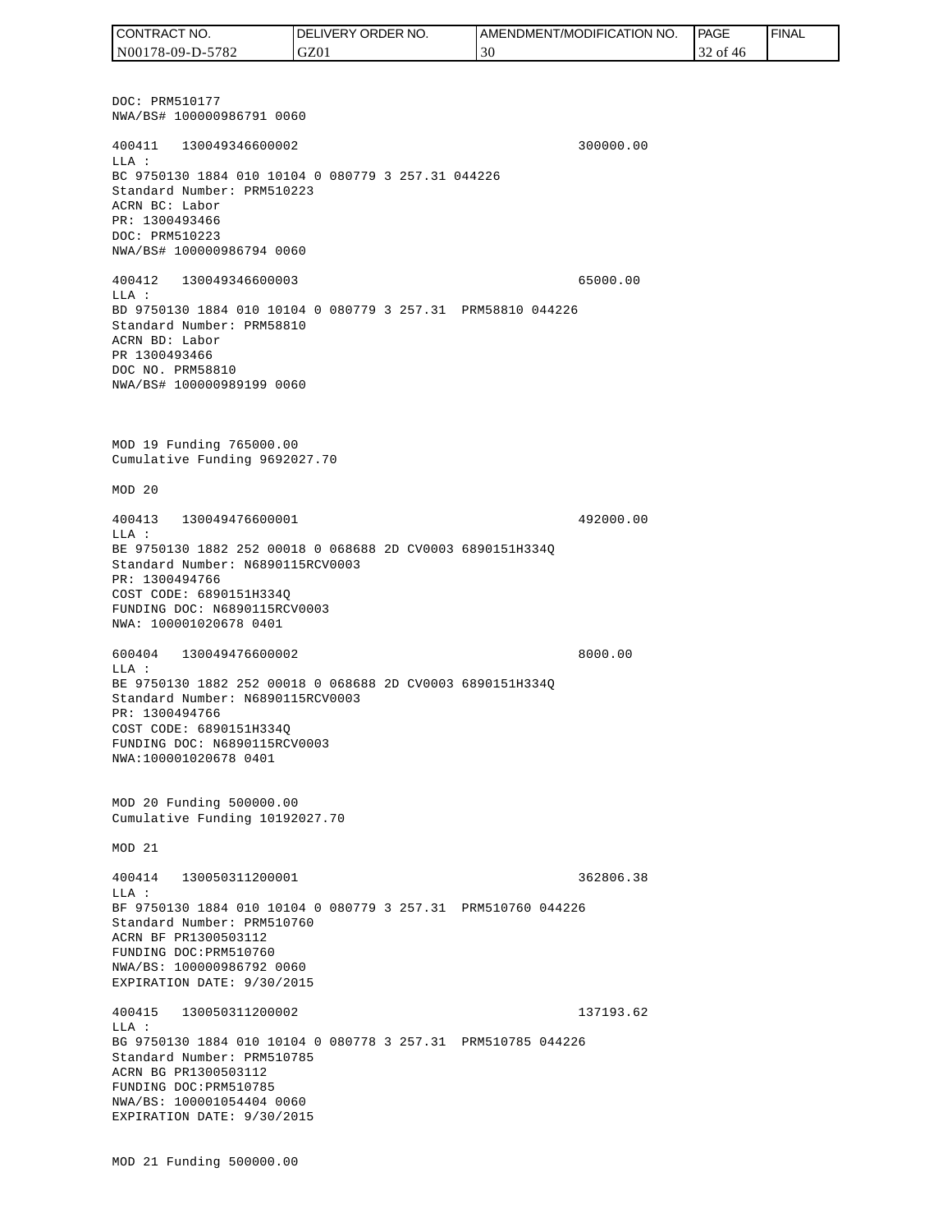DOC: PRM510177 NWA/BS# 100000986791 0060 400411 130049346600002 300000.00 LLA : BC 9750130 1884 010 10104 0 080779 3 257.31 044226 Standard Number: PRM510223 ACRN BC: Labor PR: 1300493466 DOC: PRM510223 NWA/BS# 100000986794 0060 400412 130049346600003 65000.00 LLA : BD 9750130 1884 010 10104 0 080779 3 257.31 PRM58810 044226 Standard Number: PRM58810 ACRN BD: Labor PR 1300493466 DOC NO. PRM58810 NWA/BS# 100000989199 0060 MOD 19 Funding 765000.00 Cumulative Funding 9692027.70 MOD 20 400413 130049476600001 492000.00 LLA : BE 9750130 1882 252 00018 0 068688 2D CV0003 6890151H334Q Standard Number: N6890115RCV0003 PR: 1300494766 COST CODE: 6890151H334Q FUNDING DOC: N6890115RCV0003 NWA: 100001020678 0401 600404 130049476600002 8000.00 LLA : BE 9750130 1882 252 00018 0 068688 2D CV0003 6890151H334Q Standard Number: N6890115RCV0003 PR: 1300494766 COST CODE: 6890151H334Q FUNDING DOC: N6890115RCV0003 NWA:100001020678 0401 MOD 20 Funding 500000.00 Cumulative Funding 10192027.70 MOD 21 400414 130050311200001 362806.38  $T.T.A$  : BF 9750130 1884 010 10104 0 080779 3 257.31 PRM510760 044226 Standard Number: PRM510760 ACRN BF PR1300503112 FUNDING DOC:PRM510760 NWA/BS: 100000986792 0060 EXPIRATION DATE: 9/30/2015 400415 130050311200002 137193.62 LLA : BG 9750130 1884 010 10104 0 080778 3 257.31 PRM510785 044226 Standard Number: PRM510785 ACRN BG PR1300503112 FUNDING DOC:PRM510785 NWA/BS: 100001054404 0060 EXPIRATION DATE: 9/30/2015 MOD 21 Funding 500000.00 CONTRACT NO. N00178-09-D-5782 DELIVERY ORDER NO. GZ01 AMENDMENT/MODIFICATION NO. 30 **PAGE**  32 of 46 FINAL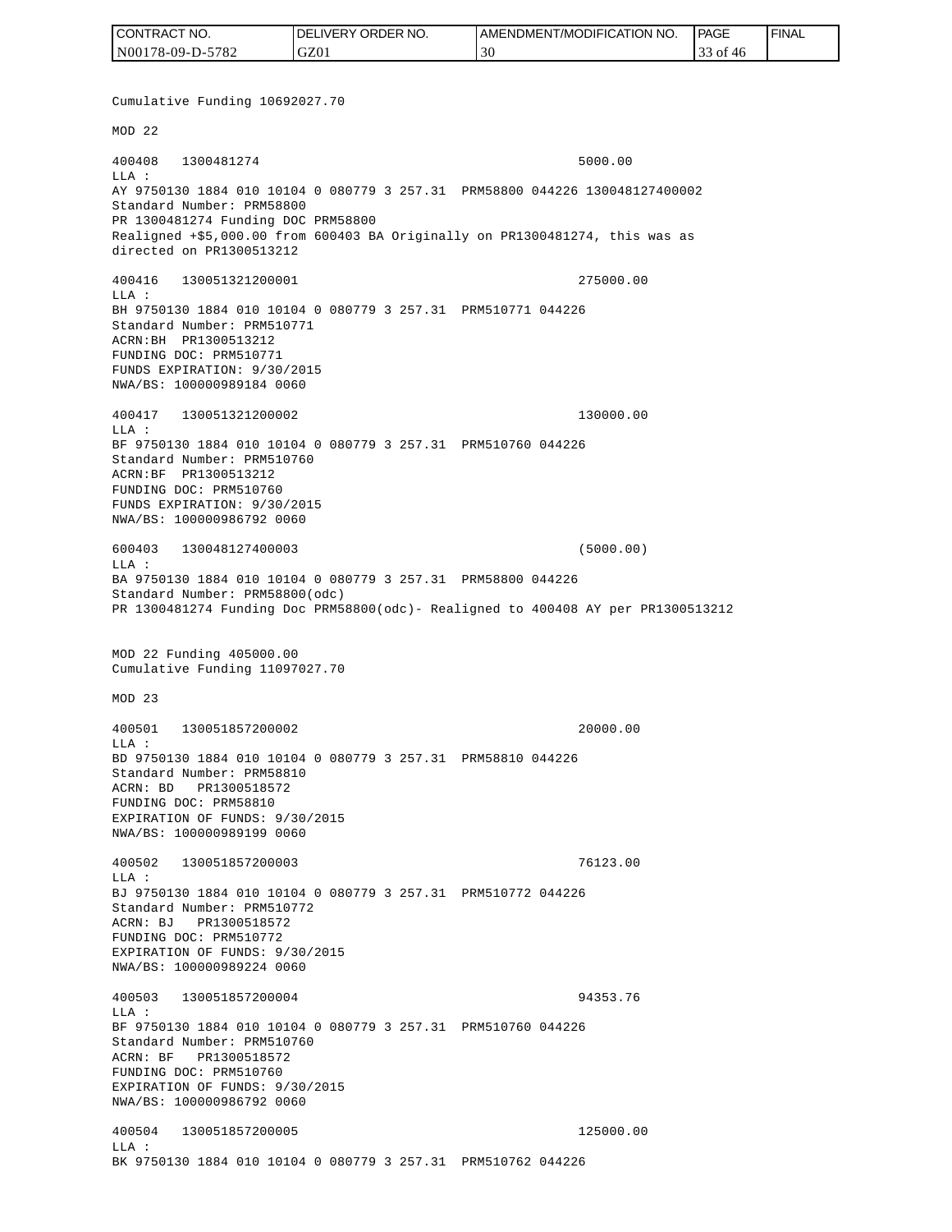| CONTRACT NO.     | <b>IDELIVERY ORDER NO.</b> | <b>I AMENDMENT/MODIFICATION NO.</b> | <b>PAGE</b>  | ' FINAL |
|------------------|----------------------------|-------------------------------------|--------------|---------|
| N00178-09-D-5782 | GZ01                       |                                     | 33 of<br>-46 |         |

Cumulative Funding 10692027.70 MOD 22 400408 1300481274 5000.00 LLA : AY 9750130 1884 010 10104 0 080779 3 257.31 PRM58800 044226 130048127400002 Standard Number: PRM58800 PR 1300481274 Funding DOC PRM58800 Realigned +\$5,000.00 from 600403 BA Originally on PR1300481274, this was as directed on PR1300513212 400416 130051321200001 275000.00 LLA : BH 9750130 1884 010 10104 0 080779 3 257.31 PRM510771 044226 Standard Number: PRM510771 ACRN:BH PR1300513212 FUNDING DOC: PRM510771 FUNDS EXPIRATION: 9/30/2015 NWA/BS: 100000989184 0060 400417 130051321200002 130000.00 LLA : BF 9750130 1884 010 10104 0 080779 3 257.31 PRM510760 044226 Standard Number: PRM510760 ACRN:BF PR1300513212 FUNDING DOC: PRM510760 FUNDS EXPIRATION: 9/30/2015 NWA/BS: 100000986792 0060 600403 130048127400003 (5000.00)  $L.L.A$  : BA 9750130 1884 010 10104 0 080779 3 257.31 PRM58800 044226 Standard Number: PRM58800(odc) PR 1300481274 Funding Doc PRM58800(odc)- Realigned to 400408 AY per PR1300513212 MOD 22 Funding 405000.00 Cumulative Funding 11097027.70 MOD 23 400501 130051857200002 20000.00  $L.L.A$  : BD 9750130 1884 010 10104 0 080779 3 257.31 PRM58810 044226 Standard Number: PRM58810 ACRN: BD PR1300518572 FUNDING DOC: PRM58810 EXPIRATION OF FUNDS: 9/30/2015 NWA/BS: 100000989199 0060 400502 130051857200003 76123.00 LLA : BJ 9750130 1884 010 10104 0 080779 3 257.31 PRM510772 044226 Standard Number: PRM510772 ACRN: BJ PR1300518572 FUNDING DOC: PRM510772 EXPIRATION OF FUNDS: 9/30/2015 NWA/BS: 100000989224 0060 400503 130051857200004 94353.76  $T.T.A$  : BF 9750130 1884 010 10104 0 080779 3 257.31 PRM510760 044226 Standard Number: PRM510760 ACRN: BF PR1300518572 FUNDING DOC: PRM510760 EXPIRATION OF FUNDS: 9/30/2015 NWA/BS: 100000986792 0060 400504 130051857200005 125000.00 LLA : BK 9750130 1884 010 10104 0 080779 3 257.31 PRM510762 044226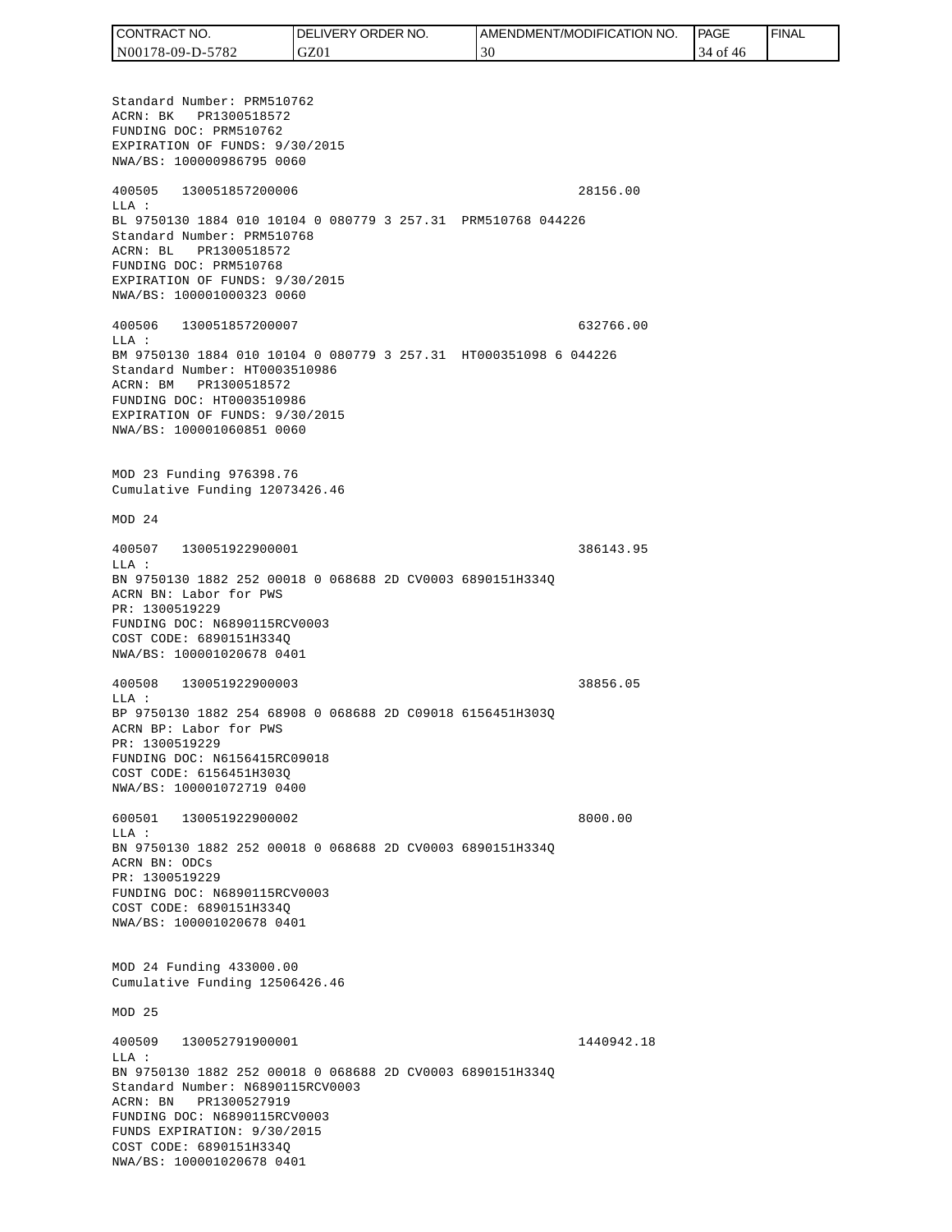| <b>CONTRACT</b><br>" NO. | <b>ORDER</b><br>NO.<br><b>DELIVERY</b> | AMENDMENT/MODIFICATION NO. | PAGE            | <b>FINAL</b> |
|--------------------------|----------------------------------------|----------------------------|-----------------|--------------|
| N00178-09-D-5782         | GZ01                                   | 30                         | 34<br>∙of<br>46 |              |

Standard Number: PRM510762 ACRN: BK PR1300518572 FUNDING DOC: PRM510762 EXPIRATION OF FUNDS: 9/30/2015 NWA/BS: 100000986795 0060 400505 130051857200006 28156.00 LLA : BL 9750130 1884 010 10104 0 080779 3 257.31 PRM510768 044226 Standard Number: PRM510768 ACRN: BL PR1300518572 FUNDING DOC: PRM510768 EXPIRATION OF FUNDS: 9/30/2015 NWA/BS: 100001000323 0060 400506 130051857200007 632766.00 LLA : BM 9750130 1884 010 10104 0 080779 3 257.31 HT000351098 6 044226 Standard Number: HT0003510986 ACRN: BM PR1300518572 FUNDING DOC: HT0003510986 EXPIRATION OF FUNDS: 9/30/2015 NWA/BS: 100001060851 0060 MOD 23 Funding 976398.76 Cumulative Funding 12073426.46 MOD 24 400507 130051922900001 386143.95  $T.T.A$  : BN 9750130 1882 252 00018 0 068688 2D CV0003 6890151H334Q ACRN BN: Labor for PWS PR: 1300519229 FUNDING DOC: N6890115RCV0003 COST CODE: 6890151H334Q NWA/BS: 100001020678 0401 400508 130051922900003 38856.05 LLA : BP 9750130 1882 254 68908 0 068688 2D C09018 6156451H303Q ACRN BP: Labor for PWS PR: 1300519229 FUNDING DOC: N6156415RC09018 COST CODE: 6156451H303Q NWA/BS: 100001072719 0400 600501 130051922900002 8000.00 LLA : BN 9750130 1882 252 00018 0 068688 2D CV0003 6890151H334Q ACRN BN: ODCs PR: 1300519229 FUNDING DOC: N6890115RCV0003 COST CODE: 6890151H334Q NWA/BS: 100001020678 0401 MOD 24 Funding 433000.00 Cumulative Funding 12506426.46 MOD 25 400509 130052791900001 1440942.18 LLA : BN 9750130 1882 252 00018 0 068688 2D CV0003 6890151H334Q Standard Number: N6890115RCV0003 ACRN: BN PR1300527919 FUNDING DOC: N6890115RCV0003 FUNDS EXPIRATION: 9/30/2015 COST CODE: 6890151H334Q NWA/BS: 100001020678 0401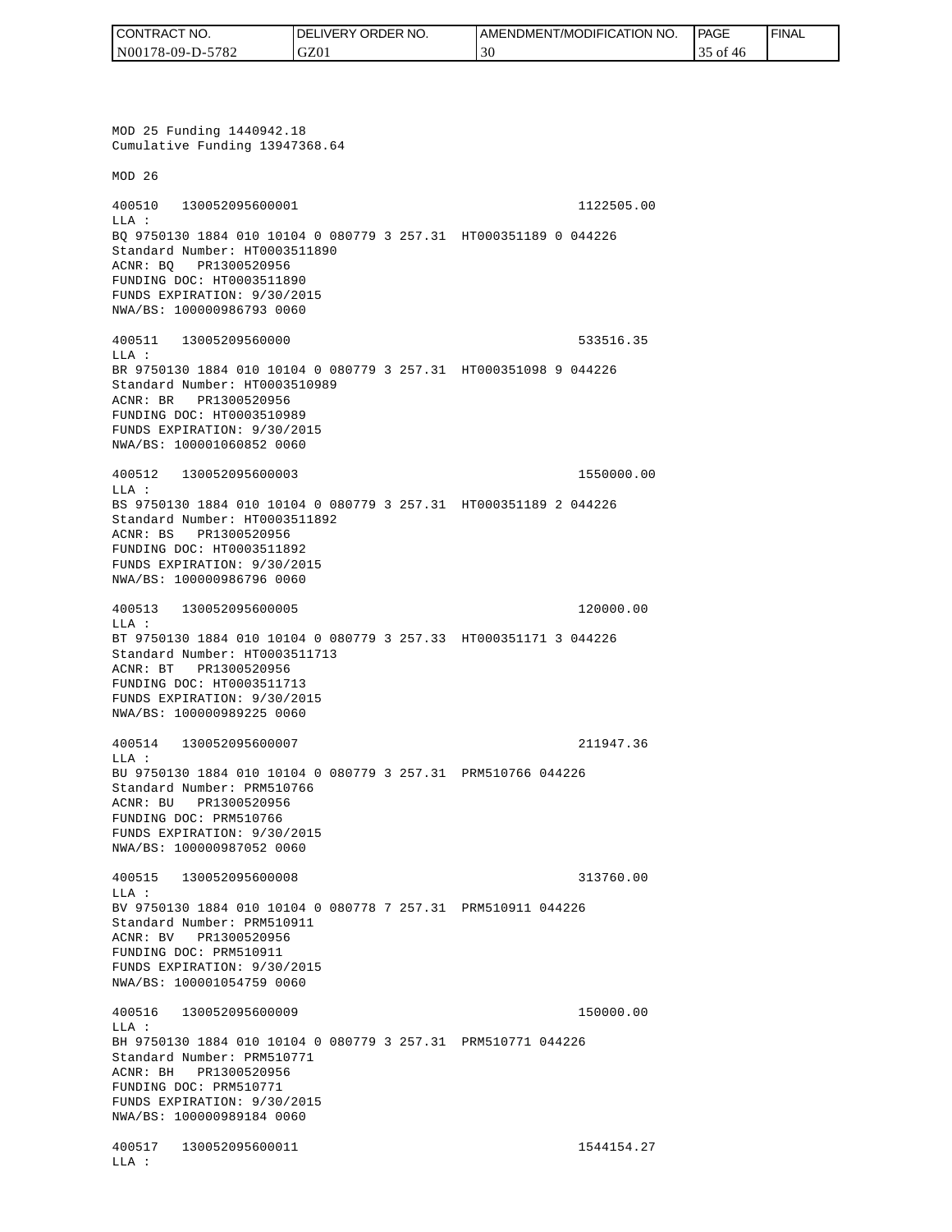| CONTRACT NO.     | <b>IDELIVERY ORDER NO.</b> | AMENDMENT/MODIFICATION NO. | <b>PAGE</b> | ' FINAL |
|------------------|----------------------------|----------------------------|-------------|---------|
| N00178-09-D-5782 | GZ01                       |                            | 35 of<br>46 |         |

MOD 25 Funding 1440942.18 Cumulative Funding 13947368.64 MOD 26 400510 130052095600001 1122505.00 LLA : BQ 9750130 1884 010 10104 0 080779 3 257.31 HT000351189 0 044226 Standard Number: HT0003511890 ACNR: BQ PR1300520956 FUNDING DOC: HT0003511890 FUNDS EXPIRATION: 9/30/2015 NWA/BS: 100000986793 0060 400511 13005209560000 533516.35 LLA : BR 9750130 1884 010 10104 0 080779 3 257.31 HT000351098 9 044226 Standard Number: HT0003510989 ACNR: BR PR1300520956 FUNDING DOC: HT0003510989 FUNDS EXPIRATION: 9/30/2015 NWA/BS: 100001060852 0060 400512 130052095600003 1550000.00 LLA : BS 9750130 1884 010 10104 0 080779 3 257.31 HT000351189 2 044226 Standard Number: HT0003511892 ACNR: BS PR1300520956 FUNDING DOC: HT0003511892 FUNDS EXPIRATION: 9/30/2015 NWA/BS: 100000986796 0060 400513 130052095600005 120000.00 LLA : BT 9750130 1884 010 10104 0 080779 3 257.33 HT000351171 3 044226 Standard Number: HT0003511713 ACNR: BT PR1300520956 FUNDING DOC: HT0003511713 FUNDS EXPIRATION: 9/30/2015 NWA/BS: 100000989225 0060 400514 130052095600007 211947.36 LLA : BU 9750130 1884 010 10104 0 080779 3 257.31 PRM510766 044226 Standard Number: PRM510766 ACNR: BU PR1300520956 FUNDING DOC: PRM510766 FUNDS EXPIRATION: 9/30/2015 NWA/BS: 100000987052 0060 400515 130052095600008 313760.00  $T.T.A$  : BV 9750130 1884 010 10104 0 080778 7 257.31 PRM510911 044226 Standard Number: PRM510911 ACNR: BV PR1300520956 FUNDING DOC: PRM510911 FUNDS EXPIRATION: 9/30/2015 NWA/BS: 100001054759 0060 400516 130052095600009 150000.00 LLA : BH 9750130 1884 010 10104 0 080779 3 257.31 PRM510771 044226 Standard Number: PRM510771 ACNR: BH PR1300520956 FUNDING DOC: PRM510771 FUNDS EXPIRATION: 9/30/2015 NWA/BS: 100000989184 0060 400517 130052095600011 1544154.27 LLA :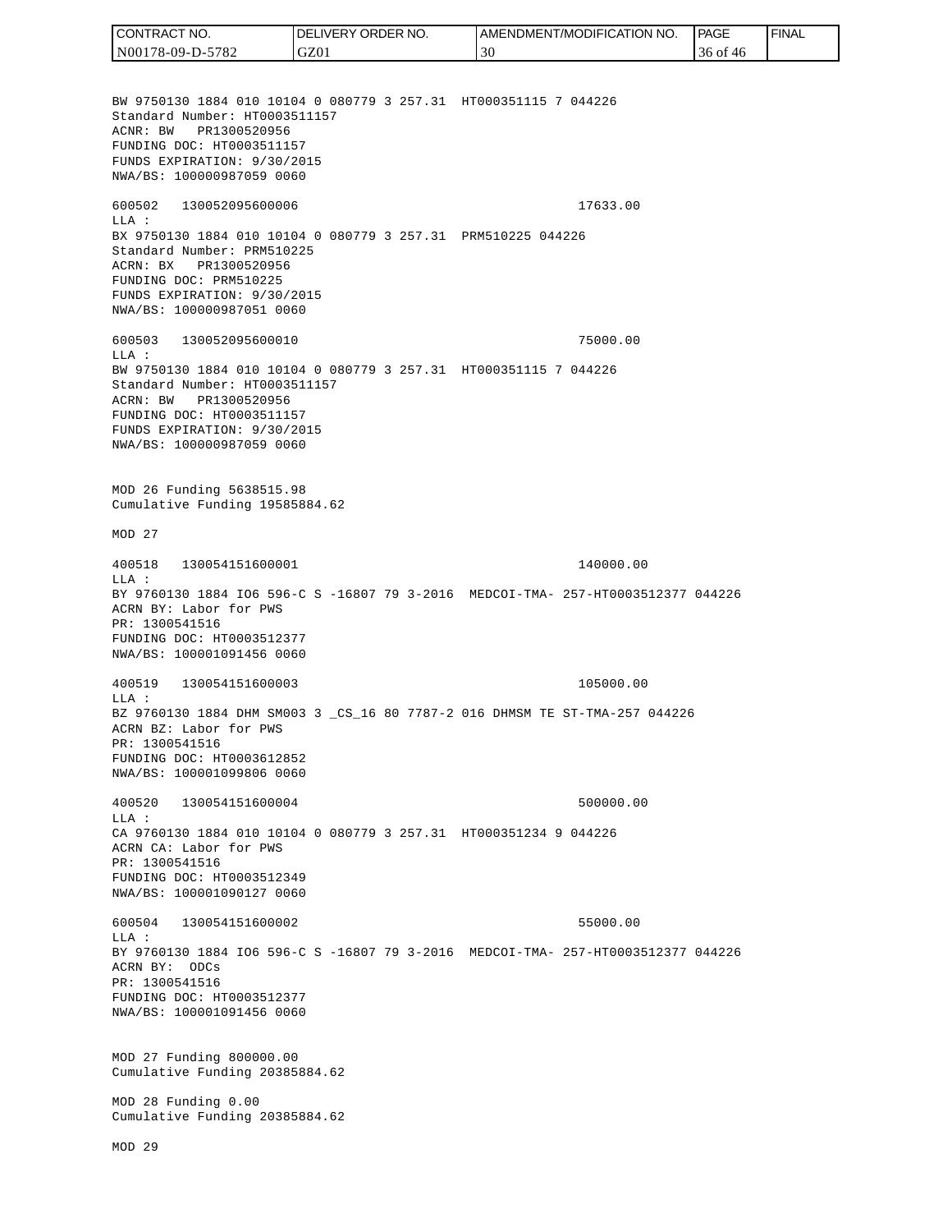CONTRACT NO. DELIVERY ORDER NO. AMENDMENT/MODIFICATION NO. **PAGE**  FINALCONTRACT NO.<br>
NO0178-09-D-5<br>
BW 9750130 18<br>
Standard Numb<br>
Standard Numb<br>
ACNR: BW PR<br>
FUNDING DOC:<br>
FUNDS EXPIRAT<br>
FUNDING DOC:<br>
TEUNDS EXPIRAT<br>
600502 1300<br>
600502 1300<br>
LLA: BX 9750130 18<br>
Standard Numb<br>
ACRN: BX PR<br>
FU N00178-09-D-5782 GZ01 30 36 of 46 BW 9750130 1884 010 10104 0 080779 3 257.31 HT000351115 7 044226 Standard Number: HT0003511157 ACNR: BW PR1300520956 FUNDING DOC: HT0003511157 FUNDS EXPIRATION: 9/30/2015 NWA/BS: 100000987059 0060 600502 130052095600006 17633.00 LLA : BX 9750130 1884 010 10104 0 080779 3 257.31 PRM510225 044226 Standard Number: PRM510225 ACRN: BX PR1300520956 FUNDING DOC: PRM510225 FUNDS EXPIRATION: 9/30/2015 NWA/BS: 100000987051 0060 600503 130052095600010 75000.00  $T.T.A$  : BW 9750130 1884 010 10104 0 080779 3 257.31 HT000351115 7 044226 Standard Number: HT0003511157 ACRN: BW PR1300520956 FUNDING DOC: HT0003511157 FUNDS EXPIRATION: 9/30/2015 NWA/BS: 100000987059 0060 MOD 26 Funding 5638515.98 Cumulative Funding 19585884.62 MOD 27 400518 130054151600001 140000.00 LLA : BY 9760130 1884 IO6 596-C S -16807 79 3-2016 MEDCOI-TMA- 257-HT0003512377 044226 ACRN BY: Labor for PWS PR: 1300541516 FUNDING DOC: HT0003512377 NWA/BS: 100001091456 0060 400519 130054151600003 105000.00 LLA : BZ 9760130 1884 DHM SM003 3 \_CS\_16 80 7787-2 016 DHMSM TE ST-TMA-257 044226 ACRN BZ: Labor for PWS PR: 1300541516 FUNDING DOC: HT0003612852 NWA/BS: 100001099806 0060 400520 130054151600004 500000.00  $L.L.A$  : CA 9760130 1884 010 10104 0 080779 3 257.31 HT000351234 9 044226 ACRN CA: Labor for PWS PR: 1300541516 FUNDING DOC: HT0003512349 NWA/BS: 100001090127 0060 600504 130054151600002 55000.00  $T.T.A$  : BY 9760130 1884 IO6 596-C S -16807 79 3-2016 MEDCOI-TMA- 257-HT0003512377 044226 ACRN BY: ODCs PR: 1300541516 FUNDING DOC: HT0003512377 NWA/BS: 100001091456 0060 MOD 27 Funding 800000.00 Cumulative Funding 20385884.62 MOD 28 Funding 0.00 Cumulative Funding 20385884.62 MOD 29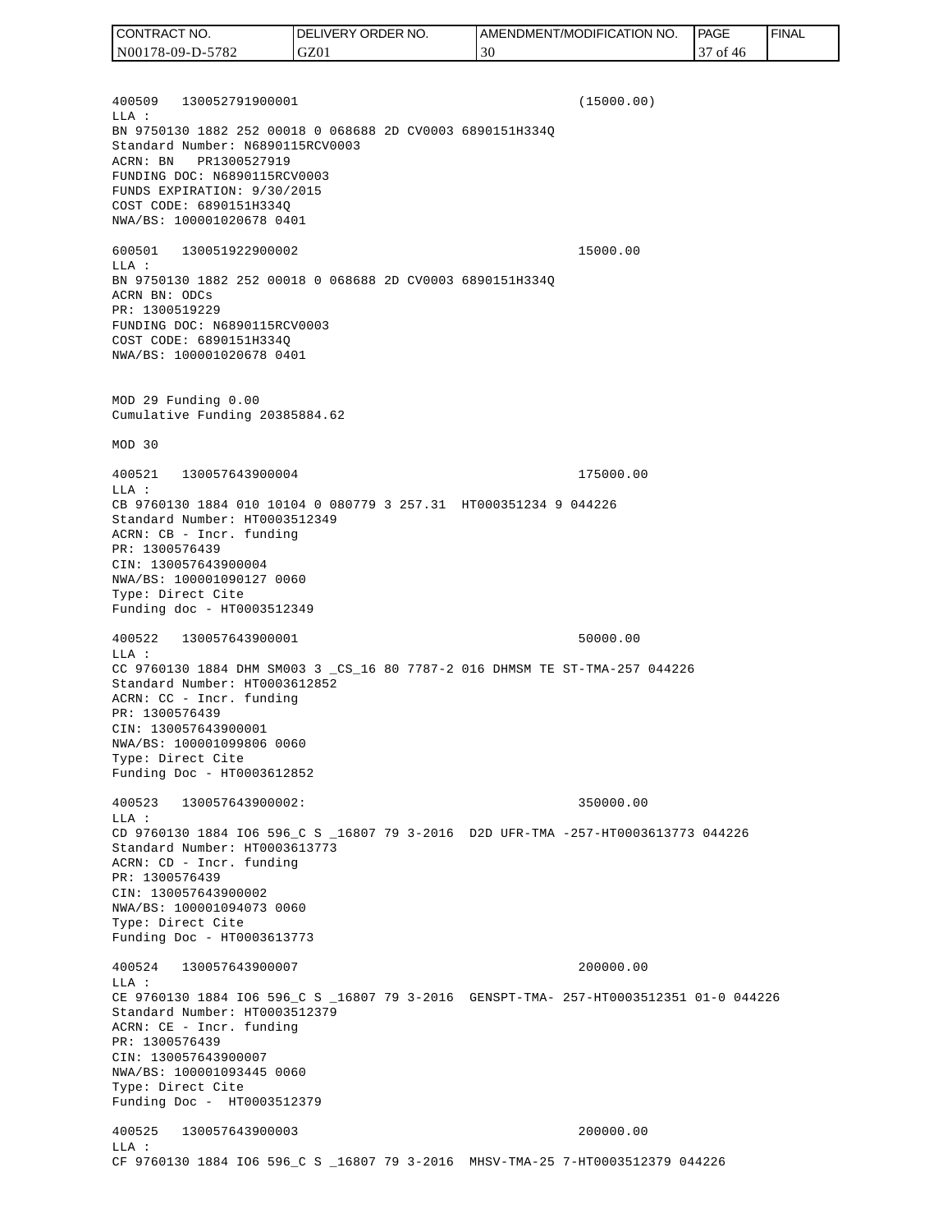400509 130052791900001 (15000.00) LLA : BN 9750130 1882 252 00018 0 068688 2D CV0003 6890151H334Q Standard Number: N6890115RCV0003 ACRN: BN PR1300527919 FUNDING DOC: N6890115RCV0003 FUNDS EXPIRATION: 9/30/2015 COST CODE: 6890151H334Q NWA/BS: 100001020678 0401 600501 130051922900002 15000.00 LLA : BN 9750130 1882 252 00018 0 068688 2D CV0003 6890151H334Q ACRN BN: ODCs PR: 1300519229 FUNDING DOC: N6890115RCV0003 COST CODE: 6890151H334Q NWA/BS: 100001020678 0401 MOD 29 Funding 0.00 Cumulative Funding 20385884.62 MOD 30 400521 130057643900004 175000.00 LLA : CB 9760130 1884 010 10104 0 080779 3 257.31 HT000351234 9 044226 Standard Number: HT0003512349 ACRN: CB - Incr. funding PR: 1300576439 CIN: 130057643900004 NWA/BS: 100001090127 0060 Type: Direct Cite Funding doc - HT0003512349 400522 130057643900001 50000.00 LLA : CC 9760130 1884 DHM SM003 3 \_CS\_16 80 7787-2 016 DHMSM TE ST-TMA-257 044226 Standard Number: HT0003612852 ACRN: CC - Incr. funding PR: 1300576439 CIN: 130057643900001 NWA/BS: 100001099806 0060 Type: Direct Cite Funding Doc - HT0003612852 400523 130057643900002: 350000.00  $L.L.A$  : CD 9760130 1884 IO6 596\_C S \_16807 79 3-2016 D2D UFR-TMA -257-HT0003613773 044226 Standard Number: HT0003613773 ACRN: CD - Incr. funding PR: 1300576439 CIN: 130057643900002 NWA/BS: 100001094073 0060 Type: Direct Cite Funding Doc - HT0003613773 400524 130057643900007 200000.00 LLA : CE 9760130 1884 IO6 596\_C S \_16807 79 3-2016 GENSPT-TMA- 257-HT0003512351 01-0 044226 Standard Number: HT0003512379 ACRN: CE - Incr. funding PR: 1300576439 CIN: 130057643900007 NWA/BS: 100001093445 0060 Type: Direct Cite Funding Doc - HT0003512379 400525 130057643900003 200000.00 LLA : CF 9760130 1884 IO6 596\_C S \_16807 79 3-2016 MHSV-TMA-25 7-HT0003512379 044226 CONTRACT NO. N00178-09-D-5782 DELIVERY ORDER NO. GZ01 AMENDMENT/MODIFICATION NO. 30 **PAGE**  37 of 46 FINAL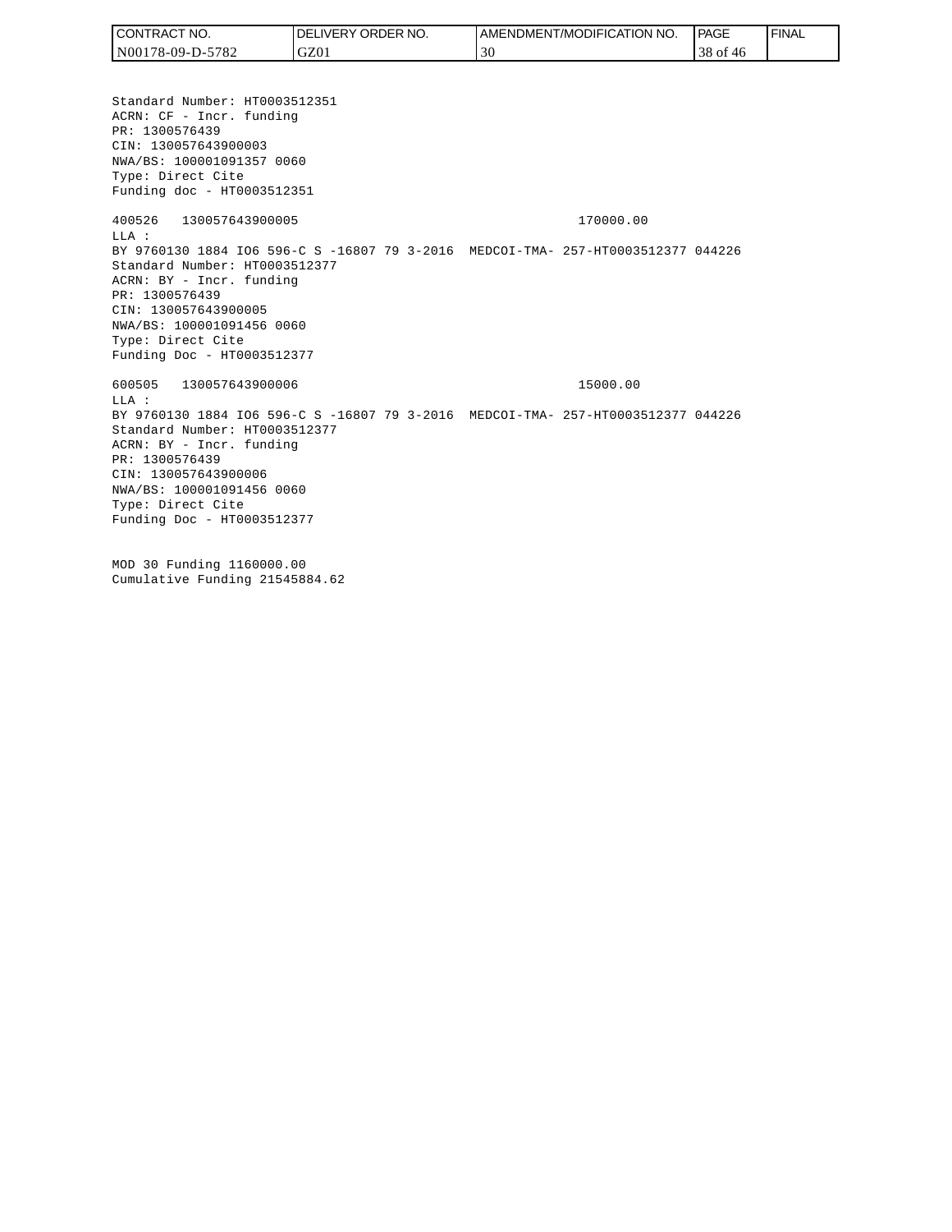| <b>CONTRACT</b><br>T NO. | ' ORDER NO.<br>.IVERY<br>DELI | AMENDMENT/MODIFICATION NO. | <b>PAGE</b> | <b>FINAL</b> |
|--------------------------|-------------------------------|----------------------------|-------------|--------------|
| N00178-09-D-5782         | GZ01                          | 30                         | 38 of 46    |              |
|                          |                               |                            |             |              |

Standard Number: HT0003512351 ACRN: CF - Incr. funding PR: 1300576439 CIN: 130057643900003 NWA/BS: 100001091357 0060 Type: Direct Cite Funding doc - HT0003512351 400526 130057643900005 170000.00 LLA : BY 9760130 1884 IO6 596-C S -16807 79 3-2016 MEDCOI-TMA- 257-HT0003512377 044226 Standard Number: HT0003512377 ACRN: BY - Incr. funding PR: 1300576439 CIN: 130057643900005 NWA/BS: 100001091456 0060 Type: Direct Cite Funding Doc - HT0003512377 600505 130057643900006 15000.00  $T.T.A$  : BY 9760130 1884 IO6 596-C S -16807 79 3-2016 MEDCOI-TMA- 257-HT0003512377 044226 Standard Number: HT0003512377 ACRN: BY - Incr. funding PR: 1300576439 CIN: 130057643900006 NWA/BS: 100001091456 0060 Type: Direct Cite Funding Doc - HT0003512377 MOD 30 Funding 1160000.00

Cumulative Funding 21545884.62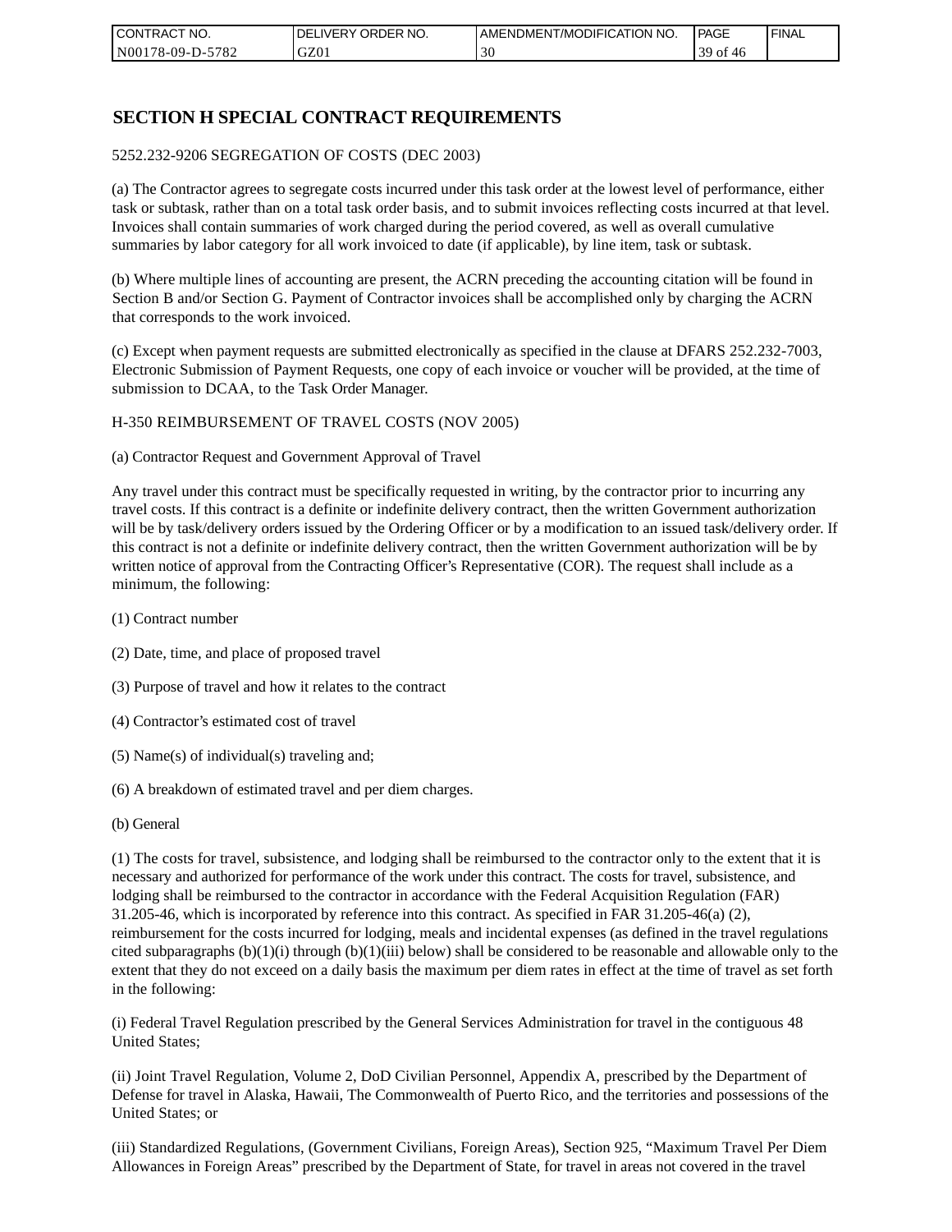| I CONTRACT NO.   | NO.<br>DELIVERY ORDER | AMENDMENT/MODIFICATION NO. | PAGE            | ' FINAL |
|------------------|-----------------------|----------------------------|-----------------|---------|
| N00178-09-D-5782 | GZ01                  | 30                         | 30<br>-ot<br>46 |         |

## **SECTION H SPECIAL CONTRACT REQUIREMENTS**

#### 5252.232-9206 SEGREGATION OF COSTS (DEC 2003)

(a) The Contractor agrees to segregate costs incurred under this task order at the lowest level of performance, either task or subtask, rather than on a total task order basis, and to submit invoices reflecting costs incurred at that level. Invoices shall contain summaries of work charged during the period covered, as well as overall cumulative summaries by labor category for all work invoiced to date (if applicable), by line item, task or subtask.

(b) Where multiple lines of accounting are present, the ACRN preceding the accounting citation will be found in Section B and/or Section G. Payment of Contractor invoices shall be accomplished only by charging the ACRN that corresponds to the work invoiced.

(c) Except when payment requests are submitted electronically as specified in the clause at DFARS 252.232-7003, Electronic Submission of Payment Requests, one copy of each invoice or voucher will be provided, at the time of submission to DCAA, to the Task Order Manager.

#### H-350 REIMBURSEMENT OF TRAVEL COSTS (NOV 2005)

(a) Contractor Request and Government Approval of Travel

Any travel under this contract must be specifically requested in writing, by the contractor prior to incurring any travel costs. If this contract is a definite or indefinite delivery contract, then the written Government authorization will be by task/delivery orders issued by the Ordering Officer or by a modification to an issued task/delivery order. If this contract is not a definite or indefinite delivery contract, then the written Government authorization will be by written notice of approval from the Contracting Officer's Representative (COR). The request shall include as a minimum, the following:

- (1) Contract number
- (2) Date, time, and place of proposed travel
- (3) Purpose of travel and how it relates to the contract
- (4) Contractor's estimated cost of travel
- (5) Name(s) of individual(s) traveling and;
- (6) A breakdown of estimated travel and per diem charges.
- (b) General

(1) The costs for travel, subsistence, and lodging shall be reimbursed to the contractor only to the extent that it is necessary and authorized for performance of the work under this contract. The costs for travel, subsistence, and lodging shall be reimbursed to the contractor in accordance with the Federal Acquisition Regulation (FAR) 31.205-46, which is incorporated by reference into this contract. As specified in FAR 31.205-46(a) (2), reimbursement for the costs incurred for lodging, meals and incidental expenses (as defined in the travel regulations cited subparagraphs  $(b)(1)(i)$  through  $(b)(1)(iii)$  below) shall be considered to be reasonable and allowable only to the extent that they do not exceed on a daily basis the maximum per diem rates in effect at the time of travel as set forth in the following:

(i) Federal Travel Regulation prescribed by the General Services Administration for travel in the contiguous 48 United States;

(ii) Joint Travel Regulation, Volume 2, DoD Civilian Personnel, Appendix A, prescribed by the Department of Defense for travel in Alaska, Hawaii, The Commonwealth of Puerto Rico, and the territories and possessions of the United States; or

(iii) Standardized Regulations, (Government Civilians, Foreign Areas), Section 925, "Maximum Travel Per Diem Allowances in Foreign Areas" prescribed by the Department of State, for travel in areas not covered in the travel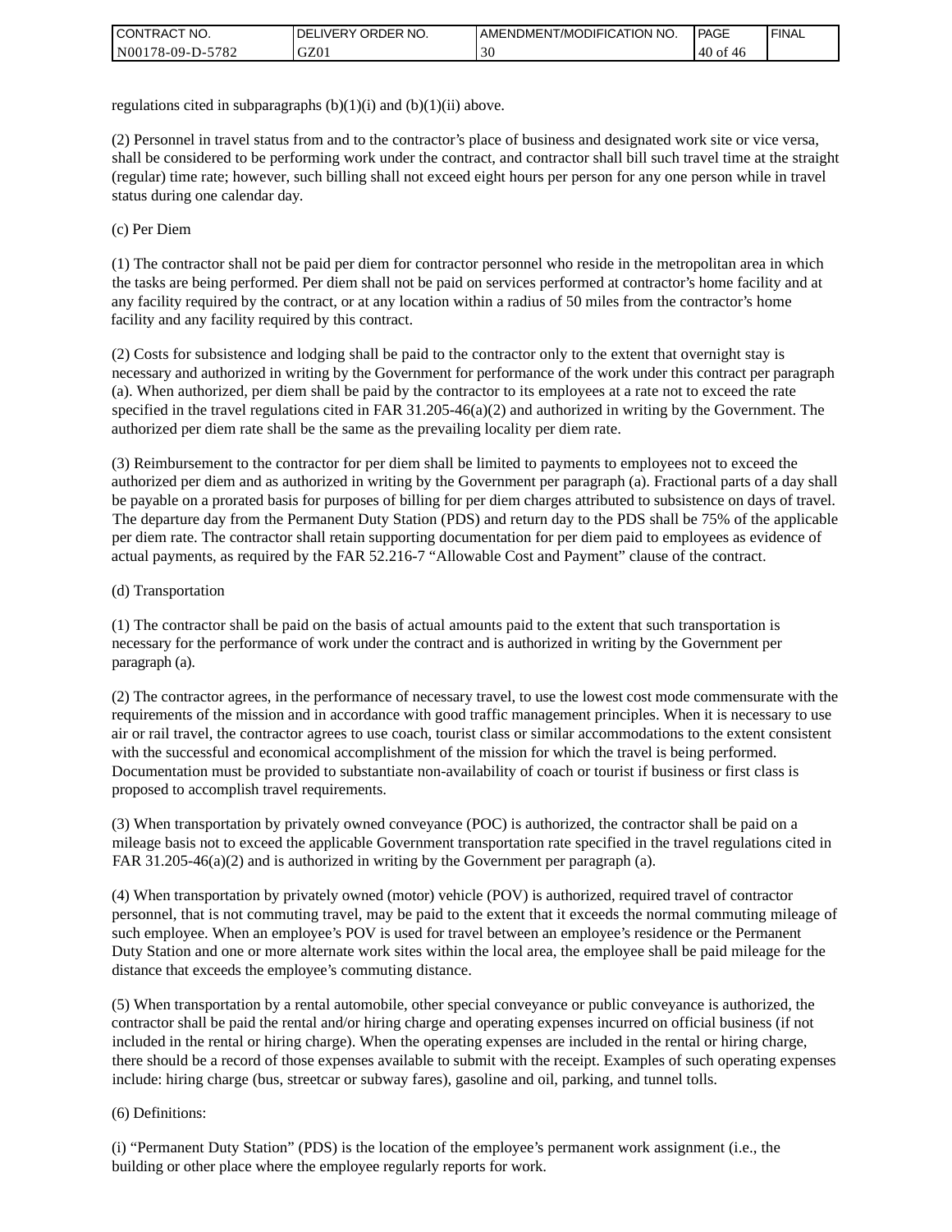| <b>CONTRACT NO.</b> | `NO.<br><b>DELIVERY ORDER</b> | AMENDMENT/MODIFICATION NO. | <b>PAGE</b>     | ' FINAL |
|---------------------|-------------------------------|----------------------------|-----------------|---------|
| N00178-09-D-5782    | GZ01                          | 30                         | $140$ of<br>-40 |         |

regulations cited in subparagraphs  $(b)(1)(i)$  and  $(b)(1)(ii)$  above.

(2) Personnel in travel status from and to the contractor's place of business and designated work site or vice versa, shall be considered to be performing work under the contract, and contractor shall bill such travel time at the straight (regular) time rate; however, such billing shall not exceed eight hours per person for any one person while in travel status during one calendar day.

(c) Per Diem

(1) The contractor shall not be paid per diem for contractor personnel who reside in the metropolitan area in which the tasks are being performed. Per diem shall not be paid on services performed at contractor's home facility and at any facility required by the contract, or at any location within a radius of 50 miles from the contractor's home facility and any facility required by this contract.

(2) Costs for subsistence and lodging shall be paid to the contractor only to the extent that overnight stay is necessary and authorized in writing by the Government for performance of the work under this contract per paragraph (a). When authorized, per diem shall be paid by the contractor to its employees at a rate not to exceed the rate specified in the travel regulations cited in FAR 31.205-46(a)(2) and authorized in writing by the Government. The authorized per diem rate shall be the same as the prevailing locality per diem rate.

(3) Reimbursement to the contractor for per diem shall be limited to payments to employees not to exceed the authorized per diem and as authorized in writing by the Government per paragraph (a). Fractional parts of a day shall be payable on a prorated basis for purposes of billing for per diem charges attributed to subsistence on days of travel. The departure day from the Permanent Duty Station (PDS) and return day to the PDS shall be 75% of the applicable per diem rate. The contractor shall retain supporting documentation for per diem paid to employees as evidence of actual payments, as required by the FAR 52.216-7 "Allowable Cost and Payment" clause of the contract.

### (d) Transportation

(1) The contractor shall be paid on the basis of actual amounts paid to the extent that such transportation is necessary for the performance of work under the contract and is authorized in writing by the Government per paragraph (a).

(2) The contractor agrees, in the performance of necessary travel, to use the lowest cost mode commensurate with the requirements of the mission and in accordance with good traffic management principles. When it is necessary to use air or rail travel, the contractor agrees to use coach, tourist class or similar accommodations to the extent consistent with the successful and economical accomplishment of the mission for which the travel is being performed. Documentation must be provided to substantiate non-availability of coach or tourist if business or first class is proposed to accomplish travel requirements.

(3) When transportation by privately owned conveyance (POC) is authorized, the contractor shall be paid on a mileage basis not to exceed the applicable Government transportation rate specified in the travel regulations cited in FAR 31.205-46(a)(2) and is authorized in writing by the Government per paragraph (a).

(4) When transportation by privately owned (motor) vehicle (POV) is authorized, required travel of contractor personnel, that is not commuting travel, may be paid to the extent that it exceeds the normal commuting mileage of such employee. When an employee's POV is used for travel between an employee's residence or the Permanent Duty Station and one or more alternate work sites within the local area, the employee shall be paid mileage for the distance that exceeds the employee's commuting distance.

(5) When transportation by a rental automobile, other special conveyance or public conveyance is authorized, the contractor shall be paid the rental and/or hiring charge and operating expenses incurred on official business (if not included in the rental or hiring charge). When the operating expenses are included in the rental or hiring charge, there should be a record of those expenses available to submit with the receipt. Examples of such operating expenses include: hiring charge (bus, streetcar or subway fares), gasoline and oil, parking, and tunnel tolls.

### (6) Definitions:

(i) "Permanent Duty Station" (PDS) is the location of the employee's permanent work assignment (i.e., the building or other place where the employee regularly reports for work.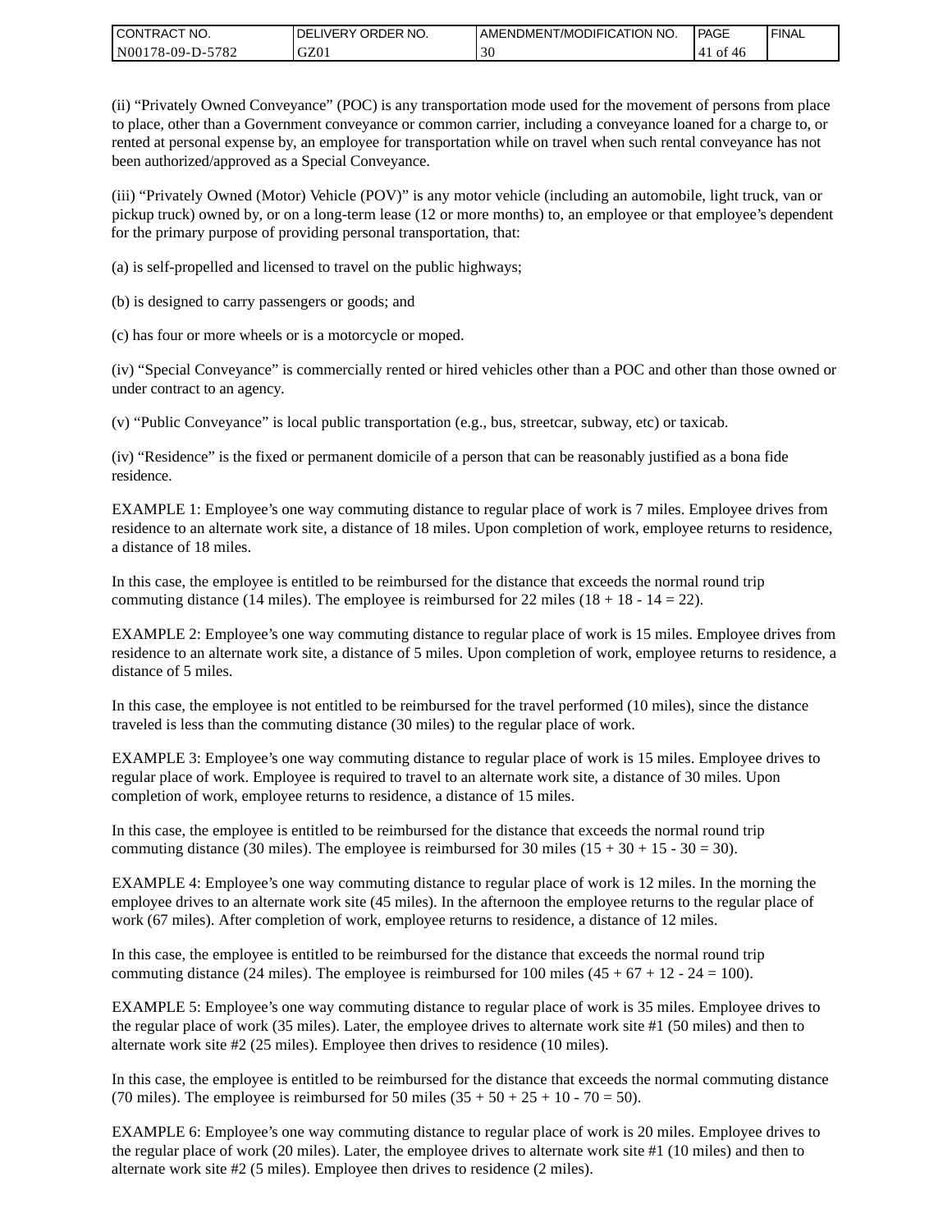| CONTRACT<br>CT NO.                                    | NO.<br>' ORDER<br><b>DELIVERY</b> | AMENDMENT/MODIFICATION NO. | l PAGE | <b>FINAL</b> |
|-------------------------------------------------------|-----------------------------------|----------------------------|--------|--------------|
| $-5782$<br>N <sub>001</sub><br>'78-09-D- <sub>~</sub> | GZ01                              | 30                         | - 01   |              |

(ii) "Privately Owned Conveyance" (POC) is any transportation mode used for the movement of persons from place to place, other than a Government conveyance or common carrier, including a conveyance loaned for a charge to, or rented at personal expense by, an employee for transportation while on travel when such rental conveyance has not been authorized/approved as a Special Conveyance.

(iii) "Privately Owned (Motor) Vehicle (POV)" is any motor vehicle (including an automobile, light truck, van or pickup truck) owned by, or on a long-term lease (12 or more months) to, an employee or that employee's dependent for the primary purpose of providing personal transportation, that:

(a) is self-propelled and licensed to travel on the public highways;

(b) is designed to carry passengers or goods; and

(c) has four or more wheels or is a motorcycle or moped.

(iv) "Special Conveyance" is commercially rented or hired vehicles other than a POC and other than those owned or under contract to an agency.

(v) "Public Conveyance" is local public transportation (e.g., bus, streetcar, subway, etc) or taxicab.

(iv) "Residence" is the fixed or permanent domicile of a person that can be reasonably justified as a bona fide residence.

EXAMPLE 1: Employee's one way commuting distance to regular place of work is 7 miles. Employee drives from residence to an alternate work site, a distance of 18 miles. Upon completion of work, employee returns to residence, a distance of 18 miles.

In this case, the employee is entitled to be reimbursed for the distance that exceeds the normal round trip commuting distance (14 miles). The employee is reimbursed for 22 miles (18 + 18 - 14 = 22).

EXAMPLE 2: Employee's one way commuting distance to regular place of work is 15 miles. Employee drives from residence to an alternate work site, a distance of 5 miles. Upon completion of work, employee returns to residence, a distance of 5 miles.

In this case, the employee is not entitled to be reimbursed for the travel performed (10 miles), since the distance traveled is less than the commuting distance (30 miles) to the regular place of work.

EXAMPLE 3: Employee's one way commuting distance to regular place of work is 15 miles. Employee drives to regular place of work. Employee is required to travel to an alternate work site, a distance of 30 miles. Upon completion of work, employee returns to residence, a distance of 15 miles.

In this case, the employee is entitled to be reimbursed for the distance that exceeds the normal round trip commuting distance (30 miles). The employee is reimbursed for 30 miles  $(15 + 30 + 15 - 30 = 30)$ .

EXAMPLE 4: Employee's one way commuting distance to regular place of work is 12 miles. In the morning the employee drives to an alternate work site (45 miles). In the afternoon the employee returns to the regular place of work (67 miles). After completion of work, employee returns to residence, a distance of 12 miles.

In this case, the employee is entitled to be reimbursed for the distance that exceeds the normal round trip commuting distance (24 miles). The employee is reimbursed for 100 miles  $(45 + 67 + 12 - 24 = 100)$ .

EXAMPLE 5: Employee's one way commuting distance to regular place of work is 35 miles. Employee drives to the regular place of work (35 miles). Later, the employee drives to alternate work site #1 (50 miles) and then to alternate work site #2 (25 miles). Employee then drives to residence (10 miles).

In this case, the employee is entitled to be reimbursed for the distance that exceeds the normal commuting distance (70 miles). The employee is reimbursed for 50 miles  $(35 + 50 + 25 + 10 - 70 = 50)$ .

EXAMPLE 6: Employee's one way commuting distance to regular place of work is 20 miles. Employee drives to the regular place of work (20 miles). Later, the employee drives to alternate work site #1 (10 miles) and then to alternate work site #2 (5 miles). Employee then drives to residence (2 miles).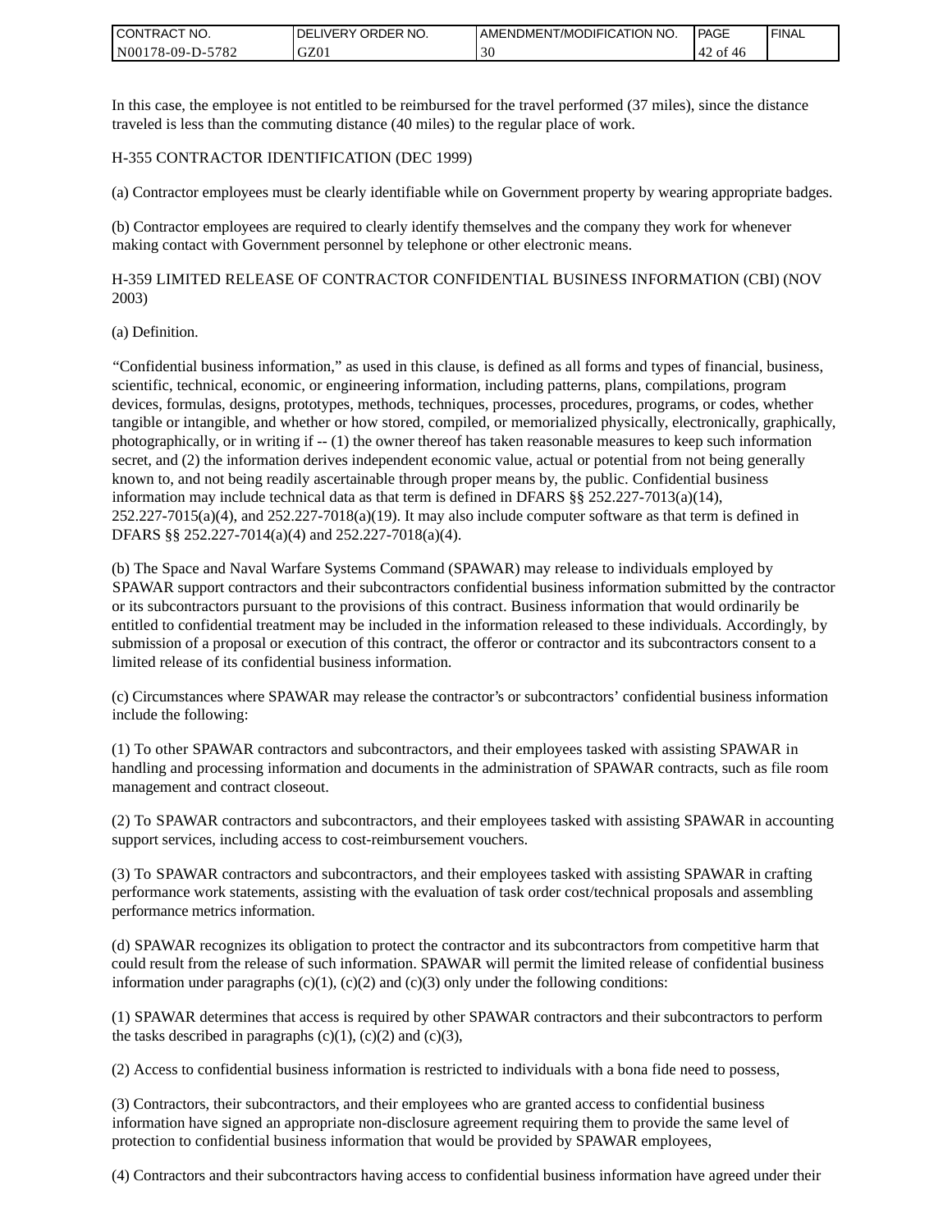| <b>I CONTRACT NO.</b>       | NO.<br>DELIVERY ORDER | AMENDMENT/MODIFICATION NO. | PAGE         | <b>I FINAL</b> |
|-----------------------------|-----------------------|----------------------------|--------------|----------------|
| 5782<br>N001<br>$78-09-D$ - | GZ01                  | 30                         | '42 of<br>40 |                |

In this case, the employee is not entitled to be reimbursed for the travel performed (37 miles), since the distance traveled is less than the commuting distance (40 miles) to the regular place of work.

### H-355 CONTRACTOR IDENTIFICATION (DEC 1999)

(a) Contractor employees must be clearly identifiable while on Government property by wearing appropriate badges.

(b) Contractor employees are required to clearly identify themselves and the company they work for whenever making contact with Government personnel by telephone or other electronic means.

H-359 LIMITED RELEASE OF CONTRACTOR CONFIDENTIAL BUSINESS INFORMATION (CBI) (NOV 2003)

#### (a) Definition.

"Confidential business information," as used in this clause, is defined as all forms and types of financial, business, scientific, technical, economic, or engineering information, including patterns, plans, compilations, program devices, formulas, designs, prototypes, methods, techniques, processes, procedures, programs, or codes, whether tangible or intangible, and whether or how stored, compiled, or memorialized physically, electronically, graphically, photographically, or in writing if -- (1) the owner thereof has taken reasonable measures to keep such information secret, and (2) the information derives independent economic value, actual or potential from not being generally known to, and not being readily ascertainable through proper means by, the public. Confidential business information may include technical data as that term is defined in DFARS  $\S$ § 252.227-7013(a)(14),  $252.227-7015(a)(4)$ , and  $252.227-7018(a)(19)$ . It may also include computer software as that term is defined in DFARS §§ 252.227-7014(a)(4) and 252.227-7018(a)(4).

(b) The Space and Naval Warfare Systems Command (SPAWAR) may release to individuals employed by SPAWAR support contractors and their subcontractors confidential business information submitted by the contractor or its subcontractors pursuant to the provisions of this contract. Business information that would ordinarily be entitled to confidential treatment may be included in the information released to these individuals. Accordingly, by submission of a proposal or execution of this contract, the offeror or contractor and its subcontractors consent to a limited release of its confidential business information.

(c) Circumstances where SPAWAR may release the contractor's or subcontractors' confidential business information include the following:

(1) To other SPAWAR contractors and subcontractors, and their employees tasked with assisting SPAWAR in handling and processing information and documents in the administration of SPAWAR contracts, such as file room management and contract closeout.

(2) To SPAWAR contractors and subcontractors, and their employees tasked with assisting SPAWAR in accounting support services, including access to cost-reimbursement vouchers.

(3) To SPAWAR contractors and subcontractors, and their employees tasked with assisting SPAWAR in crafting performance work statements, assisting with the evaluation of task order cost/technical proposals and assembling performance metrics information.

(d) SPAWAR recognizes its obligation to protect the contractor and its subcontractors from competitive harm that could result from the release of such information. SPAWAR will permit the limited release of confidential business information under paragraphs  $(c)(1)$ ,  $(c)(2)$  and  $(c)(3)$  only under the following conditions:

(1) SPAWAR determines that access is required by other SPAWAR contractors and their subcontractors to perform the tasks described in paragraphs  $(c)(1)$ ,  $(c)(2)$  and  $(c)(3)$ ,

(2) Access to confidential business information is restricted to individuals with a bona fide need to possess,

(3) Contractors, their subcontractors, and their employees who are granted access to confidential business information have signed an appropriate non-disclosure agreement requiring them to provide the same level of protection to confidential business information that would be provided by SPAWAR employees,

(4) Contractors and their subcontractors having access to confidential business information have agreed under their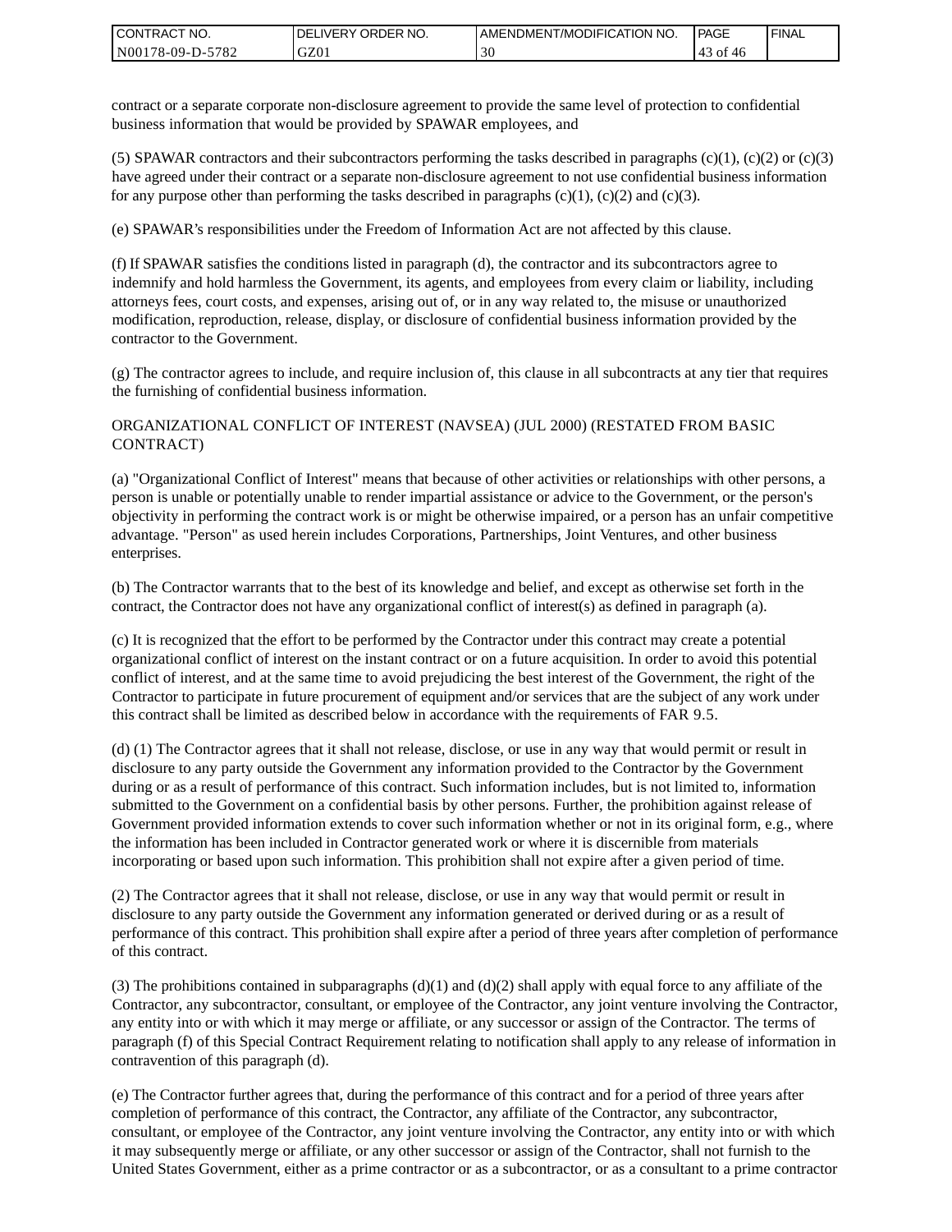| I CONTRACT NO.   | DELIVERY ORDER NO. | AMENDMENT/MODIFICATION NO. | PAGE           | ' FINAL |
|------------------|--------------------|----------------------------|----------------|---------|
| N00178-09-D-5782 | GZ01               | эU                         | 43<br>of<br>46 |         |

contract or a separate corporate non-disclosure agreement to provide the same level of protection to confidential business information that would be provided by SPAWAR employees, and

(5) SPAWAR contractors and their subcontractors performing the tasks described in paragraphs  $(c)(1)$ ,  $(c)(2)$  or  $(c)(3)$ have agreed under their contract or a separate non-disclosure agreement to not use confidential business information for any purpose other than performing the tasks described in paragraphs  $(c)(1)$ ,  $(c)(2)$  and  $(c)(3)$ .

(e) SPAWAR's responsibilities under the Freedom of Information Act are not affected by this clause.

(f) If SPAWAR satisfies the conditions listed in paragraph (d), the contractor and its subcontractors agree to indemnify and hold harmless the Government, its agents, and employees from every claim or liability, including attorneys fees, court costs, and expenses, arising out of, or in any way related to, the misuse or unauthorized modification, reproduction, release, display, or disclosure of confidential business information provided by the contractor to the Government.

(g) The contractor agrees to include, and require inclusion of, this clause in all subcontracts at any tier that requires the furnishing of confidential business information.

### ORGANIZATIONAL CONFLICT OF INTEREST (NAVSEA) (JUL 2000) (RESTATED FROM BASIC CONTRACT)

(a) "Organizational Conflict of Interest" means that because of other activities or relationships with other persons, a person is unable or potentially unable to render impartial assistance or advice to the Government, or the person's objectivity in performing the contract work is or might be otherwise impaired, or a person has an unfair competitive advantage. "Person" as used herein includes Corporations, Partnerships, Joint Ventures, and other business enterprises.

(b) The Contractor warrants that to the best of its knowledge and belief, and except as otherwise set forth in the contract, the Contractor does not have any organizational conflict of interest(s) as defined in paragraph (a).

(c) It is recognized that the effort to be performed by the Contractor under this contract may create a potential organizational conflict of interest on the instant contract or on a future acquisition. In order to avoid this potential conflict of interest, and at the same time to avoid prejudicing the best interest of the Government, the right of the Contractor to participate in future procurement of equipment and/or services that are the subject of any work under this contract shall be limited as described below in accordance with the requirements of FAR 9.5.

(d) (1) The Contractor agrees that it shall not release, disclose, or use in any way that would permit or result in disclosure to any party outside the Government any information provided to the Contractor by the Government during or as a result of performance of this contract. Such information includes, but is not limited to, information submitted to the Government on a confidential basis by other persons. Further, the prohibition against release of Government provided information extends to cover such information whether or not in its original form, e.g., where the information has been included in Contractor generated work or where it is discernible from materials incorporating or based upon such information. This prohibition shall not expire after a given period of time.

(2) The Contractor agrees that it shall not release, disclose, or use in any way that would permit or result in disclosure to any party outside the Government any information generated or derived during or as a result of performance of this contract. This prohibition shall expire after a period of three years after completion of performance of this contract.

(3) The prohibitions contained in subparagraphs  $(d)(1)$  and  $(d)(2)$  shall apply with equal force to any affiliate of the Contractor, any subcontractor, consultant, or employee of the Contractor, any joint venture involving the Contractor, any entity into or with which it may merge or affiliate, or any successor or assign of the Contractor. The terms of paragraph (f) of this Special Contract Requirement relating to notification shall apply to any release of information in contravention of this paragraph (d).

(e) The Contractor further agrees that, during the performance of this contract and for a period of three years after completion of performance of this contract, the Contractor, any affiliate of the Contractor, any subcontractor, consultant, or employee of the Contractor, any joint venture involving the Contractor, any entity into or with which it may subsequently merge or affiliate, or any other successor or assign of the Contractor, shall not furnish to the United States Government, either as a prime contractor or as a subcontractor, or as a consultant to a prime contractor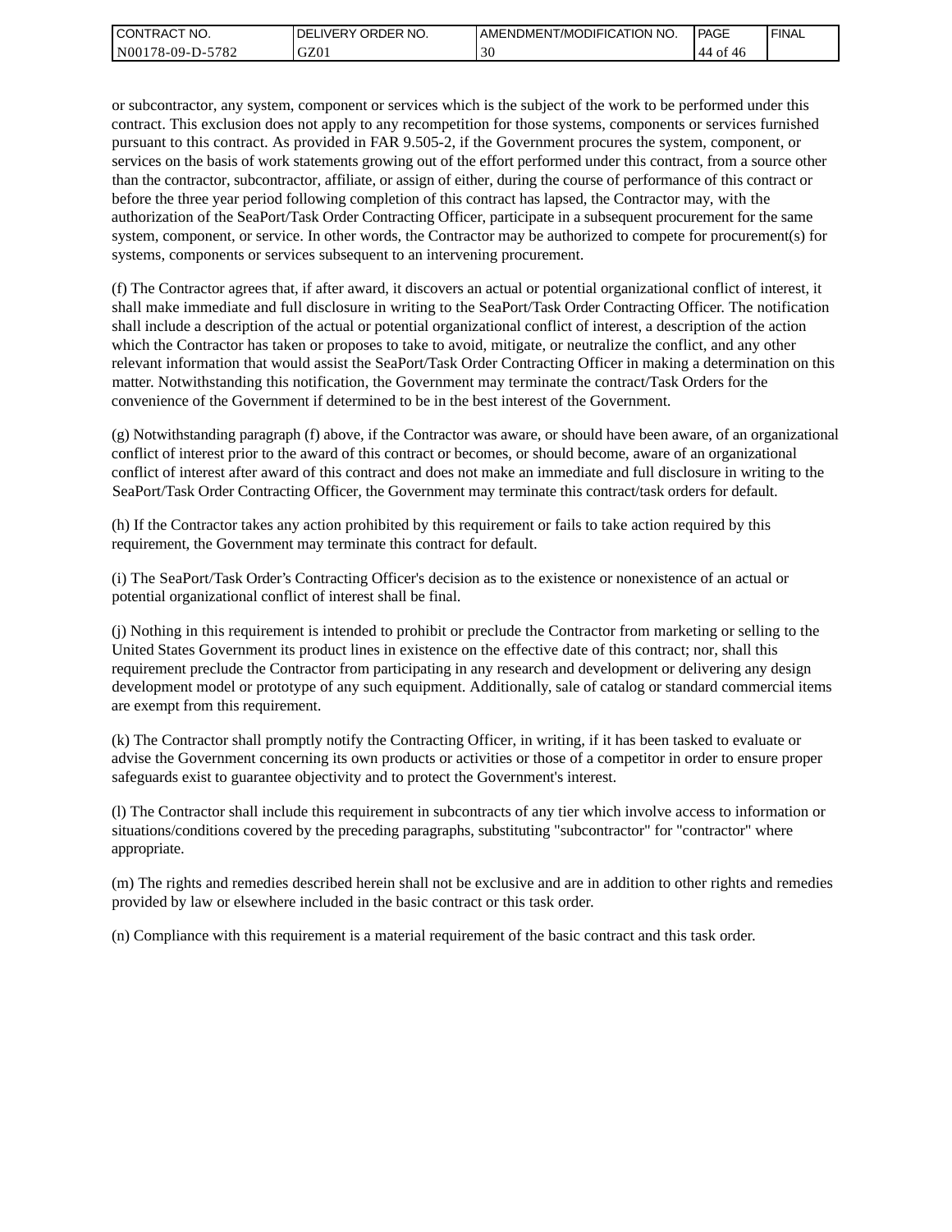| I CONTRACT NO.             | NO.<br>' ORDER<br><b>DELIVERY</b> | AMENDMENT/MODIFICATION NO. | PAGE              | ' FINAL |
|----------------------------|-----------------------------------|----------------------------|-------------------|---------|
| $-5782$<br>  N00178-09-D-5 | GZ01                              | 30                         | - of<br>'44<br>46 |         |

or subcontractor, any system, component or services which is the subject of the work to be performed under this contract. This exclusion does not apply to any recompetition for those systems, components or services furnished pursuant to this contract. As provided in FAR 9.505-2, if the Government procures the system, component, or services on the basis of work statements growing out of the effort performed under this contract, from a source other than the contractor, subcontractor, affiliate, or assign of either, during the course of performance of this contract or before the three year period following completion of this contract has lapsed, the Contractor may, with the authorization of the SeaPort/Task Order Contracting Officer, participate in a subsequent procurement for the same system, component, or service. In other words, the Contractor may be authorized to compete for procurement(s) for systems, components or services subsequent to an intervening procurement.

(f) The Contractor agrees that, if after award, it discovers an actual or potential organizational conflict of interest, it shall make immediate and full disclosure in writing to the SeaPort/Task Order Contracting Officer. The notification shall include a description of the actual or potential organizational conflict of interest, a description of the action which the Contractor has taken or proposes to take to avoid, mitigate, or neutralize the conflict, and any other relevant information that would assist the SeaPort/Task Order Contracting Officer in making a determination on this matter. Notwithstanding this notification, the Government may terminate the contract/Task Orders for the convenience of the Government if determined to be in the best interest of the Government.

(g) Notwithstanding paragraph (f) above, if the Contractor was aware, or should have been aware, of an organizational conflict of interest prior to the award of this contract or becomes, or should become, aware of an organizational conflict of interest after award of this contract and does not make an immediate and full disclosure in writing to the SeaPort/Task Order Contracting Officer, the Government may terminate this contract/task orders for default.

(h) If the Contractor takes any action prohibited by this requirement or fails to take action required by this requirement, the Government may terminate this contract for default.

(i) The SeaPort/Task Order's Contracting Officer's decision as to the existence or nonexistence of an actual or potential organizational conflict of interest shall be final.

(j) Nothing in this requirement is intended to prohibit or preclude the Contractor from marketing or selling to the United States Government its product lines in existence on the effective date of this contract; nor, shall this requirement preclude the Contractor from participating in any research and development or delivering any design development model or prototype of any such equipment. Additionally, sale of catalog or standard commercial items are exempt from this requirement.

(k) The Contractor shall promptly notify the Contracting Officer, in writing, if it has been tasked to evaluate or advise the Government concerning its own products or activities or those of a competitor in order to ensure proper safeguards exist to guarantee objectivity and to protect the Government's interest.

(l) The Contractor shall include this requirement in subcontracts of any tier which involve access to information or situations/conditions covered by the preceding paragraphs, substituting "subcontractor" for "contractor" where appropriate.

(m) The rights and remedies described herein shall not be exclusive and are in addition to other rights and remedies provided by law or elsewhere included in the basic contract or this task order.

(n) Compliance with this requirement is a material requirement of the basic contract and this task order.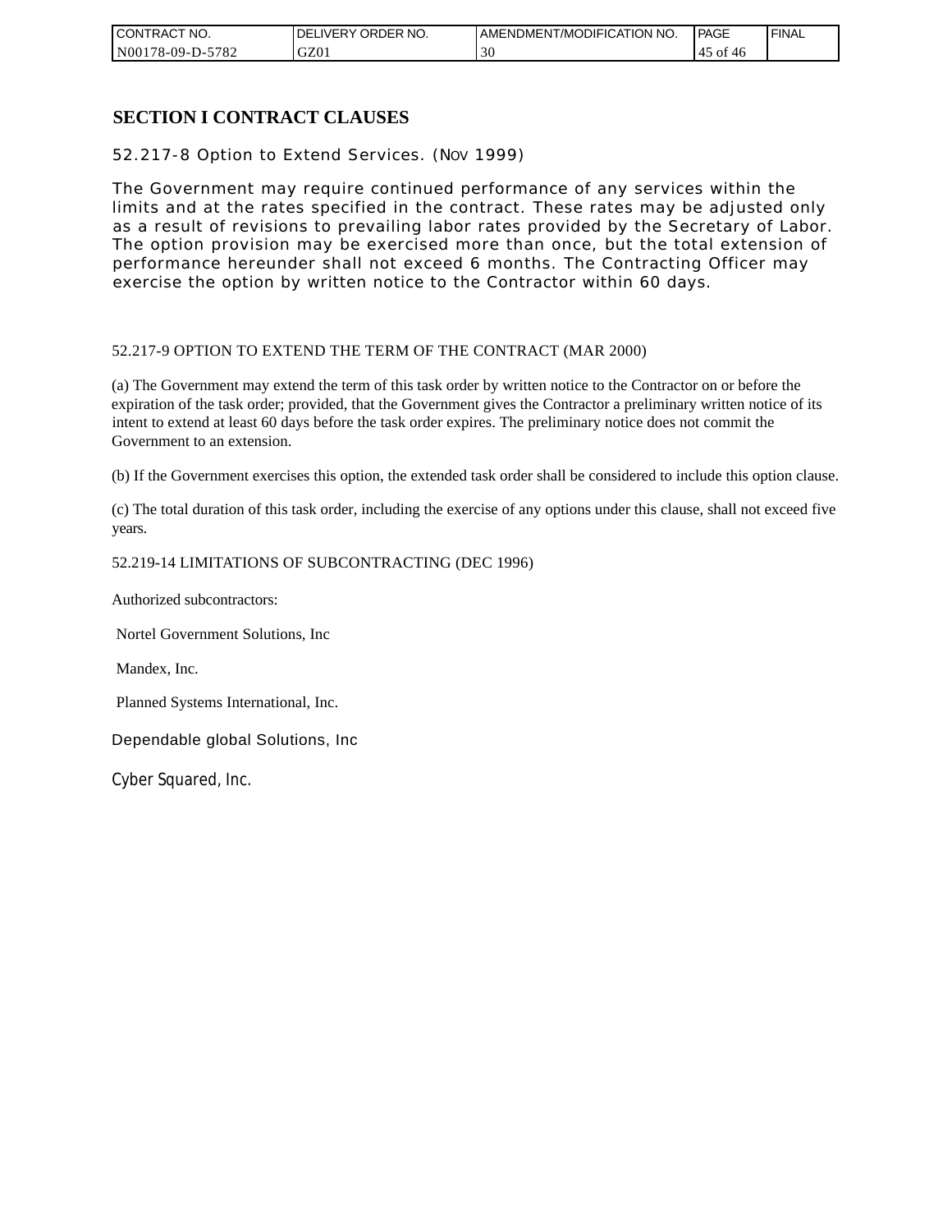| CONTRACT NO.          | NO.<br>ORDER<br><b>DELIVERY</b> | AMENDMENT/MODIFICATION NO. | <b>PAGE</b>    | ' FINAL |
|-----------------------|---------------------------------|----------------------------|----------------|---------|
| N00178-09-D-5<br>5782 | GZ01                            | 30                         | ΟĪ<br>45<br>40 |         |

## **SECTION I CONTRACT CLAUSES**

52.217-8 Option to Extend Services. (NOV 1999)

The Government may require continued performance of any services within the limits and at the rates specified in the contract. These rates may be adjusted only as a result of revisions to prevailing labor rates provided by the Secretary of Labor. The option provision may be exercised more than once, but the total extension of performance hereunder shall not exceed 6 months. The Contracting Officer may exercise the option by written notice to the Contractor within 60 days.

### 52.217-9 OPTION TO EXTEND THE TERM OF THE CONTRACT (MAR 2000)

(a) The Government may extend the term of this task order by written notice to the Contractor on or before the expiration of the task order; provided, that the Government gives the Contractor a preliminary written notice of its intent to extend at least 60 days before the task order expires. The preliminary notice does not commit the Government to an extension.

(b) If the Government exercises this option, the extended task order shall be considered to include this option clause.

(c) The total duration of this task order, including the exercise of any options under this clause, shall not exceed five years.

### 52.219-14 LIMITATIONS OF SUBCONTRACTING (DEC 1996)

Authorized subcontractors:

Nortel Government Solutions, Inc

Mandex, Inc.

Planned Systems International, Inc.

Dependable global Solutions, Inc

Cyber Squared, Inc.